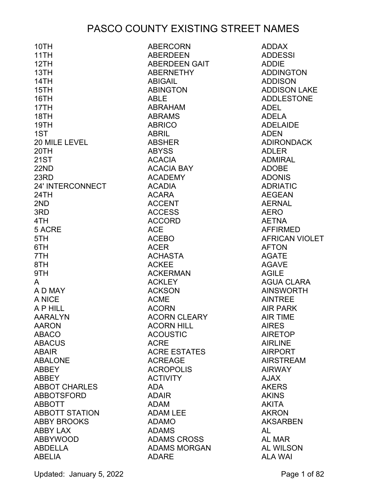| 10TH                  | <b>ABERCORN</b>     | <b>ADDAX</b>          |
|-----------------------|---------------------|-----------------------|
| 11TH                  | <b>ABERDEEN</b>     | <b>ADDESSI</b>        |
| 12TH                  | ABERDEEN GAIT       | <b>ADDIE</b>          |
| 13TH                  | <b>ABERNETHY</b>    | <b>ADDINGTON</b>      |
| 14TH                  | <b>ABIGAIL</b>      | <b>ADDISON</b>        |
| 15TH                  | <b>ABINGTON</b>     | <b>ADDISON LAKE</b>   |
| 16TH                  | <b>ABLE</b>         | <b>ADDLESTONE</b>     |
| 17TH                  | <b>ABRAHAM</b>      | <b>ADEL</b>           |
| 18TH                  | <b>ABRAMS</b>       | <b>ADELA</b>          |
| 19TH                  | <b>ABRICO</b>       | <b>ADELAIDE</b>       |
| 1ST                   | <b>ABRIL</b>        | <b>ADEN</b>           |
| 20 MILE LEVEL         | <b>ABSHER</b>       | <b>ADIRONDACK</b>     |
| 20TH                  | <b>ABYSS</b>        | <b>ADLER</b>          |
| <b>21ST</b>           | <b>ACACIA</b>       | <b>ADMIRAL</b>        |
| 22ND                  | <b>ACACIA BAY</b>   | <b>ADOBE</b>          |
| 23RD                  | <b>ACADEMY</b>      | <b>ADONIS</b>         |
| 24' INTERCONNECT      | <b>ACADIA</b>       | <b>ADRIATIC</b>       |
| 24TH                  | <b>ACARA</b>        | <b>AEGEAN</b>         |
| 2ND                   | <b>ACCENT</b>       | <b>AERNAL</b>         |
| 3RD                   | <b>ACCESS</b>       | <b>AERO</b>           |
| 4TH                   | <b>ACCORD</b>       | <b>AETNA</b>          |
| 5 ACRE                | <b>ACE</b>          | <b>AFFIRMED</b>       |
| 5TH                   | <b>ACEBO</b>        | <b>AFRICAN VIOLET</b> |
| 6TH                   | <b>ACER</b>         | <b>AFTON</b>          |
| 7TH                   | <b>ACHASTA</b>      | <b>AGATE</b>          |
| 8TH                   | <b>ACKEE</b>        | <b>AGAVE</b>          |
| 9TH                   | <b>ACKERMAN</b>     | <b>AGILE</b>          |
| A                     | <b>ACKLEY</b>       | <b>AGUA CLARA</b>     |
| A D MAY               | <b>ACKSON</b>       | <b>AINSWORTH</b>      |
| A NICE                | <b>ACME</b>         | <b>AINTREE</b>        |
| A P HILL              | <b>ACORN</b>        | <b>AIR PARK</b>       |
| <b>AARALYN</b>        | <b>ACORN CLEARY</b> | <b>AIR TIME</b>       |
| <b>AARON</b>          | <b>ACORN HILL</b>   | <b>AIRES</b>          |
| <b>ABACO</b>          | <b>ACOUSTIC</b>     | <b>AIRETOP</b>        |
| <b>ABACUS</b>         | <b>ACRE</b>         | <b>AIRLINE</b>        |
| <b>ABAIR</b>          | <b>ACRE ESTATES</b> | <b>AIRPORT</b>        |
| <b>ABALONE</b>        | <b>ACREAGE</b>      | <b>AIRSTREAM</b>      |
| <b>ABBEY</b>          | <b>ACROPOLIS</b>    | <b>AIRWAY</b>         |
| <b>ABBEY</b>          | <b>ACTIVITY</b>     | <b>AJAX</b>           |
| <b>ABBOT CHARLES</b>  | <b>ADA</b>          | <b>AKERS</b>          |
| <b>ABBOTSFORD</b>     | <b>ADAIR</b>        | <b>AKINS</b>          |
| <b>ABBOTT</b>         | <b>ADAM</b>         | <b>AKITA</b>          |
| <b>ABBOTT STATION</b> | <b>ADAM LEE</b>     | <b>AKRON</b>          |
| <b>ABBY BROOKS</b>    | <b>ADAMO</b>        | <b>AKSARBEN</b>       |
| <b>ABBY LAX</b>       | <b>ADAMS</b>        | AL                    |
| <b>ABBYWOOD</b>       | <b>ADAMS CROSS</b>  | AL MAR                |
| <b>ABDELLA</b>        | <b>ADAMS MORGAN</b> | <b>AL WILSON</b>      |
| <b>ABELIA</b>         | <b>ADARE</b>        | <b>ALA WAI</b>        |

Updated: January 5, 2022 **Page 1 of 82**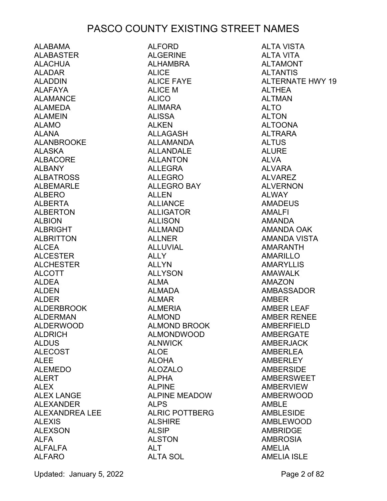ALABAMA ALABASTER ALACHUA ALADAR ALADDIN ALAFAYA ALAMANCE ALAMEDA ALAMEIN ALAMO ALANA ALANBROOKE ALASKA ALBACORE ALBANY ALBATROSS ALBEMARLE ALBERO ALBERTA ALBERTON ALBION ALBRIGHT ALBRITTON ALCEA ALCESTER ALCHESTER ALCOTT ALDEA ALDEN ALDER ALDERBROOK ALDERMAN ALDERWOOD ALDRICH ALDUS ALECOST ALEE ALEMEDO ALERT ALEX ALEX LANGE ALEXANDER ALEXANDREA LEE ALEXIS ALEXSON ALFA ALFALFA ALFARO

ALFORD ALGERINE AI HAMBRA ALICE ALICE FAYE ALICE M ALICO ALIMARA ALISSA ALKEN ALLAGASH ALLAMANDA ALLANDALE ALLANTON ALLEGRA ALLEGRO ALLEGRO BAY **ALLEN** ALLIANCE ALLIGATOR ALLISON ALLMAND **ALLNER** ALLUVIAL ALLY ALLYN ALLYSON ALMA ALMADA ALMAR ALMERIA ALMOND ALMOND BROOK ALMONDWOOD ALNWICK ALOE ALOHA ALOZALO ALPHA ALPINE ALPINE MEADOW ALPS ALRIC POTTBERG ALSHIRE ALSIP ALSTON ALT ALTA SOL

ALTA VISTA ALTA VITA **AI TAMONT** ALTANTIS ALTERNATE HWY 19 **ALTHEA** ALTMAN ALTO ALTON ALTOONA ALTRARA ALTUS ALURE ALVA ALVARA ALVAREZ ALVERNON ALWAY AMADEUS AMALFI AMANDA AMANDA OAK AMANDA VISTA AMARANTH AMARILLO AMARYLLIS AMAWALK AMAZON AMBASSADOR AMBER AMBER LEAF AMBER RENEE AMBERFIELD AMBERGATE AMBERJACK AMBERLEA AMBERLEY AMBERSIDE AMBERSWEET AMBERVIEW AMBERWOOD AMBLE AMBLESIDE AMBLEWOOD AMBRIDGE AMBROSIA AMELIA AMELIA ISLE

Updated: January 5, 2022 **Page 2 of 82**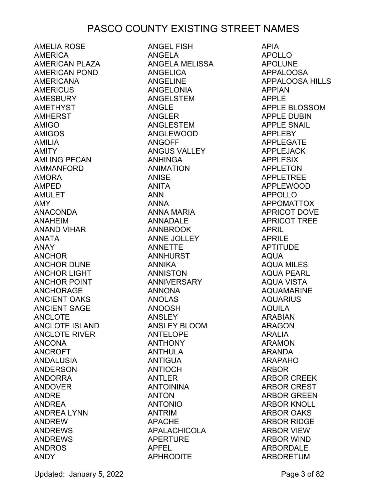AMELIA ROSE AMERICA AMERICAN PLAZA AMERICAN POND AMERICANA AMERICUS AMESBURY AMETHYST AMHERST AMIGO AMIGOS AMILIA AMITY AMLING PECAN AMMANFORD AMORA AMPED AMULET AMY ANACONDA ANAHEIM ANAND VIHAR ANATA ANAY ANCHOR ANCHOR DUNE ANCHOR LIGHT ANCHOR POINT ANCHORAGE ANCIENT OAKS ANCIENT SAGE ANCLOTE ANCLOTE ISLAND ANCLOTE RIVER ANCONA ANCROFT ANDALUSIA ANDERSON ANDORRA ANDOVER ANDRE ANDREA ANDREA LYNN ANDREW ANDREWS ANDREWS ANDROS ANDY

ANGEL FISH ANGELA ANGELA MELISSA ANGELICA ANGELINE ANGELONIA ANGELSTEM ANGLE ANGLER ANGLESTEM ANGLEWOOD ANGOFF ANGUS VALLEY ANHINGA ANIMATION ANISE ANITA ANN ANNA ANNA MARIA ANNADALE ANNBROOK ANNE JOLLEY ANNETTE ANNHURST ANNIKA ANNISTON ANNIVERSARY ANNONA ANOLAS ANOOSH ANSLEY ANSLEY BLOOM ANTELOPE ANTHONY ANTHULA ANTIGUA ANTIOCH ANTLER ANTOININA ANTON ANTONIO ANTRIM APACHE APALACHICOLA APERTURE APFEL APHRODITE

APIA APOLLO APOLUNE APPALOOSA APPALOOSA HILLS APPIAN APPLE APPLE BLOSSOM APPLE DUBIN APPLE SNAIL APPLEBY APPLEGATE APPLEJACK APPLESIX APPLETON APPLETREE APPLEWOOD APPOLLO APPOMATTOX APRICOT DOVE APRICOT TREE APRIL APRILE APTITUDE AQUA AQUA MILES AQUA PEARL AQUA VISTA AQUAMARINE AQUARIUS AQUILA ARABIAN ARAGON ARALIA ARAMON ARANDA ARAPAHO ARBOR ARBOR CREEK ARBOR CREST ARBOR GREEN ARBOR KNOLL ARBOR OAKS ARBOR RIDGE ARBOR VIEW ARBOR WIND ARBORDALE ARBORETUM

Updated: January 5, 2022 **Page 3 of 82**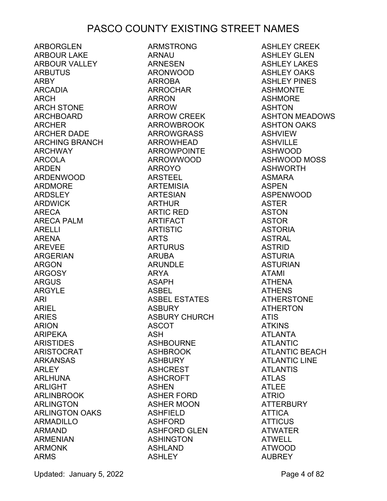ARBORGLEN ARBOUR LAKE ARBOUR VALLEY ARBUTUS ARBY ARCADIA ARCH ARCH STONE ARCHBOARD ARCHER ARCHER DADE ARCHING BRANCH ARCHWAY ARCOLA ARDEN ARDENWOOD ARDMORE ARDSLEY ARDWICK ARECA ARECA PALM ARELLI ARENA AREVEE ARGERIAN ARGON ARGOSY ARGUS ARGYLE ARI ARIEL ARIES ARION ARIPEKA ARISTIDES ARISTOCRAT ARKANSAS ARLEY ARLHUNA ARLIGHT ARLINBROOK ARLINGTON ARLINGTON OAKS ARMADILLO ARMAND ARMENIAN ARMONK ARMS

ARMSTRONG ARNAU ARNESEN ARONWOOD ARROBA ARROCHAR ARRON ARROW ARROW CREEK ARROWBROOK ARROWGRASS ARROWHEAD ARROWPOINTE ARROWWOOD ARROYO ARSTEEL ARTEMISIA ARTESIAN ARTHUR ARTIC RED ARTIFACT ARTISTIC ARTS ARTURUS ARUBA ARUNDLE ARYA ASAPH ASBEL ASBEL ESTATES ASBURY ASBURY CHURCH ASCOT ASH ASHBOURNE ASHBROOK ASHBURY ASHCREST ASHCROFT ASHEN ASHER FORD ASHER MOON ASHFIELD ASHFORD ASHFORD GLEN ASHINGTON ASHLAND ASHLEY

ASHLEY CREEK ASHLEY GLEN ASHLEY LAKES ASHLEY OAKS ASHLEY PINES ASHMONTE ASHMORE ASHTON ASHTON MEADOWS ASHTON OAKS ASHVIEW ASHVILLE ASHWOOD ASHWOOD MOSS ASHWORTH ASMARA ASPEN ASPENWOOD ASTER ASTON ASTOR ASTORIA ASTRAL ASTRID ASTURIA ASTURIAN ATAMI ATHENA ATHENS ATHERSTONE ATHERTON ATIS ATKINS ATLANTA ATLANTIC ATLANTIC BEACH ATLANTIC LINE ATLANTIS ATLAS ATLEE ATRIO ATTERBURY ATTICA ATTICUS ATWATER ATWELL ATWOOD AUBREY

Updated: January 5, 2022 **Page 4 of 82**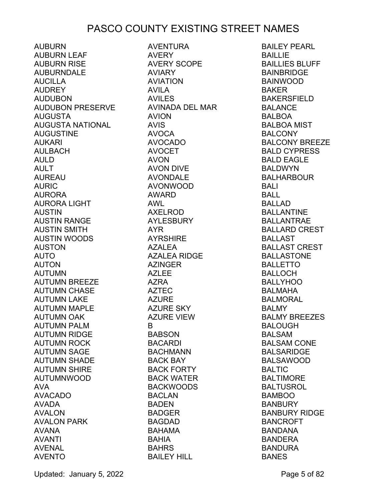AUBURN AUBURN LEAF AUBURN RISE AUBURNDALE AUCILLA AUDREY AUDUBON AUDUBON PRESERVE AUGUSTA AUGUSTA NATIONAL AUGUSTINE AUKARI AULBACH AULD AULT AUREAU AURIC AURORA AURORA LIGHT AUSTIN AUSTIN RANGE AUSTIN SMITH AUSTIN WOODS AUSTON AUTO AUTON AUTUMN AUTUMN BREEZE AUTUMN CHASE AUTUMN LAKE AUTUMN MAPLE AUTUMN OAK AUTUMN PALM AUTUMN RIDGE AUTUMN ROCK AUTUMN SAGE AUTUMN SHADE AUTUMN SHIRE AUTUMNWOOD AVA AVACADO AVADA AVALON AVALON PARK AVANA AVANTI AVENAL AVENTO

AVENTURA AVERY AVERY SCOPE AVIARY AVIATION AVILA AVILES AVINADA DEL MAR AVION AVIS AVOCA AVOCADO AVOCET AVON AVON DIVE AVONDALE AVONWOOD AWARD AWL AXELROD AYLESBURY AYR AYRSHIRE AZALEA AZALEA RIDGE AZINGER AZLEE AZRA AZTEC AZURE AZURE SKY AZURE VIEW B BABSON BACARDI BACHMANN BACK BAY BACK FORTY BACK WATER BACKWOODS BACLAN BADEN BADGER BAGDAD BAHAMA BAHIA BAHRS BAILEY HILL

BAILEY PEARL BAILLIE BAILLIES BLUFF BAINBRIDGE BAINWOOD BAKER BAKERSFIELD BALANCE BALBOA BALBOA MIST BALCONY BALCONY BREEZE BALD CYPRESS BALD EAGLE BALDWYN BALHARBOUR BALI BALL BALLAD BALLANTINE BALLANTRAE BALLARD CREST **BALLAST** BALLAST CREST BALLASTONE BALLETTO BALLOCH BALLYHOO BALMAHA BALMORAL BALMY BALMY BREEZES BALOUGH BALSAM BALSAM CONE BALSARIDGE BALSAWOOD **BALTIC** BALTIMORE BALTUSROL BAMBOO BANBURY BANBURY RIDGE BANCROFT BANDANA BANDERA BANDURA BANES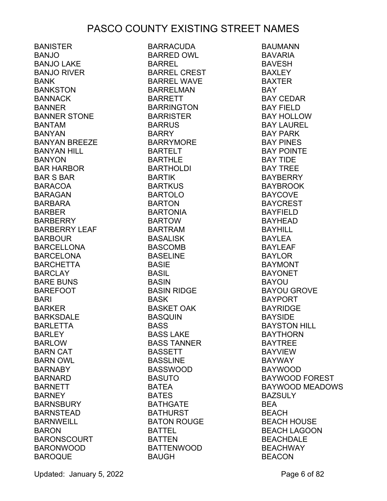BANISTER BANJO BANJO LAKE BANJO RIVER BANK BANKSTON BANNACK BANNER BANNER STONE BANTAM BANYAN BANYAN BREEZE BANYAN HILL BANYON BAR HARBOR BAR S BAR BARACOA BARAGAN BARBARA BARBER BARBERRY BARBERRY LEAF **BARBOUR** BARCELLONA BARCELONA BARCHETTA **BARCLAY** BARE BUNS BAREFOOT BARI BARKER BARKSDALE BARLETTA BARLEY BARLOW BARN CAT BARN OWL **BARNABY** BARNARD **BARNETT BARNEY** BARNSBURY BARNSTEAD BARNWEILL BARON BARONSCOURT BARONWOOD BAROQUE BARRACUDA BARRED OWL BARREL BARREL CREST BARREL WAVE BARRELMAN BARRETT BARRINGTON BARRISTER **BARRUS** BARRY BARRYMORE **BARTELT** BARTHLE BARTHOLDI BARTIK BARTKUS BARTOLO BARTON BARTONIA BARTOW BARTRAM BASALISK BASCOMB BASELINE BASIE BASIL BASIN BASIN RIDGE BASK BASKET OAK BASQUIN **BASS** BASS LAKE BASS TANNER BASSETT BASSLINE BASSWOOD BASUTO BATEA BATES BATHGATE BATHURST BATON ROUGE BATTEL BATTEN BATTENWOOD BAUGH

BAUMANN BAVARIA **BAVESH** BAXLEY BAXTER BAY BAY CEDAR BAY FIELD BAY HOLLOW BAY LAUREL BAY PARK BAY PINES BAY POINTE BAY TIDE BAY TREE BAYBERRY BAYBROOK BAYCOVE BAYCREST BAYFIELD BAYHEAD BAYHILL BAYLEA BAYLEAF BAYLOR BAYMONT BAYONET BAYOU BAYOU GROVE BAYPORT BAYRIDGE BAYSIDE BAYSTON HILL BAYTHORN BAYTREE BAYVIEW BAYWAY BAYWOOD BAYWOOD FOREST BAYWOOD MEADOWS BAZSULY BEA **BEACH** BEACH HOUSE BEACH LAGOON BEACHDALE BEACHWAY BEACON

Updated: January 5, 2022 **Page 6 of 82**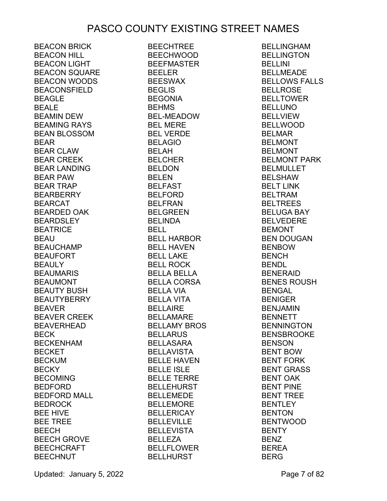BEACON BRICK BEACON HILL BEACON LIGHT BEACON SQUARE BEACON WOODS BEACONSFIELD BEAGLE BEALE BEAMIN DEW BEAMING RAYS BEAN BLOSSOM BEAR BEAR CLAW BEAR CREEK BEAR LANDING BEAR PAW BEAR TRAP BEARBERRY BEARCAT BEARDED OAK BEARDSLEY BEATRICE BEAU BEAUCHAMP BEAUFORT BEAULY BEAUMARIS BEAUMONT BEAUTY BUSH BEAUTYBERRY BEAVER BEAVER CREEK BEAVERHEAD BECK BECKENHAM BECKET BECKUM BECKY BECOMING BEDFORD BEDFORD MALL BEDROCK BEE HIVE BEE TREE BEECH BEECH GROVE BEECHCRAFT BEECHNUT

BEECHTREE BEECHWOOD BEEFMASTER BEELER BEESWAX BEGLIS BEGONIA BEHMS BEL-MEADOW BEL MERE BEL VERDE BELAGIO BELAH BELCHER BELDON BELEN BELFAST BELFORD BELFRAN BELGREEN **BELINDA** BELL BELL HARBOR BELL HAVEN BELL LAKE BELL ROCK BELLA BELLA BELLA CORSA BELLA VIA BELLA VITA BELLAIRE BELLAMARE BELLAMY BROS BELLARUS BELLASARA BELLAVISTA BELLE HAVEN BELLE ISLE BELLE TERRE BELLEHURST BELLEMEDE BELLEMORE BELLERICAY BELLEVILLE BELLEVISTA BELLEZA BELLFLOWER BELLHURST

BELLINGHAM BELLINGTON BELLINI BELLMEADE BELLOWS FALLS BELLROSE BELLTOWER BELLUNO BELLVIEW BELLWOOD BELMAR BELMONT BELMONT BELMONT PARK BELMULLET BELSHAW BELT LINK BELTRAM BELTREES BELUGA BAY BELVEDERE BEMONT BEN DOUGAN BENBOW BENCH BENDL BENERAID BENES ROUSH BENGAL BENIGER BENJAMIN BENNETT BENNINGTON BENSBROOKE BENSON BENT BOW BENT FORK BENT GRASS BENT OAK BENT PINE BENT TREE BENTLEY BENTON BENTWOOD BENTY BENZ BEREA BERG

Updated: January 5, 2022 **Page 7 of 82**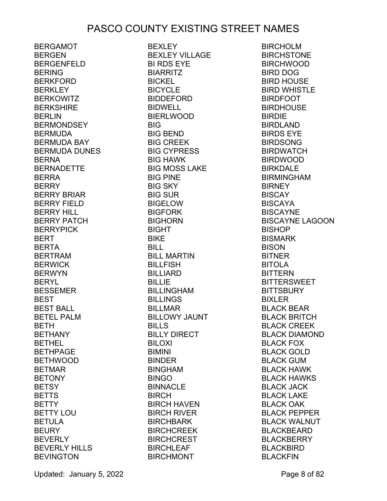BERGAMOT BERGEN BERGENFELD BERING BERKFORD BERKLEY BERKOWITZ BERKSHIRE BERLIN BERMONDSEY BERMUDA BERMUDA BAY BERMUDA DUNES BERNA BERNADETTE BERRA BERRY BERRY BRIAR BERRY FIELD BERRY HILL BERRY PATCH BERRYPICK BERT BERTA BERTRAM BERWICK BERWYN BERYL BESSEMER BEST BEST BALL BETEL PALM BETH BETHANY BETHEL BETHPAGE BETHWOOD BETMAR BETONY **BETSY** BETTS BETTY BETTY LOU BETULA BEURY BEVERLY BEVERLY HILLS **BEVINGTON** 

BEXLEY BEXLEY VILLAGE BI RDS EYE BIARRITZ BICKEL **BICYCLE** BIDDEFORD BIDWELL BIERLWOOD **BIG** BIG BEND BIG CREEK BIG CYPRESS BIG HAWK BIG MOSS LAKE BIG PINE BIG SKY BIG SUR BIGELOW BIGFORK BIGHORN BIGHT BIKE BILL BILL MARTIN BILLFISH BILLIARD BILLIE BILLINGHAM BILLINGS BILLMAR BILLOWY JAUNT BILLS BILLY DIRECT BILOXI BIMINI BINDER BINGHAM BINGO BINNACLE BIRCH BIRCH HAVEN **BIRCH RIVER** BIRCHBARK BIRCHCREEK BIRCHCREST BIRCHLEAF BIRCHMONT

BIRCHOLM **BIRCHSTONE** BIRCHWOOD BIRD DOG BIRD HOUSE BIRD WHISTLE BIRDFOOT **BIRDHOUSE** BIRDIE BIRDLAND BIRDS EYE BIRDSONG BIRDWATCH BIRDWOOD BIRKDALE BIRMINGHAM **BIRNEY** BISCAY BISCAYA BISCAYNE BISCAYNE LAGOON **BISHOP** BISMARK BISON BITNER BITOLA BITTERN BITTERSWEET **BITTSBURY** BIXLER BLACK BEAR BLACK BRITCH BLACK CREEK BLACK DIAMOND BLACK FOX BLACK GOLD BLACK GUM BLACK HAWK BLACK HAWKS BLACK JACK BLACK LAKE BLACK OAK BLACK PEPPER BLACK WALNUT BLACKBEARD BLACKBERRY BLACKBIRD BLACKFIN

Updated: January 5, 2022 **Page 8 of 82**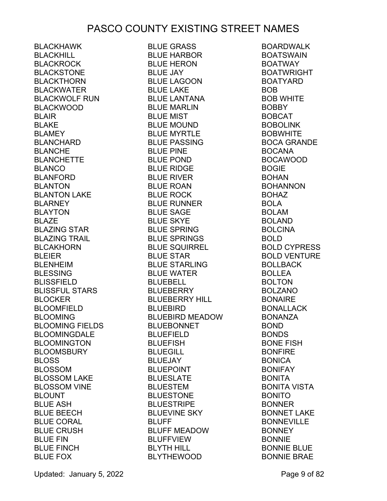BLACKHAWK BLACKHILL BLACKROCK BLACKSTONE BLACKTHORN BLACKWATER BLACKWOLF RUN BLACKWOOD BLAIR BLAKE BLAMEY BLANCHARD BLANCHE BLANCHETTE BLANCO BLANFORD BLANTON BLANTON LAKE BLARNEY BLAYTON BLAZE BLAZING STAR BLAZING TRAIL BLCAKHORN BLEIER BLENHEIM BLESSING BLISSFIELD BLISSFUL STARS BLOCKER BLOOMFIELD BLOOMING BLOOMING FIELDS BLOOMINGDALE BLOOMINGTON BLOOMSBURY BLOSS BLOSSOM BLOSSOM LAKE BLOSSOM VINE BLOUNT BLUE ASH BLUE BEECH BLUE CORAL BLUE CRUSH BLUE FIN BLUE FINCH BLUE FOX

BLUE GRASS<br>BLUE HARBOR BLUE HARBOR BLUE HERON BLUE JAY BLUE LAGOON BLUE LAKE BLUE LANTANA BLUE MARLIN BLUE MIST BLUE MOUND BLUE MYRTLE BLUE PASSING BLUE PINE BLUE POND BLUE RIDGE BLUE RIVER BLUE ROAN BLUE ROCK BLUE RUNNER BLUE SAGE BLUE SKYE BLUE SPRING BLUE SPRINGS BLUE SQUIRREL BLUE STAR BLUE STARLING BLUE WATER BLUEBELL BLUEBERRY BLUEBERRY HILL BLUEBIRD BLUEBIRD MEADOW BLUEBONNET BLUEFIELD BLUEFISH BLUEGILL BLUEJAY BLUEPOINT BLUESLATE BLUESTEM BLUESTONE BLUESTRIPE BLUEVINE SKY BLUFF BLUFF MEADOW BLUFFVIEW BLUFF MEADOW<br>BLUFFVIEW<br>BLYTH HILL BLYTHEWOOD

BOARDWALK **BOATSWAIN** BOATWAY BOATWRIGHT BOATYARD BOB BOB WHITE BOBBY BOBCAT BOBOLINK BOBWHITE BOCA GRANDE BOCANA BOCAWOOD BOGIE BOHAN BOHANNON BOHAZ BOLA BOLAM BOLAND BOLCINA BOLD BOLD CYPRESS BOLD VENTURE BOLLBACK BOLLEA BOLTON BOLZANO BONAIRE BONALLACK BONANZA BOND BONDS BONE FISH BONFIRE BONICA BONIFAY BONITA BONITA VISTA BONITO BONNER BONNET LAKE BONNEVILLE BONNEY BONNIE BONNIE BLUE BONNIE BRAE

Updated: January 5, 2022 **Page 9 of 82**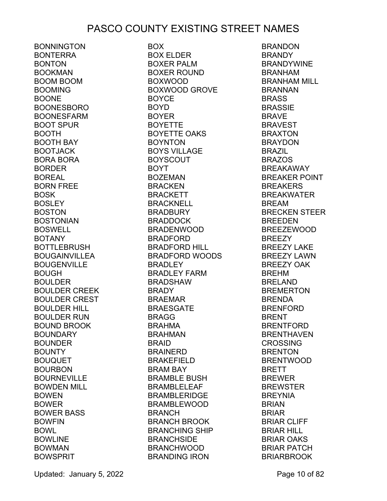BONNINGTON BONTERRA BONTON BOOKMAN BOOM BOOM BOOMING **BOONE** BOONESBORO BOONESFARM BOOT SPUR BOOTH BOOTH BAY BOOTJACK BORA BORA BORDER BOREAL BORN FREE BOSK **BOSLEY** BOSTON BOSTONIAN BOSWELL BOTANY BOTTLEBRUSH BOUGAINVILLEA BOUGENVILLE BOUGH BOULDER BOULDER CREEK BOULDER CREST BOULDER HILL BOULDER RUN BOUND BROOK BOUNDARY BOUNDER BOUNTY BOUQUET BOURBON BOURNEVILLE BOWDEN MILL BOWEN BOWER BOWER BASS BOWFIN BOWL BOWLINE BOWMAN **BOWSPRIT** 

BOX BOX ELDER BOXER PALM BOXER ROUND BOXWOOD BOXWOOD GROVE BOYCE BOYD BOYER BOYETTE BOYETTE OAKS BOYNTON BOYS VILLAGE BOYSCOUT BOYT BOZEMAN BRACKEN BRACKETT BRACKNELL BRADBURY BRADDOCK BRADENWOOD BRADFORD BRADFORD HILL BRADFORD WOODS BRADLEY BRADLEY FARM BRADSHAW BRADY BRAEMAR BRAESGATE BRAGG BRAHMA BRAHMAN BRAID BRAINERD BRAKEFIELD BRAM BAY BRAMBLE BUSH BRAMBLELEAF BRAMBLERIDGE BRAMBLEWOOD BRANCH BRANCH BROOK BRANCHING SHIP BRANCHSIDE BRANCHWOOD BRANDING IRON

BRANDON BRANDY **BRANDYWINE** BRANHAM BRANHAM MILL BRANNAN **BRASS** BRASSIE BRAVE BRAVEST BRAXTON BRAYDON BRAZIL BRAZOS BREAKAWAY BREAKER POINT BREAKERS BREAKWATER BREAM BRECKEN STEER BREEDEN BREEZEWOOD BREEZY BREEZY LAKE BREEZY LAWN BREEZY OAK BREHM BRELAND BREMERTON BRENDA BRENFORD BRENT BRENTFORD BRENTHAVEN CROSSING BRENTON BRENTWOOD BRETT BREWER BREWSTER BREYNIA BRIAN BRIAR BRIAR CLIFF BRIAR HILL BRIAR OAKS BRIAR PATCH BRIARBROOK

Updated: January 5, 2022 **Page 10 of 82**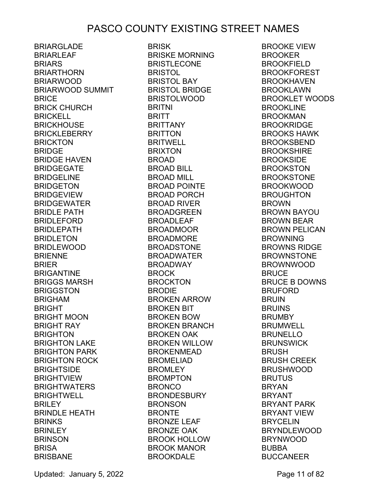BRIARGLADE BRIARLEAF **BRIARS** BRIARTHORN BRIARWOOD BRIARWOOD SUMMIT **BRICE** BRICK CHURCH **BRICKELL** BRICKHOUSE BRICKLEBERRY BRICKTON BRIDGE BRIDGE HAVEN BRIDGEGATE BRIDGELINE BRIDGETON BRIDGEVIEW BRIDGEWATER BRIDLE PATH BRIDLEFORD BRIDLEPATH BRIDLETON BRIDLEWOOD **BRIENNE** BRIER BRIGANTINE BRIGGS MARSH BRIGGSTON BRIGHAM BRIGHT BRIGHT MOON BRIGHT RAY **BRIGHTON** BRIGHTON LAKE BRIGHTON PARK BRIGHTON ROCK **BRIGHTSIDE** BRIGHTVIEW BRIGHTWATERS BRIGHTWELL **BRILEY** BRINDLE HEATH **BRINKS BRINLEY** BRINSON **BRISA BRISBANE** 

BRISK BRISKE MORNING BRISTLECONE BRISTOL BRISTOL BAY BRISTOL BRIDGE BRISTOLWOOD BRITNI **BRITT** BRITTANY BRITTON BRITWELL BRIXTON BROAD BROAD BILL BROAD MILL BROAD POINTE BROAD PORCH BROAD RIVER BROADGREEN BROADLEAF BROADMOOR BROADMORE BROADSTONE BROADWATER BROADWAY BROCK BROCKTON BRODIE BROKEN ARROW BROKEN BIT BROKEN BOW BROKEN BRANCH BROKEN OAK BROKEN WILLOW BROKENMEAD BROMELIAD **BROMLEY** BROMPTON BRONCO BRONDESBURY BRONSON BRONTE BRONZE LEAF BRONZE OAK BROOK HOLLOW BROOK MANOR BROOKDALE

BROOKE VIEW BROOKER BROOKFIFI D BROOKFOREST BROOKHAVEN BROOKLAWN BROOKLET WOODS BROOKLINE BROOKMAN BROOKRIDGE BROOKS HAWK BROOKSBEND **BROOKSHIRE** BROOKSIDE BROOKSTON BROOKSTONE BROOKWOOD BROUGHTON BROWN BROWN BAYOU BROWN BEAR BROWN PELICAN BROWNING BROWNS RIDGE BROWNSTONE BROWNWOOD **BRUCE** BRUCE B DOWNS BRUFORD BRUIN BRUINS BRUMBY BRUMWELL BRUNELLO **BRUNSWICK** BRUSH BRUSH CREEK BRUSHWOOD BRUTUS BRYAN BRYANT BRYANT PARK BRYANT VIEW BRYCELIN BRYNDLEWOOD BRYNWOOD BUBBA BUCCANEER

Updated: January 5, 2022 **Page 11 of 82**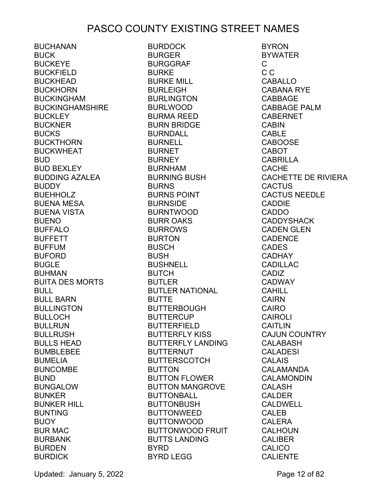**BUCHANAN** BUCK BUCKEYE BUCKFIELD BUCKHEAD BUCKHORN BUCKINGHAM BUCKINGHAMSHIRE **BUCKLEY** BUCKNER BUCKS BUCKTHORN BUCKWHEAT BUD BUD BEXLEY BUDDING AZALEA BUDDY BUEHHOLZ BUENA MESA BUENA VISTA BUENO BUFFALO BUFFETT BUFFUM BUFORD BUGLE BUHMAN BUITA DES MORTS BULL BULL BARN BULLINGTON BULLOCH BULLRUN BULLRUSH BULLS HEAD BUMBLEBEE BUMELIA BUNCOMBE BUND BUNGALOW BUNKER BUNKER HILL BUNTING BUOY BUR MAC BURBANK BURDEN **BURDICK** 

BURDOCK BURGER BURGGRAF BURKE BURKE MILL BURLEIGH BURLINGTON BURLWOOD BURMA REED BURN BRIDGE BURNDALL BURNELL BURNET BURNEY BURNHAM BURNING BUSH BURNS BURNS POINT BURNSIDE BURNTWOOD BURR OAKS BURROWS BURTON BUSCH BUSH BUSHNELL BUTCH BUTLER BUTLER NATIONAL **BUTTE** BUTTERBOUGH BUTTERCUP BUTTERFIELD BUTTERFLY KISS BUTTERFLY LANDING BUTTERNUT BUTTERSCOTCH BUTTON BUTTON FLOWER BUTTON MANGROVE BUTTONBALL BUTTONBUSH BUTTONWEED BUTTONWOOD BUTTONWOOD FRUIT BUTTS LANDING BYRD BYRD LEGG

BYRON BYWATER  $\mathcal{C}$ C C CABALLO CABANA RYE CABBAGE CABBAGE PALM CABERNET CABIN CABLE **CABOOSE** CABOT CABRILLA CACHE CACHETTE DE RIVIERA CACTUS CACTUS NEEDLE CADDIE CADDO CADDYSHACK CADEN GLEN CADENCE CADES CADHAY CADILLAC CADIZ CADWAY CAHILL CAIRN CAIRO CAIROLI CAITLIN CAJUN COUNTRY CALABASH CALADESI CALAIS CALAMANDA CALAMONDIN CALASH CALDER CALDWELL CALEB CALERA CALHOUN CALIBER **CALICO** CALIENTE

Updated: January 5, 2022 **Page 12 of 82**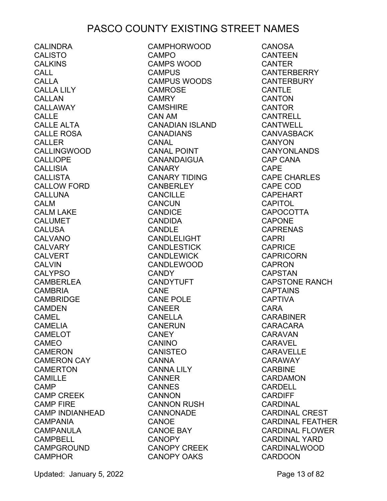CALINDRA CALISTO CAI KINS CALL CALLA CALLA LILY CALL AN CALLAWAY CALLE CALLE ALTA CALLE ROSA CALLER CALLINGWOOD CALLIOPE CALLISIA **CALLISTA** CALLOW FORD CALLUNA CALM CALM LAKE CALUMET **CALUSA** CALVANO CALVARY CALVERT **CALVIN** CALYPSO CAMBERLEA CAMBRIA CAMBRIDGE CAMDEN CAMEL CAMELIA CAMELOT CAMEO CAMERON CAMERON CAY **CAMERTON** CAMILLE CAMP CAMP CREEK CAMP FIRE CAMP INDIANHEAD CAMPANIA CAMPANULA CAMPBELL CAMPGROUND **CAMPHOR** 

CAMPHORWOOD CAMPO CAMPS WOOD CAMPUS CAMPUS WOODS CAMROSE CAMRY CAMSHIRE CAN AM CANADIAN ISLAND CANADIANS CANAL CANAL POINT CANANDAIGUA CANARY CANARY TIDING CANBERLEY CANCILLE **CANCUN** CANDICE CANDIDA CANDLE CANDLELIGHT CANDLESTICK CANDLEWICK CANDLEWOOD CANDY CANDYTUFT CANE CANE POLE CANEER CANELLA CANERUN **CANEY** CANINO CANISTEO CANNA CANNA LILY CANNER **CANNES CANNON** CANNON RUSH CANNONADE CANOE CANOE BAY CANOPY CANOPY CREEK CANOPY OAKS

CANOSA CANTEEN CANTER **CANTERBERRY CANTERBURY CANTLE CANTON** CANTOR CANTRELL CANTWELL CANVASBACK CANYON CANYONLANDS CAP CANA CAPE CAPE CHARLES CAPE COD CAPEHART **CAPITOL** CAPOCOTTA CAPONE CAPRENAS CAPRI CAPRICE **CAPRICORN** CAPRON CAPSTAN CAPSTONE RANCH **CAPTAINS** CAPTIVA CARA **CARABINER** CARACARA CARAVAN CARAVEL CARAVELLE CARAWAY CARBINE CARDAMON CARDELL CARDIFF CARDINAL CARDINAL CREST CARDINAL FEATHER CARDINAL FLOWER CARDINAL YARD CARDINALWOOD **CARDOON** 

Updated: January 5, 2022 **Page 13 of 82**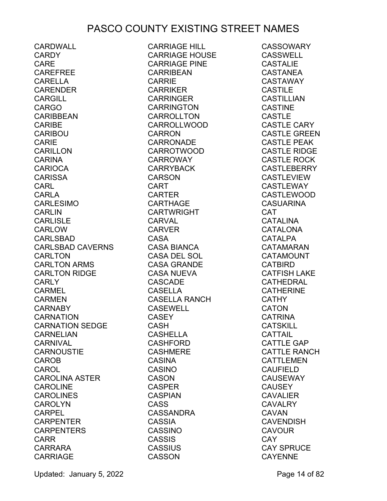CARDWALL **CARDY** CARE CAREFREE CARELLA CARENDER CARGILL CARGO **CARIBBEAN** CARIBE CARIBOU CARIE CARILLON CARINA CARIOCA CARISSA CARL CARLA CARLESIMO CARLIN CARLISLE CARLOW CARLSBAD CARLSBAD CAVERNS CARLTON CARLTON ARMS CARLTON RIDGE CARLY CARMEL CARMEN CARNABY CARNATION CARNATION SEDGE CARNELIAN CARNIVAL CARNOUSTIE CAROB CAROL CAROLINA ASTER CAROLINE CAROLINES CAROLYN CARPEL CARPENTER CARPENTERS CARR CARRARA CARRIAGE

CARRIAGE HILL CARRIAGE HOUSE CARRIAGE PINE CARRIBEAN CARRIE CARRIKER CARRINGER CARRINGTON CARROLLTON CARROLLWOOD CARRON CARRONADE CARROTWOOD CARROWAY CARRYBACK CARSON CART CARTER CARTHAGE CARTWRIGHT CARVAL **CARVER** CASA CASA BIANCA CASA DEL SOL CASA GRANDE CASA NUEVA CASCADE CASELLA CASELLA RANCH CASEWELL CASEY CASH CASHELLA CASHFORD CASHMERE CASINA CASINO CASON CASPER CASPIAN CASS CASSANDRA CASSIA CASSINO CASSIS **CASSIUS** CASSON

**CASSOWARY** CASSWELL CASTALIE CASTANEA CASTAWAY CASTILE CASTILLIAN **CASTINE** CASTLE CASTLE CARY CASTLE GREEN CASTLE PEAK CASTLE RIDGE CASTLE ROCK CASTLEBERRY CASTLEVIEW CASTLEWAY CASTLEWOOD CASUARINA CAT CATALINA CATALONA CATALPA CATAMARAN CATAMOUNT CATBIRD CATFISH LAKE CATHEDRAL CATHERINE **CATHY** CATON CATRINA CATSKILL **CATTAIL** CATTLE GAP CATTLE RANCH CATTLEMEN CAUFIELD **CAUSEWAY CAUSEY** CAVALIER **CAVALRY** CAVAN CAVENDISH CAVOUR CAY CAY SPRUCE CAYENNE

Updated: January 5, 2022 **Page 14 of 82**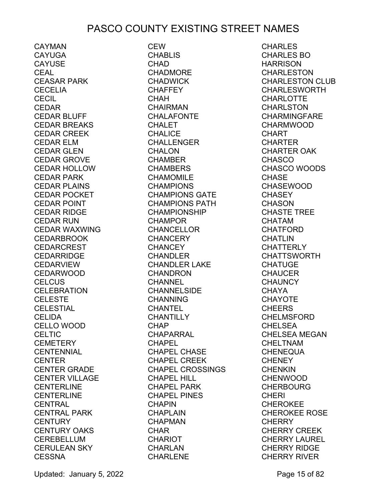CAYMAN CAYUGA **CAYUSE** CEAL CEASAR PARK **CECELIA CECIL** CEDAR CEDAR BLUFF CEDAR BREAKS CEDAR CREEK CEDAR ELM CEDAR GLEN CEDAR GROVE CEDAR HOLLOW CEDAR PARK CEDAR PLAINS CEDAR POCKET CEDAR POINT CEDAR RIDGE CEDAR RUN CEDAR WAXWING CEDARBROOK CEDARCREST CEDARRIDGE CEDARVIEW CEDARWOOD **CELCUS** CELEBRATION CELESTE CELESTIAL CELIDA CELLO WOOD **CELTIC CEMETERY** CENTENNIAL CENTER CENTER GRADE CENTER VILLAGE CENTERLINE CENTERLINE CENTRAL CENTRAL PARK **CENTURY** CENTURY OAKS CEREBELLUM CERULEAN SKY **CESSNA** 

**CEW CHABLIS CHAD** CHADMORE CHADWICK **CHAFFEY** CHAH CHAIRMAN **CHALAFONTE CHALET** CHALICE CHALLENGER CHALON CHAMBER CHAMBERS CHAMOMILE CHAMPIONS CHAMPIONS GATE CHAMPIONS PATH CHAMPIONSHIP CHAMPOR CHANCELLOR **CHANCERY** CHANCEY CHANDLER CHANDLER LAKE CHANDRON CHANNEL CHANNELSIDE CHANNING CHANTEL **CHANTILLY** CHAP CHAPARRAL CHAPEL CHAPEL CHASE CHAPEL CREEK CHAPEL CROSSINGS CHAPEL HILL CHAPEL PARK CHAPEL PINES **CHAPIN** CHAPLAIN CHAPMAN CHAR CHARIOT CHARLAN CHARLENE

CHARLES CHARLES BO **HARRISON** CHARLESTON CHARLESTON CLUB CHARLESWORTH **CHARLOTTE** CHARLSTON CHARMINGFARE CHARMWOOD CHART CHARTER CHARTER OAK **CHASCO** CHASCO WOODS **CHASE** CHASEWOOD **CHASEY CHASON** CHASTE TREE CHATAM CHATFORD CHATLIN **CHATTERLY** CHATTSWORTH **CHATUGE CHAUCER CHAUNCY** CHAYA CHAYOTE CHEERS CHELMSFORD CHELSEA CHELSEA MEGAN CHELTNAM CHENEQUA **CHENEY CHENKIN** CHENWOOD **CHERBOURG CHERI** CHEROKEE CHEROKEE ROSE **CHERRY** CHERRY CREEK CHERRY LAUREL CHERRY RIDGE CHERRY RIVER

Updated: January 5, 2022 **Page 15 of 82**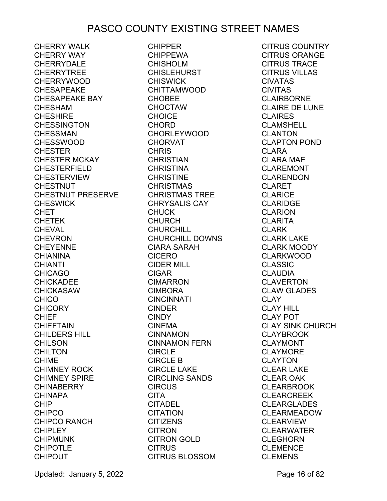CHERRY WALK CHERRY WAY CHERRYDALE CHERRYTREE CHERRYWOOD CHESAPEAKE CHESAPEAKE BAY CHESHAM CHESHIRE CHESSINGTON CHESSMAN CHESSWOOD **CHESTER** CHESTER MCKAY CHESTERFIELD CHESTERVIEW **CHESTNUT** CHESTNUT PRESERVE CHESWICK CHET CHETEK CHEVAL CHEVRON CHEYENNE CHIANINA CHIANTI CHICAGO CHICKADEE CHICKASAW **CHICO** CHICORY<br>CHIFF CHIEF CHIEFTAIN CHIEFTAIN<br>CHILDERS HILL CHILSON CHILTON CHIME CHIMNEY ROCK CHIMNEY SPIRE **CHINABERRY** CHINAPA CHIP CHIPCO<sub>.</sub> CHIPCO RANCH CHIPLEY CHIPMUNK CHIPOTLE CHIPOUT

CHIPPER CHIPPEWA CHISHOLM CHISLEHURST CHISWICK CHITTAMWOOD CHOBEE CHOCTAW CHOICE CHORD CHORLEYWOOD CHORVAT CHRIS CHRISTIAN CHRISTINA CHRISTINE CHRISTMAS CHRISTMAS TREE CHRYSALIS CAY CHUCK CHURCH<br>CHURCHILL CHURCHILL CHURCHILL DOWNS CIARA SARAH CICERO CIDER MILL CIGAR CIMARRON CIMBORA CINCINNATI CINDER **CINDY** CINEMA CINNAMON CINNAMON FERN CIRCLE CIRCLE B CIRCLE LAKE CIRCLING SANDS CIRCUS CITA CITADEL CITATION CITIZENS CITRON CITRON GOLD CITRUS CITRUS BLOSSOM

CITRUS COUNTRY CITRUS ORANGE CITRUS TRACE CITRUS VILLAS CIVATAS CIVITAS CLAIRBORNE CLAIRE DE LUNE CLAIRES CLAMSHELL CLANTON CLAPTON POND CLARA CLARA MAE CLAREMONT CLARENDON CLARET CLARICE CLARIDGE CLARION CLARITA CLARK CLARN<br>CLARK LAKE CLARK MOODY CLARKWOOD CLASSIC CLAUDIA CLAVERTON CLAW GLADES CLAY CLAY HILL CLAY POT CLAY SINK CHURCH CLAYBROOK CLAYMONT CLAYMORE CLAYTON CLEAR LAKE CLEAR OAK CLEARBROOK CLEARCREEK CLEARGLADES CLEARMEADOW CLEARVIEW CLEARWATER CLEGHORN CLEMENCE CLEMENS

Updated: January 5, 2022 **Page 16 of 82**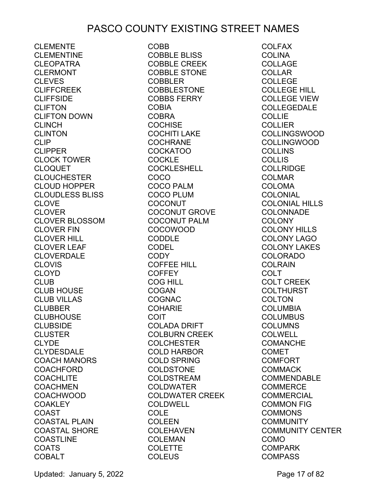CLEMENTE CLEMENTINE CLEOPATRA CLERMONT CLEVES CLIFFCREEK CLIFFSIDE CLIFTON CLIFTON DOWN CLINCH CLINTON CLIP **CLIPPER** CLOCK TOWER CLOQUET **CLOUCHESTER** CLOUD HOPPER CLOUDLESS BLISS CLOVE CLOVER CLOVER BLOSSOM CLOVER FIN CLOVER HILL CLOVER LEAF CLOVERDALE **CLOVIS** CLOYD CLUB CLUB HOUSE CLUB VILLAS CLUBBER CLUBHOUSE CLUBSIDE **CLUSTER** CLYDE CLYDESDALE COACH MANORS COACHFORD COACHLITE COACHMEN COACHWOOD **COAKLEY** COAST COASTAL PLAIN COASTAL SHORE COASTLINE COATS COBALT

COBB COBBLE BLISS COBBLE CREEK COBBLE STONE COBBLER COBBLESTONE COBBS FERRY COBIA COBRA **COCHISE** COCHITI LAKE COCHRANE COCKATOO COCKLE COCKLESHELL COCO COCO PALM COCO PLUM **COCONUT** COCONUT GROVE COCONUT PALM COCOWOOD CODDLE CODEL CODY COFFEE HILL COFFEY COG HILL COGAN COGNAC **COHARIE** COIT COLADA DRIFT COLBURN CREEK COLCHESTER COLD HARBOR COLD SPRING COLDSTONE COLDSTREAM COLDWATER COLDWATER CREEK COLDWELL **COLE** COLEEN COLEHAVEN COLEMAN COLETTE **COLEUS** 

COLFAX **COLINA** COLLAGE COLLAR COLLEGE COLLEGE HILL COLLEGE VIEW COLLEGEDALE **COLLIE COLLIER** COLLINGSWOOD COLLINGWOOD COLLINS **COLLIS** COLLRIDGE COLMAR COLOMA COLONIAL COLONIAL HILLS COLONNADE **COLONY** COLONY HILLS COLONY LAGO COLONY LAKES COLORADO COLRAIN COLT COLT CREEK COLTHURST **COLTON** COLUMBIA **COLUMBUS** COLUMNS COLWELL **COMANCHE** COMET COMFORT COMMACK COMMENDABLE **COMMERCE COMMERCIAL** COMMON FIG **COMMONS COMMUNITY** COMMUNITY CENTER COMO COMPARK **COMPASS** 

Updated: January 5, 2022 **Page 17 of 82**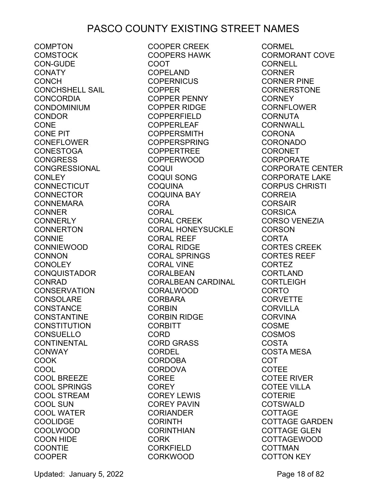**COMPTON** COMSTOCK CON-GUDE **CONATY** CONCH CONCHSHELL SAIL CONCORDIA CONDOMINIUM CONDOR CONE CONE PIT CONEFLOWER **CONESTOGA** CONGRESS CONGRESSIONAL **CONLEY CONNECTICUT** CONNECTOR CONNEMARA **CONNER CONNERLY CONNERTON CONNIE** CONNIEWOOD CONNON **CONOLEY** CONQUISTADOR CONRAD **CONSERVATION** CONSOLARE CONSTANCE CONSTANTINE CONSTITUTION CONSUELLO CONTINENTAL CONWAY COOK **COOL** COOL BREEZE COOL SPRINGS COOL STREAM COOL SUN COOL WATER COOLIDGE COOLWOOD COON HIDE **COONTIE** COOPER

COOPER CREEK COOPERS HAWK COOT COPELAND **COPERNICUS** COPPER COPPER PENNY COPPER RIDGE COPPERFIELD COPPERLEAF COPPERSMITH COPPERSPRING COPPERTREE COPPERWOOD COQUI COQUI SONG COQUINA COQUINA BAY CORA CORAL CORAL CREEK CORAL HONEYSUCKLE CORAL REEF CORAL RIDGE CORAL SPRINGS CORAL VINE CORALBEAN CORALBEAN CARDINAL CORALWOOD<br>CORBARA CORBARA **CORBIN** CORBIN RIDGE CORBITT CORD CORD GRASS CORDEL CORDOBA CORDOVA COREE **COREY** COREY LEWIS COREY PAVIN CORIANDER CORINTH CORINTHIAN CORK CORKFIELD CORKWOOD

CORMEL CORMORANT COVE CORNELL **CORNER** CORNER PINE CORNERSTONE **CORNEY** CORNFLOWER CORNUTA CORNWALL CORONA CORONADO CORONET CORPORATE CORPORATE CENTER CORPORATE LAKE CORPUS CHRISTI **CORREIA** CORSAIR **CORSICA** CORSO VENEZIA **CORSON** CORTA CORTES CREEK CORTES REEF CORTEZ CORTLAND **CORTLEIGH** CORTO **CORVETTE CORVILLA** CORVINA COSME COSMOS COSTA COSTA MESA COT COTEE COTEE RIVER COTEE VILLA COTERIE **COTSWALD** COTTAGE COTTAGE GARDEN COTTAGE GLEN COTTAGEWOOD COTTMAN COTTON KEY

Updated: January 5, 2022 **Page 18 of 82**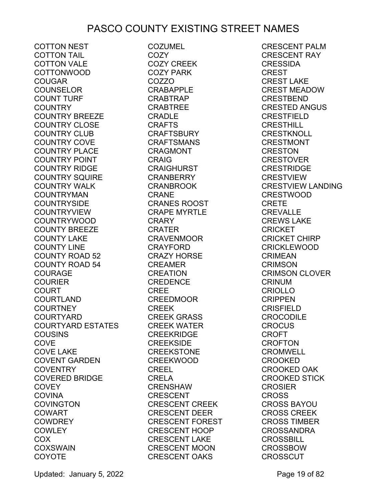COTTON NEST COTTON TAIL COTTON VALE COTTONWOOD COUGAR COUNSELOR COUNT TURF COUNTRY COUNTRY BREEZE COUNTRY CLOSE COUNTRY CLUB COUNTRY COVE COUNTRY PLACE COUNTRY POINT COUNTRY RIDGE COUNTRY SQUIRE COUNTRY WALK COUNTRYMAN COUNTRYSIDE COUNTRYVIEW COUNTRYWOOD COUNTY BREEZE COUNTY LAKE COUNTY LINE COUNTY ROAD 52 COUNTY ROAD 54 COURAGE COURIER COURT COURTLAND COURTNEY COURTYARD COURTYARD ESTATES COUSINS **COVE** COVE LAKE COVENT GARDEN **COVENTRY** COVERED BRIDGE **COVEY COVINA** COVINGTON COWART COWDREY **COWLEY** COX COXSWAIN **COYOTE** 

COZUMEL COZY COZY CREEK COZY PARK COZZO CRABAPPLE CRABTRAP CRABTREE CRADLE CRAFTS CRAFTSBURY CRAFTSMANS CRAGMONT CRAIG CRAIGHURST CRANBERRY CRANBROOK CRANE CRANES ROOST CRAPE MYRTLE CRARY CRATER CRAVENMOOR CRAYFORD CRAZY HORSE CREAMER CREATION CREDENCE CREE CREEDMOOR CREEK CREEK GRASS CREEK WATER CREEKRIDGE CREEKSIDE CREEKSTONE CREEKWOOD CREEL CRELA CRENSHAW CRESCENT CRESCENT CREEK CRESCENT DEER CRESCENT FOREST CRESCENT FOREST<br>CRESCENT HOOP CRESCENT LAKE CRESCENT MOON CRESCENT OAKS

CRESCENT PALM CRESCENT RAY **CRESSIDA** CREST CREST LAKE CREST MEADOW CRESTBEND CRESTED ANGUS CRESTFIELD CRESTHILL **CRESTKNOLL** CRESTMONT CRESTON **CRESTOVER** CRESTRIDGE CRESTVIEW CRESTVIEW LANDING CRESTWOOD CRETE CREVALLE CREWS LAKE **CRICKET** CRICKET CHIRP CRICKLEWOOD CRIMEAN CRIMSON CRIMSON CLOVER CRINUM CRIOLLO CRIPPEN CRISFIELD CROCODILE CROCUS CROFT CROFTON CROMWELL CROOKED CROOKED OAK CROOKED STICK CROSIER CROSS CROSS BAYOU CROSS CREEK CROSS TIMBER CROSSANDRA CROSSBILL CROSSBOW **CROSSCUT** 

Updated: January 5, 2022 **Page 19 of 82**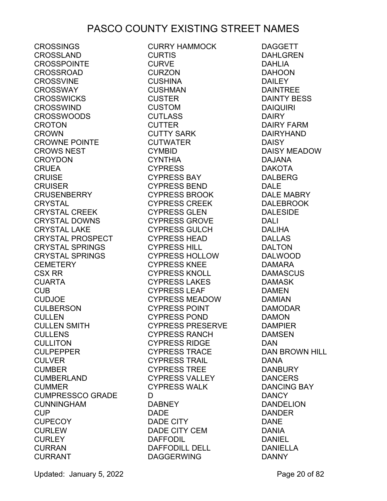**CROSSINGS** CROSSLAND CROSSPOINTE CROSSROAD CROSSVINE CROSSWAY CROSSWICKS CROSSWIND CROSSWOODS **CROTON** CROWN CROWNE POINTE CROWS NEST CROYDON CRUEA CRUISE CRUISER CRUSENBERRY CRYSTAL CRYSTAL CREEK CRYSTAL DOWNS CRYSTAL LAKE CRYSTAL PROSPECT CRYSTAL SPRINGS CRYSTAL SPRINGS CEMETERY CSX RR CUARTA CUB CUDJOE CULBERSON CULLEN CULLEN SMITH CULLENS CULLITON CULPEPPER CULVER CUMBER CUMBERLAND CUMMER CUMPRESSCO GRADE CUMPRESSCO GRADE D<br>CUNNINGHAM DA<br>CUNNINGHAM DA CUP CUPECOY **CURLEW CURLEY** CURRAN **CURRANT** 

CURRY HAMMOCK CURTIS CURVE CURZON CUSHINA CUSHMAN CUSTER CUSTOM CUTLASS CUTTER CUTTY SARK CUTWATER CYMBID CYNTHIA CYPRESS CYPRESS BAY CYPRESS BEND CYPRESS BROOK CYPRESS CREEK CYPRESS GLEN CYPRESS GROVE CYPRESS GULCH CYPRESS HEAD CYPRESS HILL CYPRESS HOLLOW CYPRESS KNEE CYPRESS KNOLL CYPRESS LAKES CYPRESS LEAF CYPRESS MEADOW CYPRESS POINT CYPRESS POND CYPRESS PRESERVE CYPRESS RANCH CYPRESS RIDGE CYPRESS TRACE CYPRESS TRAIL CYPRESS TREE CYPRESS VALLEY CYPRESS WALK D DABNEY DADE DADE CITY DADE CITY CEM DAFFODIL DAFFODILL DELL DAGGERWING

DAGGETT DAHLGREN DAHLIA DAHOON **DAILEY** DAINTREE DAINTY BESS DAIQUIRI DAIRY DAIRY FARM DAIRYHAND DAISY DAISY MEADOW DAJANA DAKOTA DALBERG DALE DALE MABRY DALEBROOK DALESIDE DALI DALIHA DALLAS DALTON DALWOOD DAMARA DAMASCUS DAMASK DAMEN DAMIAN DAMODAR DAMON DAMPIER DAMSEN DAN DAN BROWN HILL<br>DANA DANA DANBURY DANCERS DANCING BAY DANCY DANDELION DANDER DANE DANIA DANIEL DANIELLA DANNY

Updated: January 5, 2022 **Page 20 of 82**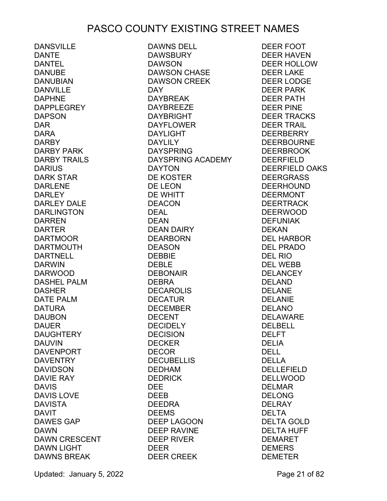DANSVILLE DANTE DANTEL DANUBE DANUBIAN DANVILLE DAPHNE DAPPLEGREY DAPSON DAR DARA DARBY DARBY PARK DARBY TRAILS DARIUS DARK STAR DARLENE **DARLEY** DARLEY DALE DARLINGTON DARREN DARTER DARTMOOR DARTMOUTH DARTNELL DARWIN DARWOOD DASHEL PALM DASHER DATE PALM DATURA DAUBON DAUER DAUGHTERY DAUVIN DAVENPORT DAVENTRY DAVIDSON DAVIE RAY DAVIS DAVIS LOVE DAVISTA DAVIT DAV<sub>II</sub><br>DAWES GAP DAWN DAWN CRESCENT DAWN LIGHT DAWNS BREAK

DAWNS DELL **DAWSBURY** DAWSON DAWSON CHASE DAWSON CREEK DAY DAYBREAK DAYBREEZE DAYBRIGHT DAYFLOWER DAYLIGHT DAYLILY DAYSPRING DAYSPRING ACADEMY DAYTON DE KOSTER DE LEON DE WHITT DEACON DEAL DEAN DEAN DAIRY DEARBORN DEASON DEBBIE DEBLE DEBONAIR DEBRA DECAROLIS DECATUR DECEMBER DECENT DECIDELY DECISION DECKER DECOR DECUBELLIS DEDHAM DEDRICK DEE DEEB DEEDRA DEEMS DEEP LAGOON DEEP RAVINE DEEP RIVER DEER DEER CREEK

DEER FOOT DEER HAVEN DEER HOLLOW DEER LAKE DEER LODGE DEER PARK DEER PATH DEER PINE DEER TRACKS DEER TRAIL DEERBERRY DEERBOURNE DEERBROOK DEERFIELD DEERFIELD OAKS DEERGRASS DEERHOUND DEERMONT DEERTRACK DEERWOOD DEFUNIAK DEKAN DEL HARBOR DEL PRADO DEL RIO DEL WEBB **DELANCEY** DELAND DELANE DELANIE DELANO DELAWARE DELBELL DELFT DELIA DELL DELLA DELLEFIELD DELLWOOD DELMAR DELONG DELRAY DELTA DELTA GOLD DELTA HUFF DEMARET DEMERS DEMETER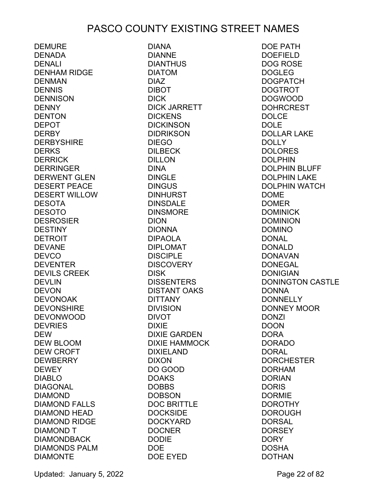DEMURE DENADA DENALI DENHAM RIDGE DENMAN **DENNIS** DENNISON DENNY **DENTON** DEPOT DERBY DERBYSHIRE **DERKS DERRICK DERRINGER** DERWENT GLEN DESERT PEACE DESERT WILLOW DESOTA DESOTO DESROSIER DESTINY DETROIT DEVANE **DEVCO** DEVENTER DEVILS CREEK DEVLIN DEVON DEVONOAK **DEVONSHIRE** DEVONWOOD **DEVRIES** DEW DEW BLOOM DEW CROFT **DEWBERRY DEWEY** DIABLO DIAGONAL DIAMOND DIAMOND FALLS DIAMOND HEAD DIAMOND RIDGE DIAMOND T DIAMONDBACK DIAMONDS PALM DIAMONTE

DIANA DIANNE DIANTHUS DIATOM DIAZ DIBOT DICK DICK JARRETT **DICKENS DICKINSON DIDRIKSON** DIEGO DILBECK DILLON DINA DINGLE DINGUS DINHURST DINSDALE **DINSMORE** DION DIONNA DIPAOLA DIPLOMAT DISCIPLE **DISCOVERY DISK DISSENTERS** DISTANT OAKS DITTANY DIVISION DIVOT DIXIE DIXIE GARDEN DIXIE HAMMOCK DIXIELAND DIXON DO GOOD DOAKS DOBBS DOBSON DOC BRITTLE **DOCKSIDE** DOCKYARD **DOCNER** DODIE DOE DOE EYED

DOE PATH DOEFIELD DOG ROSE DOGLEG DOGPATCH DOGTROT DOGWOOD DOHRCREST DOLCE DOLE DOLLAR LAKE DOLLY **DOLORES** DOLPHIN DOLPHIN BLUFF DOLPHIN LAKE DOLPHIN WATCH DOME DOMER DOMINICK DOMINION DOMINO DONAL DONALD DONAVAN DONEGAL DONIGIAN DONINGTON CASTLE DONNA **DONNELLY** DONNEY MOOR DONZI DOON DORA DORADO DORAL **DORCHESTER** DORHAM DORIAN DORIS DORMIE DOROTHY DOROUGH DORSAL **DORSEY DORY** DOSHA DOTHAN

Updated: January 5, 2022 Page 22 of 82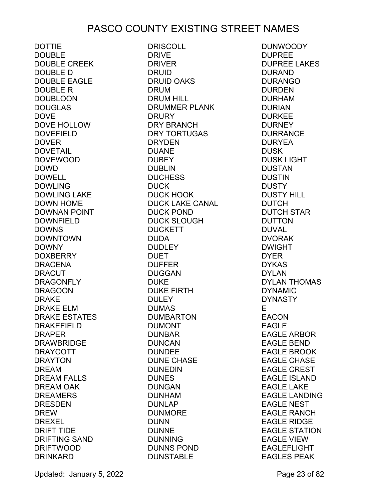DOTTIE DOUBLE DOUBLE CREEK DOUBLE D DOUBLE EAGLE DOUBLE R DOUBLOON DOUGLAS DOVE DOVE HOLLOW DOVEFIELD DOVER DOVETAIL DOVEWOOD DOWD DOWELL DOWLING DOWLING LAKE DOWN HOME DOWNAN POINT DOWNFIELD **DOWNS** DOWNTOWN DOWNY DOXBERRY DRACENA **DRACUT** DRAGONFLY DRAGOON DRAKE DRAKE ELM DRAKE ESTATES DRAKEFIELD DRAPER DRAWBRIDGE DRAYCOTT DRAYTON DREAM DREAM FALLS DREAM OAK DREAMERS DRESDEN **DREW** DREXEL DRIFT TIDE DRIFTING SAND DRIFTWOOD DRINKARD

DRISCOLL DRIVE DRIVER DRUID DRUID OAKS DRUM DRUM HILL DRUMMER PLANK **DRURY** DRY BRANCH DRY TORTUGAS DRYDEN DUANE **DUBEY** DUBLIN **DUCHESS** DUCK DUCK HOOK DUCK LAKE CANAL DUCK POND DUCK SLOUGH **DUCKETT** DUDA **DUDLEY** DUET DUFFER DUGGAN DUKE DUKE FIRTH **DULEY** DUMAS DUMBARTON DUMONT DUNBAR DUNCAN<br>DUNDEE DUNDEE DUNE CHASE DUNEDIN DUNES DUNGAN DUNHAM DUNLAP DUNMORE DUNN DUNNE DUNNING DUNNS POND DUNSTABLE

DUNWOODY DUPREE DUPREE LAKES DURAND DURANGO DURDEN DURHAM DURIAN DURKEE **DURNEY** DURRANCE DURYEA DUSK DUSK LIGHT DUSTAN DUSTIN **DUSTY** DUSTY HILL DUTCH DUTCH STAR DUTTON DUVAL DVORAK DWIGHT DYER DYKAS DYLAN DYLAN THOMAS DYNAMIC DYNASTY E EACON EAGLE EAGLE ARBOR EAGLE BEND EAGLE BROOK EAGLE CHASE EAGLE CREST EAGLE ISLAND EAGLE LAKE EAGLE LANDING EAGLE NEST EAGLE RANCH EAGLE RIDGE EAGLE STATION EAGLE VIEW EAGLEFLIGHT EAGLES PEAK

Updated: January 5, 2022 **Page 23 of 82**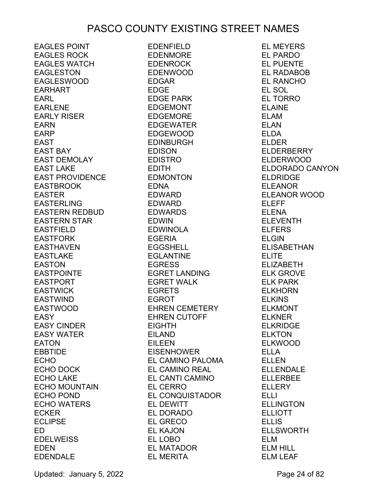EAGLES POINT EAGLES ROCK EAGLES WATCH EAGLESTON EAGLESWOOD EARHART EARL EARLENE EARLY RISER EARN EARP EAST EAST BAY EAST DEMOLAY EAST LAKE EAST PROVIDENCE EASTBROOK EASTER EASTERLING EASTERN REDBUD EASTERN STAR EASTFIELD EASTFORK EASTHAVEN EASTLAKE EASTON EASTPOINTE EASTPORT EASTWICK EASTWIND EASTWOOD<br>EASY EASY EASY CINDER EASY WATER EATON EBBTIDE ECHO ECHO DOCK ECHO LAKE ECHO MOUNTAIN ECHO POND ECHO WATERS ECKER ECLIPSE ED **EDELWEISS** EDEN EDENDALE

**EDENFIELD** EDENMORE EDENROCK EDENWOOD EDGAR EDGE EDGE PARK EDGEMONT EDGEMORE EDGEWATER EDGEWOOD EDINBURGH EDISON EDISTRO EDITH EDMONTON EDNA EDWARD EDWARD EDWARDS EDWIN EDWINOLA EGERIA EGGSHELL EGLANTINE<br>EGDESS EGRESS EGRET LANDING EGRET WALK EGRETS EGROT EHREN CEMETERY EHREN CUTOFF EIGHTH EILAND EILEEN **EISENHOWER** EISENHOWER<br>EL CAMINO PALOMA EL CAMINO REAL EL CANTI CAMINO EL CERRO EL CONQUISTADOR EL DEWITT EL DORADO EL GRECO EL KAJON EL LOBO EL MATADOR EL MERITA

EL MEYERS EL PARDO EL PUENTE EL RADABOB EL RANCHO EL SOL EL TORRO ELAINE ELAM ELAN ELDA ELDER ELDERBERRY ELDERWOOD ELDORADO CANYON ELDRIDGE ELEANOR ELEANOR WOOD ELEFF ELENA ELEVENTH ELFERS ELGIN ELISABETHAN ELITE ELIZABETH ELK GROVE ELK PARK ELKHORN ELKINS ELKMONT ELKNER ELKRIDGE ELKTON ELKWOOD ELLA ELLEN ELLENDALE ELLERBEE ELLERY ELLI ELLINGTON ELLIOTT **ELLIS** ELLSWORTH ELM ELM HILL ELM LEAF

Updated: January 5, 2022 **Page 24 of 82**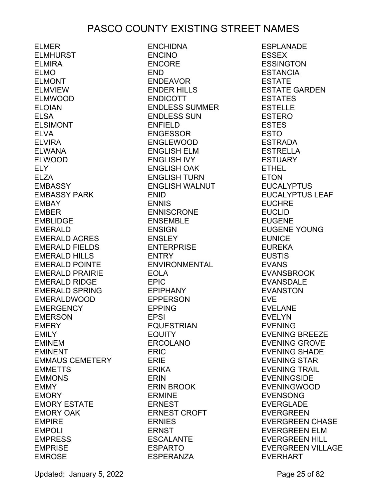ELMER ELMHURST ELMIRA ELMO ELMONT ELMVIEW ELMWOOD ELOIAN ELSA ELSIMONT ELVA ELVIRA ELWANA ELWOOD ELY ELZA EMBASSY EMBASSY PARK EMBAY EMBER EMBLIDGE EMERALD EMERALD ACRES EMERALD FIELDS EMERALD HILLS EMERALD POINTE EMERALD PRAIRIE EMERALD RIDGE EMERALD SPRING EMERALDWOOD EMERGENCY EMERSON EMERY EMILY EMINEM EMINENT EMMAUS CEMETERY EMMETTS EMMONS EMMY EMORY EMORY ESTATE EMORY OAK EMPIRE EMPOLI EMPRESS EMPRISE EMROSE

ENCHIDNA ENCINO ENCORE END ENDEAVOR ENDER HILLS ENDICOTT ENDLESS SUMMER ENDLESS SUN ENFIELD ENGESSOR ENGLEWOOD ENGLISH ELM ENGLISH IVY ENGLISH OAK ENGLISH TURN ENGLISH WALNUT ENID ENNIS ENNISCRONE ENSEMBLE ENSIGN ENSLEY ENTERPRISE ENTRY ENVIRONMENTAL EOLA EPIC EPIPHANY EPPERSON EPPING EPSI EQUESTRIAN **EQUITY** ERCOLANO ERIC ERIE ERIKA<br>ERIKI ERIN ERIN BROOK ERMINE ERNEST ERNEST CROFT ERNIES ERNST ESCALANTE ESPARTO ESPERANZA

ESPLANADE ESSEX **FSSINGTON ESTANCIA** ESTATE ESTATE GARDEN ESTATES ESTELLE ESTERO ESTES ESTO ESTRADA ESTRELLA ESTUARY ETHEL ETON EUCALYPTUS EUCALYPTUS LEAF EUCHRE EUCLID EUGENE EUGENE YOUNG EUNICE EUREKA **EUSTIS** EVANS EVANSBROOK EVANSDALE EVANSTON EVE EVELANE EVELYN EVENING EVENING BREEZE EVENING GROVE EVENING SHADE EVENING STAR EVENING TRAIL EVENINGSIDE EVENINGWOOD EVENSONG EVERGLADE EVERGREEN EVERGREEN CHASE EVERGREEN ELM EVERGREEN HILL EVERGREEN VILLAGE EVERHART

Updated: January 5, 2022 **Page 25 of 82**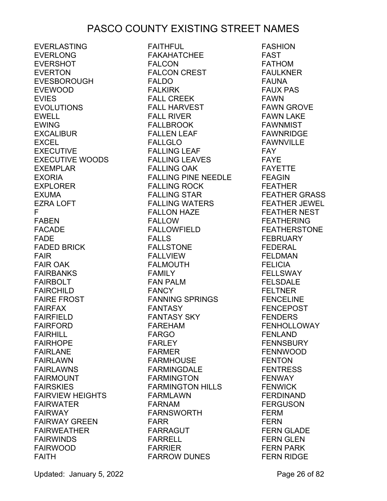EVERLASTING EVERLONG EVERSHOT EVERTON EVESBOROUGH EVEWOOD EVIES EVOLUTIONS EWELL EWING EXCALIBUR **EXCEL** EXECUTIVE EXECUTIVE WOODS EXEMPLAR EXORIA EXPLORER EXUMA EZRA LOFT F FABEN FACADE FADE FADED BRICK FAIR FAIR OAK FAIRBANKS FAIRBOLT FAIRCHILD FAIRE FROST FAIRFAX FAIRFIELD FAIRFORD FAIRHILL FAIRHOPE FAIRLANE FAIRLAWN FAIRLAWNS FAIRMOUNT FAIRSKIES FAIRVIEW HEIGHTS FAIRWATER FAIRWAY FAIRWAY GREEN FAIRWEATHER FAIRWINDS FAIRWOOD FAITH

FAITHFUL FAKAHATCHEE FAI CON FALCON CREST FALDO FALKIRK FALL CREEK FALL HARVEST<br>FALL RIVER FALL RIVER FALLBROOK FALLEN LEAF FALLGLO FALLING LEAF FALLING LEAVES FALLING OAK FALLING PINE NEEDLE FALLING ROCK FALLING STAR FALLING WATERS FALLON HAZE FALLOW FALLOWFIELD FALLS FALLSTONE FALLVIEW FALMOUTH FAMILY FAN PALM FANCY FANNING SPRINGS FANTASY FANTASY SKY FAREHAM FARGO FARLEY FARMER rakmer<br>FARMHOUSE FARMINGDALE FARMINGTON FARMINGTON HILLS FARMLAWN FARNAM FARNSWORTH FARR FARRAGUT FARRELL FARRIER FARROW DUNES

FASHION FAST FATHOM FAULKNER FAUNA FAUX PAS FAWN FAWN GROVE FAWN LAKE FAWNMIST FAWNRIDGE FAWNVILLE FAY **FAYE** FAYETTE FEAGIN FEATHER FEATHER GRASS FEATHER JEWEL FEATHER NEST **FEATHERING** FEATHERSTONE FEBRUARY FEDERAL FELDMAN FELICIA FELLSWAY FELSDALE FELTNER FENCELINE FENCEPOST FENDERS FENHOLLOWAY FENLAND FENNSBURY FENNWOOD FENTON FENTRESS FENWAY FENWICK FERDINAND FERGUSON FERM FERN FERN GLADE FERN GLEN FERN PARK FERN RIDGE

Updated: January 5, 2022 **Page 26 of 82**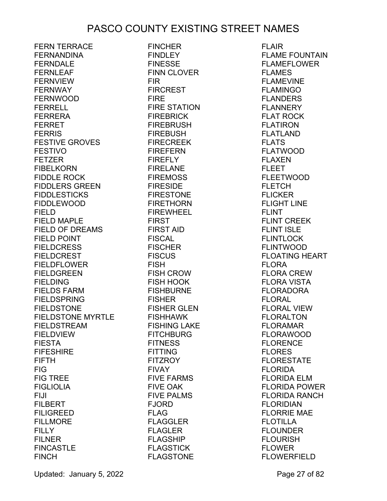FERN TERRACE FERNANDINA FFRNDAI F FERNLEAF FERNVIEW FERNWAY FERNWOOD FERRELL FERRERA FERRET **FERRIS** FESTIVE GROVES FESTIVO FETZER FIBELKORN FIDDLE ROCK FIDDLERS GREEN FIDDLESTICKS FIDDLEWOOD FIELD FIELD MAPLE FIELD OF DREAMS FIELD POINT FIELDCRESS FIELDCREST FIELDFLOWER FIELDGREEN FIELDING FIELDS FARM FIELDSPRING FIELDSTONE FIELDSTONE MYRTLE FISHHAWK FIELDSTREAM FIELDVIEW FIESTA FIFESHIRE FIFTH FIG FIG TREE FIGLIOLIA FIJI FILBERT FILIGREED FILLMORE FILLY FILNER FINCASTLE **FINCH** 

FINCHER **FINDLEY** FINESSE FINN CLOVER FIR FIRCREST FIRE FIRE STATION FIREBRICK FIREBRUSH FIREBUSH FIRECREEK FIREFERN FIREFLY FIRELANE FIREMOSS FIRESIDE FIRESTONE FIRETHORN FIREWHEEL FIRST FIRST AID FISCAL FISCHER **FISCUS** FISH FISH CROW FISH HOOK FISHBURNE FISHER FISHER GLEN FISHING LAKE FITCHBURG **FITNESS** FITTING FITZROY FIVAY FIVE FARMS FIVE OAK FIVE PALMS FJORD FLAG FLAGGLER FLAGLER FLAGSHIP FLAGSTICK FLAGSTONE

FLAIR FLAME FOUNTAIN FLAMEFLOWER FLAMES FLAMEVINE FLAMINGO FLANDERS FLANNERY FLAT ROCK FLATIRON FLATLAND FLATS FLATWOOD FLAXEN FLEET FLEETWOOD **FLETCH** FLICKER FLIGHT LINE FLINT FLINT CREEK FLINT ISLE FLINTLOCK FLINTWOOD FLOATING HEART FLORA FLORA CREW FLORA VISTA FLORADORA FLORAL FLORAL VIEW FLORALTON FLORAMAR FLORAWOOD FLORENCE FLORES FLORESTATE FLORIDA FLORIDA ELM FLORIDA POWER FLORIDA RANCH FLORIDIAN FLORRIE MAE FLOTILLA FLOUNDER FLOURISH FLOWER FLOWERFIELD

Updated: January 5, 2022 **Page 27 of 82**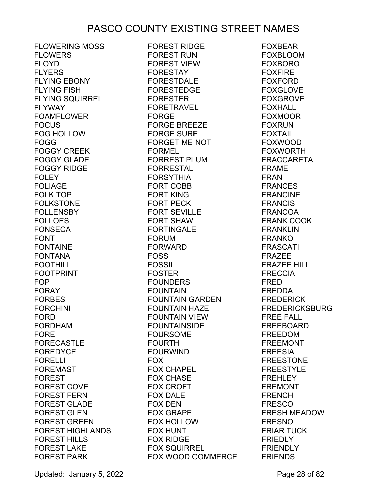FLOWERING MOSS FLOWERS FI OYD. FLYERS FLYING EBONY FLYING FISH FLYING SQUIRREL FLYWAY FOAMFLOWER FOCUS FOG HOLLOW FOGG FOGGY CREEK FOGGY GLADE FOGGY RIDGE **FOLEY** FOLIAGE FOLK TOP FOLKSTONE FOLLENSBY FOLLOES FONSECA FONT FONTAINE FONTANA FOOTHILL FOOTPRINT FOP FORAY FORBES FORCHINI FORD FORDHAM FORE **FORECASTLE** FOREDYCE FORELLI FOREMAST FOREST FOREST COVE FOREST FERN FOREST GLADE FOREST GLEN FOREST GREEN FOREST HIGHLANDS FOREST HILLS FOREST LAKE FOREST PARK

FOREST RIDGE FOREST RUN FOREST VIEW FORESTAY FORESTDALE FORESTEDGE FORESTER FORETRAVEL<br>FORCE FORGE FORGE BREEZE FORGE SURF FORGET ME NOT FORMEL FORREST PLUM FORRESTAL FORSYTHIA FORT COBB FORT KING FORT PECK FORT SEVILLE FORT SHAW FORTINGALE FORUM FORWARD FOSS FOSSIL FOSTER FOUNDERS FOUNTAIN FOUNTAIN GARDEN FOUNTAIN HAZE FOUNTAIN VIEW FOUNTAINSIDE FOURSOME FOURTH FOURWIND FOX FOX CHAPEL FOX CHASE **FOX CROFT** FOX DALE FOX DEN FOX GRAPE FOX HOLLOW FOX HUNT FOX RIDGE FOX SQUIRREL FOX WOOD COMMERCE

FOXBEAR FOXBLOOM FOXBORO FOXFIRE FOXFORD FOXGLOVE FOXGROVE FOXHALL FOXMOOR FOXRUN FOXTAIL FOXWOOD FOXWORTH FRACCARETA FRAME FRAN FRANCES FRANCINE FRANCIS FRANCOA FRANK COOK FRANKLIN FRANKO FRASCATI FRAZEE FRAZEE HILL FRECCIA FRED FREDDA FREDERICK FREDERICKSBURG FREE FALL FREEBOARD FREEDOM FREEMONT FREESIA FREESTONE FREESTYLE FREHLEY FREMONT FRENCH FRESCO FRESH MEADOW FRESNO FRIAR TUCK FRIEDLY FRIENDLY FRIENDS

Updated: January 5, 2022 **Page 28 of 82**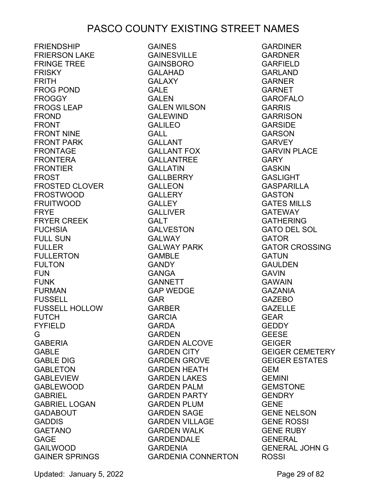**FRIENDSHIP** FRIERSON LAKE FRINGE TREE FRISKY FRITH FROG POND FROGGY FROGS LEAP FROND FRONT FRONT NINE FRONT PARK FRONTAGE FRONTERA FRONTIER FROST FROSTED CLOVER FROSTWOOD FRUITWOOD FRYE FRYER CREEK FUCHSIA FULL SUN FULLER FULLERTON FULTON FUN FUNK FURMAN FUSSELL FUSSELL HOLLOW **FUTCH** FYFIELD G GABERIA GABLE GABLE DIG GABLETON GABLEVIEW GABLEWOOD **GABRIEL** GABRIEL LOGAN GADABOUT GADDIS GAETANO GAGE GAILWOOD GAINER SPRINGS

**GAINES GAINESVILLE** GAINSBORO GALAHAD GALAXY GALE GALEN GALEN WILSON GALEWIND GALILEO GALL GALLANT GALLANT FOX GALLANTREE GALLATIN GALLBERRY GALLEON **GALLERY** GALLEY GALLIVER GALT GALVESTON **GALWAY** GALWAY PARK GAMBLE **GANDY** GANGA GANNETT GAP WEDGE GAR GARBER GARCIA GARDA **GARDEN** GARDEN ALCOVE GARDEN CITY GARDEN GROVE GARDEN HEATH GARDEN LAKES GARDEN PALM GARDEN PARTY GARDEN PLUM GARDEN SAGE GARDEN VILLAGE GARDEN WALK GARDENDALE GARDENIA GARDENIA CONNERTON

GARDINER **GARDNER** GARFIELD GARLAND GARNER GARNET GAROFALO GARRIS **GARRISON** GARSIDE GARSON **GARVEY** GARVIN PLACE **GARY** GASKIN GASLIGHT GASPARILLA GASTON GATES MILLS GATEWAY GATHERING GATO DEL SOL GATOR GATOR CROSSING **GATUN** GAULDEN GAVIN GAWAIN GAZANIA GAZEBO GAZELLE GEAR GEDDY GEESE GEIGER GEIGER CEMETERY GEIGER ESTATES GEM GEMINI GEMSTONE GENDRY GENE GENE NELSON GENE ROSSI GENE RUBY GENERAL GENERAL JOHN G **ROSSI** 

Updated: January 5, 2022 Page 29 of 82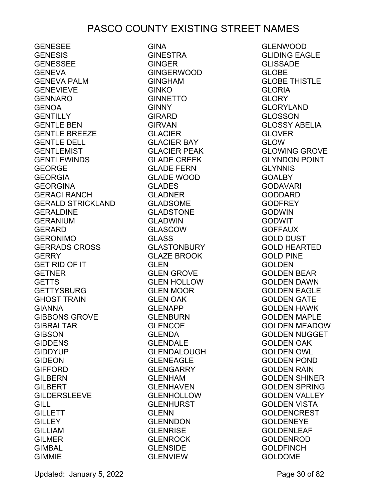GENESEE GENESIS GENESSEE GENEVA GENEVA PALM GENEVIEVE GENNARO GENOA GENTILLY GENTLE BEN GENTLE BREEZE GENTLE DELL GENTLEMIST GENTLEWINDS GEORGE GEORGIA GEORGINA GERACI RANCH GERALD STRICKLAND GERALDINE GERANIUM GERARD GERONIMO GERRADS CROSS GERRY GET RID OF IT GETNER GETTS **GETTYSBURG** GHOST TRAIN GIANNA GIBBONS GROVE GIBRALTAR **GIBSON** GIDDENS GIDDYUP GIDEON GIFFORD GILBERN GILBERT GILDERSLEEVE GILL **GILLETT GILLEY** GILLIAM GILMER GIMBAL GIMMIE

GINA GINESTRA GINGER GINGERWOOD **GINGHAM** GINKO GINNETTO **GINNY** GIRARD GIRVAN GLACIER GLACIER BAY GLACIER PEAK GLADE CREEK GLADE FERN GLADE WOOD GLADES GLADNER GLADSOME **GLADSTONE** GLADWIN GLASCOW GLASS GLASTONBURY **GLAZE BROOK** GLEN GLEN GROVE GLEN HOLLOW GLEN MOOR GLEN OAK GLENAPP GLENBURN GLENCOE GLENDA GLENDALE GLENDALOUGH GLENEAGLE GLENGARRY GLENHAM GLENHAVEN GLENHOLLOW GLENHURST GLENN GLENNDON GLENRISE GLENROCK GLENSIDE GLENVIEW

GLENWOOD GLIDING EAGLE GLISSADE GLOBE GLOBE THISTLE GLORIA GLORY GLORYLAND GLOSSON GLOSSY ABELIA GLOVER GLOW GLOWING GROVE GLYNDON POINT **GLYNNIS GOALBY** GODAVARI GODDARD GODFREY GODWIN GODWIT GOFFAUX GOLD DUST GOLD HEARTED GOLD PINE GOLDEN GOLDEN BEAR GOLDEN DAWN GOLDEN EAGLE GOLDEN GATE GOLDEN HAWK GOLDEN MAPLE GOLDEN MEADOW GOLDEN NUGGET GOLDEN OAK GOLDEN OWL GOLDEN POND GOLDEN RAIN GOLDEN SHINER GOLDEN SPRING GOLDEN VALLEY GOLDEN VISTA GOLDENCREST **GOLDENEYE** GOLDENLEAF GOLDENROD GOLDFINCH GOLDOME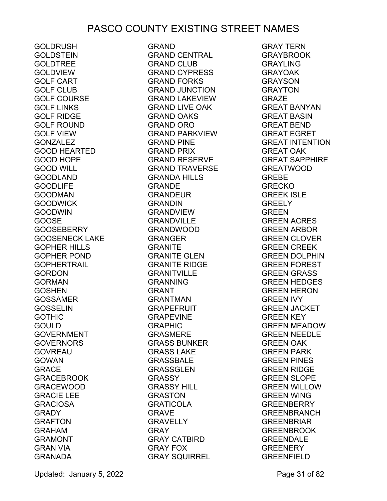GOLDRUSH GOLDSTEIN GOLDTREE GOLDVIEW GOLF CART GOLF CLUB GOLF COURSE GOLF LINKS GOLF RIDGE GOLF ROUND GOLF VIEW GONZALEZ GOOD HEARTED GOOD HOPE GOOD WILL GOODLAND GOODLIFE GOODMAN GOODWICK GOODWIN GOOSE GOOSEBERRY GOOSENECK LAKE GOPHER HILLS GOPHER POND GOPHERTRAIL GORDON GORMAN GOSHEN GOSSAMER GOSSELIN GOTHIC<br>COULD GOULD GOVERNMENT **GOVERNORS** GOVREAU **GOWAN** GRACE GRACEBROOK GRACEWOOD GRACIE LEE GRACIOSA GRADY GRAFTON GRAHAM GRAMONT GRAN VIA GRANADA

GRAND **GRAND CENTRAL<br>GRAND CLUB** GRAND CLUB GRAND CYPRESS GRAND FORKS GRAND JUNCTION GRAND LAKEVIEW GRAND LIVE OAK GRAND OAKS GRAND ORO GRAND PARKVIEW GRAND PINE GRAND PRIX GRAND RESERVE GRAND TRAVERSE GRANDA HILLS GRANDE GRANDEUR GRANDIN GRANDVIEW GRANDVILLE GRANDWOOD GRANGER GRANITE GRANITE GLEN GRANITE RIDGE GRANITVILLE GRANNING GRANT GRANTMAN GRAPEFRUIT GRAPEVINE GRAPHIC GRASMERE GRASS BUNKER GRASS LAKE GRASSBALE GRASSGLEN GRASSY GRASSY HILL GRASTON GRATICOLA GRAVE GRAVELLY<br>GRAY GRAY GRAY CATBIRD GRAY FOX GRAY SQUIRREL GREENFIELD

GRAY TERN GRAYBROOK GRAYLING GRAYOAK GRAYSON GRAYTON GRAZE GREAT BANYAN GREAT BASIN GREAT BEND GREAT EGRET GREAT INTENTION GREAT OAK GREAT SAPPHIRE GREATWOOD GREBE GRECKO GREEK ISLE GREELY GREEN GREEN ACRES GREEN ARBOR GREEN CLOVER GREEN CREEK GREEN DOLPHIN GREEN FOREST GREEN GRASS GREEN HEDGES GREEN HERON GREEN IVY GREEN JACKET GREEN KEY GREEN MEADOW GREEN NEEDLE GREEN OAK GREEN PARK GREEN PINES GREEN RIDGE GREEN SLOPE<br>GREEN WILLOV GREEN WILLOW GREEN WING GREENBERRY GREENBRANCH GREENBRIAR GREENBROOK GREENDALE **GREENERY**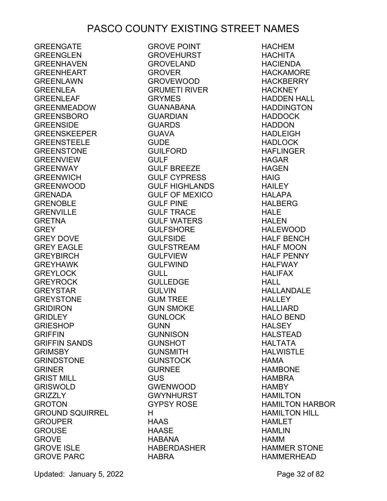GREENGATE **GREENGLEN GREENHAVEN** GREENHEART GREENLAWN GREENLEA GREENLEAF GREENMEADOW GREENSBORO GREENSIDE GREENSKEEPER **GREENSTEELE** GREENSTONE **GREENVIEW** GREENWAY GREENWICH GREENWOOD GRENADA GRENOBLE GRENVILLE GRETNA **GREY** GREY DOVE GREY EAGLE GREYBIRCH GREYHAWK GREYLOCK **GREYROCK** GREYSTAR GREYSTONE GRIDIRON GRIDLEY GRIESHOP **GRIFFIN** GRIFFIN SANDS **GRIMSBY** GRINDSTONE GRINER GRIST MILL GRISWOLD GRIZZLY GROTON GROUND SQUIRREL GROUPER GROUSE GROVE GROVE ISLE GROVE PARC

GROVE POINT GROVEHURST GROVELAND GROVER GROVEWOOD GRUMETI RIVER GRYMES GUANABANA GUARDIAN GUARDS GUAVA **GUDE** GUILFORD GULF GULF BREEZE GULF CYPRESS GULF HIGHLANDS GULF OF MEXICO GULF PINE GULF TRACE GULF WATERS GULFSHORE **GULFSIDE** GULFSTREAM GULFVIEW GULFWIND GULL GULLEDGE **GULVIN** GUM TREE GUN SMOKE GUNLOCK **GUNN** GUNNISON GUNSHOT GUNSMITH GUNSTOCK GURNEE GUS GWENWOOD GWYNHURST GYPSY ROSE H HAAS HAASE HABANA HABERDASHER HABRA

HACHEM **HACHITA HACIFNDA** HACKAMORE **HACKBERRY HACKNEY** HADDEN HALL HADDINGTON HADDOCK HADDON HADLEIGH HADLOCK HAFLINGER HAGAR HAGEN HAIG HAILEY HALAPA HALBERG HALE HALEN HALEWOOD HALF BENCH HALF MOON HALF PENNY HALFWAY HALIFAX **HALL** HALLANDALE **HALLEY** HALLIARD HALO BEND HAL SFY HALSTEAD HALTATA HALWISTLE HAMA HAMBONE HAMBRA **HAMBY** HAMILTON HAMILTON HARBOR HAMILTON HILL HAMLET HAMLIN HAMM HAMMER STONE HAMMERHEAD

Updated: January 5, 2022 **Page 32 of 82**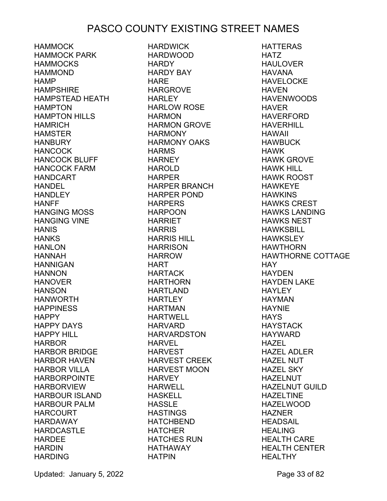HAMMOCK HAMMOCK PARK HAMMOCKS HAMMOND **HAMP** HAMPSHIRE HAMPSTEAD HEATH HAMPTON HAMPTON HILLS **HAMRICH** HAMSTER **HANBURY** HANCOCK HANCOCK BLUFF HANCOCK FARM HANDCART HANDEL **HANDLEY** HANFF HANGING MOSS HANGING VINE **HANIS HANKS HANLON** HANNAH HANNIGAN **HANNON** HANOVER **HANSON** HANWORTH HAPPINESS **HAPPY** HAPPY DAYS HAPPY HILL HARBOR HARBOR BRIDGE HARBOR HAVEN HARBOR VILLA HARBORPOINTE HARBORVIEW HARBOUR ISLAND HARBOUR PALM HARCOURT HARDAWAY **HARDCASTLE** HARDEE **HARDIN HARDING** 

HARDWICK HARDWOOD **HARDY** HARDY BAY HARE HARGROVE HARI FY HARLOW ROSE **HARMON** HARMON GROVE **HARMONY** HARMONY OAKS **HARMS HARNEY** HAROLD HARPER HARPER BRANCH HARPER POND HARPERS HARPOON HARRIET **HARRIS** HARRIS HILL HARRISON HARROW HART HARTACK HARTHORN HARTLAND **HARTLEY** HARTMAN HARTWELL HARVARD HARVARDSTON HARVEL HARVEST HARVEST CREEK HARVEST MOON **HARVEY** HARWELL HASKELL HASSLE HASTINGS HATCHBEND **HATCHER** HATCHES RUN HATHAWAY HATPIN

HATTERAS HATZ HAULOVER HAVANA HAVELOCKE HAVEN HAVENWOODS HAVER HAVERFORD HAVERHILL HAWAII HAWBUCK HAWK HAWK GROVE HAWK HILL HAWK ROOST HAWKEYE **HAWKINS** HAWKS CREST HAWKS LANDING HAWKS NEST HAWKSBILL **HAWKSI FY** HAWTHORN HAWTHORNE COTTAGE **HAY** HAYDEN HAYDEN LAKE **HAYLEY** HAYMAN HAYNIE **HAYS HAYSTACK** HAYWARD HAZEL HAZEL ADLER HAZEL NUT HAZEL SKY HAZELNUT HAZELNUT GUILD HAZELTINE HAZELWOOD HAZNER HEADSAIL HEALING HEALTH CARE HEALTH CENTER **HFAI THY** 

Updated: January 5, 2022 **Page 33 of 82**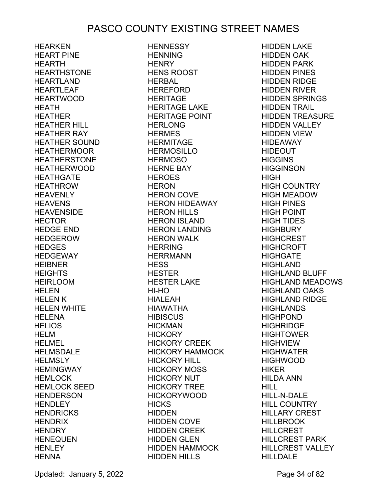HEARKEN HEART PINE HEARTH HEARTHSTONE HEARTLAND HEARTLEAF HEARTWOOD HEATH HEATHER HEATHER HILL HEATHER RAY HEATHER SOUND HEATHERMOOR HEATHERSTONE HEATHERWOOD **HEATHGATE** HEATHROW HEAVENLY HEAVENS HEAVENSIDE<br>UESTOR HECTOR HEDGE END HEDGEROW **HEDGES** HEDGEWAY HEIBNER **HEIGHTS** HEIRLOOM HELEN HELEN K HELEN WHITE HELENA HELIOS HELM HELMEL HELMSDALE HELMSLY HEMINGWAY HEMLOCK HEMLOCK SEED HENDERSON **HENDLEY HENDRICKS HENDRIX** HENDRY HENEQUEN **HENLEY HENNA** 

**HENNESSY** HENNING **HENRY** HENS ROOST HERBAL HEREFORD HERITAGE HERITAGE LAKE HERITAGE POINT HERLONG HERMES HERMITAGE HERMOSILLO HERMOSO HERNE BAY HEROES HERON<br>HERON COVE HERON COVE HERON HIDEAWAY HERON HILLS HERON ISLAND HERON LANDING HERON WALK HERRING HERRMANN **HESS** HESTER HESTER LAKE HI-HO HIALEAH HIAWATHA **HIBISCUS** HICKMAN **HICKORY** HICKORY CREEK HICKORY HAMMOCK HICKORY HILL HICKORY MOSS HICKORY NUT HICKORY TREE HICKORYWOOD **HICKS** HIDDEN HIDDEN COVE **HIDDEN CREEK** HIDDEN GLEN HIDDEN HAMMOCK HIDDEN HILLS

HIDDEN LAKE HIDDEN OAK HIDDEN PARK HIDDEN PINES HIDDEN RIDGE HIDDEN RIVER HIDDEN SPRINGS HIDDEN TRAIL HIDDEN TREASURE HIDDEN VALLEY HIDDEN VIEW HIDEAWAY HIDEOUT **HIGGINS HIGGINSON** HIGH HIGH COUNTRY HIGH MEADOW HIGH PINES HIGH POINT HIGH TIDES HIGHBURY **HIGHCREST** HIGHCROFT **HIGHGATE** HIGHLAND HIGHLAND BLUFF HIGHLAND MEADOWS HIGHLAND OAKS HIGHLAND RIDGE HIGHLANDS HIGHPOND HIGHRIDGE HIGHTOWER HIGHVIEW HIGHWATER HIGHWOOD HIKER HILDA ANN HILL HILL-N-DALE HILL COUNTRY HILLARY CREST HILLBROOK HILLCREST HILLCREST PARK HILLCREST VALLEY HILLDALE

Updated: January 5, 2022 **Page 34 of 82**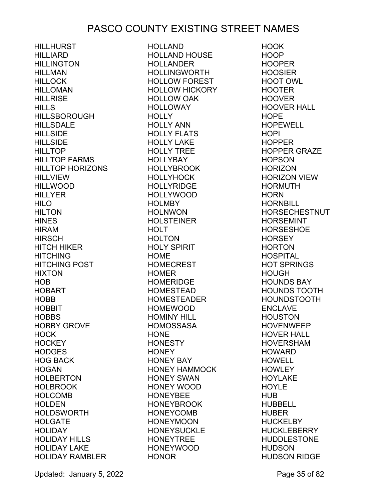HILLHURST HILLIARD **HILLINGTON** HILLMAN **HILLOCK** HILLOMAN **HILLRISE HILLS** HILLSBOROUGH HILLSDALE **HILLSIDE HILLSIDE HILLTOP** HILLTOP FARMS HILLTOP HORIZONS HILLVIEW HILLWOOD **HILLYER** HILO **HILTON HINES** HIRAM **HIRSCH** HITCH HIKER **HITCHING** HITCHING POST **HIXTON** HOB HOBART HOBB HOBBIT **HOBBS** HOBBY GROVE HOCK **HOCKEY** HODGES HOG BACK **HOGAN** HOLBERTON HOLBROOK HOLCOMB **HOLDEN** HOLDSWORTH HOLGATE **HOLIDAY** HOLIDAY HILLS HOLIDAY LAKE HOLIDAY RAMBLER

HOLLAND HOLLAND HOUSE HOLLANDER HOLLINGWORTH HOLLOW FOREST HOLLOW HICKORY HOLLOW OAK HOLLOWAY **HOLLY** HOLLY ANN HOLLY FLATS HOLLY LAKE HOLLY TREE HOLLYBAY HOLLYBROOK HOLLYHOCK **HOLLYRIDGE** HOLLYWOOD **HOLMBY** HOLNWON HOLSTEINER **HOLT HOLTON** HOLY SPIRIT HOME HOMECREST HOMER HOMERIDGE HOMESTEAD HOMESTEADER HOMEWOOD HOMINY HILL HOMOSSASA HONE **HONESTY HONEY** HONEY BAY HONEY HAMMOCK HONEY SWAN HONEY WOOD HONEYBEE HONEYBROOK HONEYCOMB HONEYMOON HONEYSUCKLE HONEYTREE HONEYWOOD HONOR

HOOK HOOP HOOPER HOOSIER HOOT OWL HOOTER HOOVER HOOVER HALL **HOPE** HOPEWELL HOPI HOPPER HOPPER GRAZE HOPSON **HORIZON** HORIZON VIEW HORMUTH **HORN HORNBILL** HORSECHESTNUT HORSEMINT **HORSESHOE HORSEY** HORTON HOSPITAL HOT SPRINGS HOUGH HOUNDS BAY HOUNDS TOOTH HOUNDSTOOTH ENCLAVE HOUSTON HOVENWEEP HOVER HALL HOVERSHAM HOWARD HOWELL **HOWLEY** HOYLAKE **HOYLE** HUB HUBBELL HUBER **HUCKELBY HUCKLEBERRY** HUDDLESTONE HUDSON HUDSON RIDGE

Updated: January 5, 2022 **Page 35 of 82**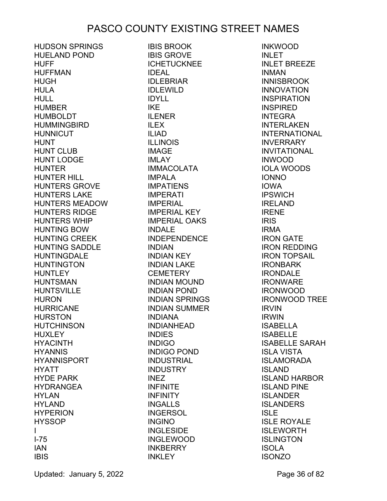HUDSON SPRINGS HUELAND POND HUFF HUFFMAN HUGH HULA HULL HUMBER HUMBOLDT **HUMMINGBIRD HUNNICUT** HUNT HUNT CLUB HUNT LODGE HUNTER HUNTER HILL HUNTERS GROVE HUNTERS LAKE HUNTERS MEADOW HUNTERS RIDGE HUNTERS WHIP HUNTING BOW HUNTING CREEK HUNTING SADDLE **HUNTINGDALE** HUNTINGTON **HUNTLEY** HUNTSMAN HUNTSVILLE HURON HURRICANE HURSTON HUTCHINSON **HUXLEY** HYACINTH HYANNIS HYANNISPORT HYATT HYDE PARK HYDRANGEA HYLAN **HYLAND** HYPERION **HYSSOP** I I-75 IAN IBIS

IBIS BROOK IBIS GROVE ICHETUCKNEE IDEAL IDLEBRIAR IDLEWILD IDYLL IKE ILENER ILEX ILIAD ILLINOIS IMAGE IMLAY IMMACOLATA IMPALA IMPATIENS IMPERATI IMPERIAL IMPERIAL KEY IMPERIAL OAKS INDALE INDEPENDENCE INDIAN INDIAN KEY INDIAN LAKE **CEMETERY** INDIAN MOUND INDIAN POND INDIAN SPRINGS INDIAN SUMMER INDIANA INDIANHEAD INDIES INDIGO INDIGO POND INDUSTRIAL INDUSTRY INEZ INFINITE INFINITY INGALLS INGERSOL INGINO INGLESIDE INGLEWOOD INKBERRY **INKLEY** 

INKWOOD INLET INLET BREEZE INMAN **INNISBROOK** INNOVATION INSPIRATION INSPIRED INTEGRA INTERLAKEN INTERNATIONAL **INVERRARY** INVITATIONAL INWOOD IOLA WOODS IONNO IOWA **IPSWICH** IRELAND IRENE IRIS IRMA IRON GATE IRON REDDING IRON TOPSAIL IRONBARK IRONDALE IRONWARE IRONWOOD IRONWOOD TREE IRVIN IRWIN ISABELLA **ISABELLE** ISABELLE SARAH ISLA VISTA ISLAMORADA ISLAND ISLAND HARBOR ISLAND PINE ISLANDER **ISLANDERS** ISLE ISLE ROYALE ISLEWORTH **ISLINGTON** ISOLA **ISONZO** 

Updated: January 5, 2022 **Page 36 of 82**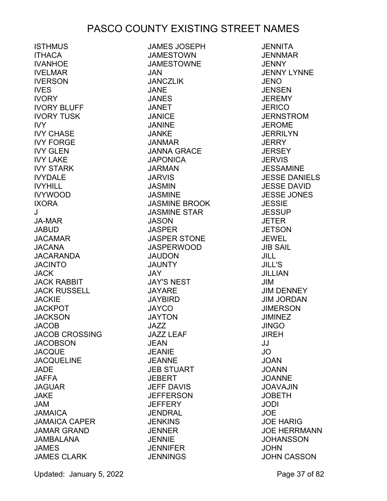**ISTHMUS ITHACA** IVANHOE IVELMAR IVERSON IVES IVORY IVORY BLUFF IVORY TUSK IVY IVY CHASE IVY FORGE IVY GLEN IVY LAKE IVY STARK IVYDALE IVYHILL IVYWOOD IXORA J JA-MAR JABUD JACAMAR JACANA JACARANDA **JACINTO JACK** JACK RABBIT JACK RUSSELL **JACKIE** JACKPOT **JACKSON** JACOB JACOB CROSSING **JACOBSON JACQUE JACQUELINE** JADE JAFFA JAGUAR JAKE JAM JAMAICA JAMAICA CAPER JAMAR GRAND JAMBALANA JAMES JAMES CLARK

JAMES JOSEPH JAMESTOWN JAMESTOWNE JAN JANCZLIK JANE JANES JANET JANICE JANINE JANKE JANMAR JANNA GRACE JAPONICA JARMAN JARVIS JASMIN JASMINE JASMINE BROOK JASMINE STAR JASON **JASPER** JASPER STONE JASPERWOOD JAUDON JAUNTY JAY JAY'S NEST JAYARE JAYBIRD JAYCO JAYTON  $JA77$ JAZZ LEAF JEAN JEANIE JEANNE JEB STUART JEBERT JEFF DAVIS **JEFFERSON JEFFERY** JENDRAL **JENKINS** JENNER JENNIE **JENNIFER JENNINGS** 

**JENNITA** JENNMAR JENNY JENNY LYNNE JENO **JENSEN** JEREMY **JERICO** JERNSTROM JEROME **JERRILYN JERRY JERSEY JERVIS** JESSAMINE JESSE DANIELS JESSE DAVID JESSE JONES JESSIE **JESSUP** JETER **JETSON** JEWEL JIB SAIL JILL JILL'S JILLIAN JIM JIM DENNEY JIM JORDAN **JIMERSON** JIMINEZ JINGO JIREH JJ JO JOAN JOANN JOANNE JOAVAJIN JOBETH JODI JOE JOE HARIG JOE HERRMANN **JOHANSSON** JOHN JOHN CASSON

Updated: January 5, 2022 **Page 37 of 82**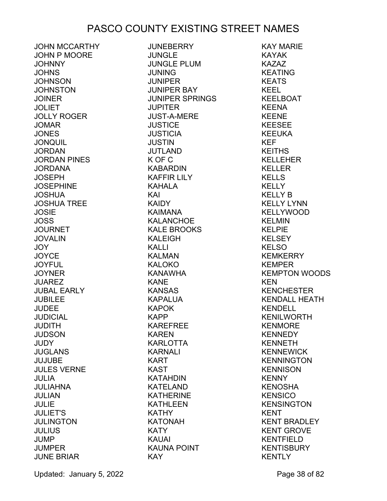JOHN MCCARTHY JOHN P MOORE JOHNNY JOHNS JOHNSON **JOHNSTON** JOINER **JOLIET** JOLLY ROGER JOMAR **JONES** JONQUIL **JORDAN** JORDAN PINES JORDANA JOSEPH JOSEPHINE JOSHUA JOSHUA TREE **JOSIE** JOSS **JOURNET** JOVALIN JOY **JOYCE** JOYFUL **JOYNER JUAREZ** JUBAL EARLY **JUBILEE** JUDEE JUDICIAL JUDITH JUDSON **JUDY** JUGLANS JUJUBE JULES VERNE JULIA JULIAHNA JULIAN JULIE JULIET'S JULINGTON **JULIUS** JUMP JUMPER JUNE BRIAR

JUNEBERRY JUNGLE JUNGLE PLUM JUNING **JUNIPER** JUNIPER BAY JUNIPER SPRINGS **JUPITER** JUST-A-MERE **JUSTICE JUSTICIA** JUSTIN JUTLAND K OF C KABARDIN KAFFIR LILY KAHALA KAI KAIDY KAIMANA KALANCHOE KALE BROOKS KALEIGH KALLI KALMAN KALOKO KANAWHA KANE KANSAS KAPALUA KAPOK KAPP KAREFREE KAREN KARLOTTA KARNALI KART KAST KATAHDIN KATELAND KATHERINE KATHLEEN KATHY KATONAH **KATY** KAUAI KAUNA POINT KAY

KAY MARIE KAYAK KAZAZ KEATING KEATS KEEL KEELBOAT KEENA KEENE KEESEE KEEUKA KEF KEITHS KELLEHER KELLER KELLS **KELLY** KELLY B KELLY LYNN KELLYWOOD KELMIN KELPIE KELSEY **KELSO** KEMKERRY KEMPER KEMPTON WOODS KEN KENCHESTER KENDALL HEATH KENDELL KENILWORTH KENMORE KENNEDY KENNETH KENNEWICK KENNINGTON **KENNISON** KENNY **KENOSHA KENSICO KENSINGTON** KENT KENT BRADLEY KENT GROVE KENTFIELD **KENTISBURY** KENTLY

Updated: January 5, 2022 **Page 38 of 82**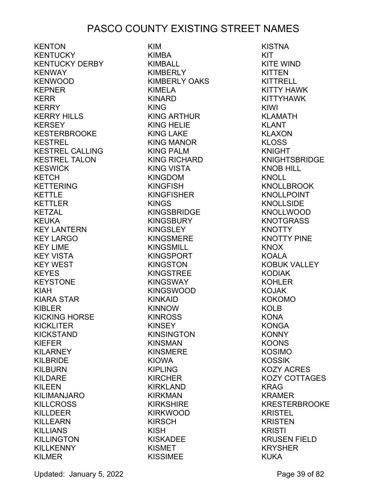**KENTON** KENTUCKY KENTUCKY DERBY KENWAY KENWOOD KEPNER KERR KERRY KERRY HILLS KERSEY KESTERBROOKE KESTREL KESTREL CALLING KESTREL TALON KESWICK KETCH KETTERING KETTLE KETTLER KETZAL KEUKA KEY LANTERN KEY LARGO KEY LIME KEY VISTA KEY WEST KEYES KEYSTONE KIAH KIARA STAR KIBLER KICKING HORSE KICKLITER KICKSTAND KIEFER KILARNEY KILBRIDE KILBURN KILDARE KILEEN KILIMANJARO KILLCROSS KILLDEER KILLEARN KILLIANS KILLINGTON **KILLKENNY** KILMER

KIM KIMBA KIMBALL KIMBERLY KIMBERLY OAKS KIMELA KINARD KING KING ARTHUR KING HELIE KING LAKE KING MANOR KING PALM KING RICHARD KING VISTA KINGDOM KINGFISH KINGFISHER KINGS KINGSBRIDGE KINGSBURY KINGSLEY KINGSMERE KINGSMILL KINGSPORT KINGSTON KINGSTREE KINGSWAY KINGSWOOD KINKAID KINNOW KINROSS KINSEY KINSINGTON KINSMAN KINSMERE KIOWA KIPLING KIRCHER KIRKLAND KIRKMAN KIRKSHIRE KIRKWOOD KIRSCH KISH KISKADEE KISMET KISSIMEE

KISTNA KIT KITE WIND KITTEN **KITTRELL** KITTY HAWK KITTYHAWK KIWI KLAMATH KLANT KLAXON KLOSS KNIGHT KNIGHTSBRIDGE KNOB HILL KNOLL KNOLLBROOK KNOLLPOINT **KNOLLSIDE** KNOLLWOOD **KNOTGRASS KNOTTY** KNOTTY PINE KNOX KOALA KOBUK VALLEY KODIAK KOHLER KOJAK KOKOMO KOLB **KONA** KONGA KONNY KOONS KOSIMO KOSSIK KOZY ACRES KOZY COTTAGES KRAG KRAMER KRESTERBROOKE KRISTEL KRISTEN KRISTI KRUSEN FIELD KRYSHER KUKA

Updated: January 5, 2022 **Page 39 of 82**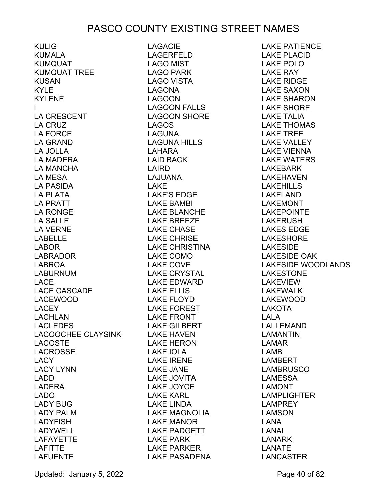KULIG KUMALA KUMQUAT KUMQUAT TREE KUSAN KYLE KYLENE  $\mathbf{L}$ LA CRESCENT LA CRUZ LA FORCE LA GRAND LA JOLLA LA MADERA LA MANCHA LA MESA LA PASIDA LA PLATA LA PRATT LA RONGE LA SALLE LA VERNE LABELLE LABOR LABRADOR LABROA LABURNUM LACE LACE CASCADE LACEWOOD LACEY LACHLAN LACLEDES LACOOCHEE CLAYSINK LACOSTE LACROSSE LACY LACY LYNN LADD LADERA LADO LADY BUG LADY PALM LADYFISH LADYWELL LAFAYETTE LAFITTE **LAFUENTE** 

LAGACIE LAGERFELD LAGO MIST LAGO PARK LAGO VISTA LAGONA LAGOON LAGOON FALLS LAGOON SHORE LAKE TALIA **LAGOS** LAGUNA LAGUNA HILLS LAHARA LAID BACK LAIRD LAJUANA LAKE LAKE'S EDGE LAKE BAMBI LAKE BLANCHE LAKE BREEZE LAKE CHASE LAKE CHRISE LAKE CHRISTINA LAKE COMO LAKE COVE LAKE CRYSTAL LAKE EDWARD LAKE ELLIS LAKE FLOYD LAKE FOREST LAKE FRONT LAKE GILBERT LAKE HAVEN LAKE HERON LAKE IOLA LAKE IRENE LAKE JANE LAKE JOVITA LAKE JOYCE LAKE KARL LAKE LINDA LAKE MAGNOLIA LAKE MANOR LAKE PADGETT LAKE PARK LAKE PARKER LAKE PASADENA

LAKE PATIENCE LAKE PLACID LAKE POLO LAKE RAY LAKE RIDGE LAKE SAXON LAKE SHARON LAKE SHORE LAKE THOMAS LAKE TREE LAKE VALLEY LAKE VIENNA LAKE WATERS LAKEBARK LAKEHAVEN LAKEHILLS LAKELAND LAKEMONT LAKEPOINTE LAKERUSH LAKES EDGE LAKESHORE LAKESIDE LAKESIDE OAK LAKESIDE WOODLANDS LAKESTONE LAKEVIEW LAKEWALK LAKEWOOD LAKOTA LALA LALLEMAND LAMANTIN LAMAR LAMB LAMBERT LAMBRUSCO LAMESSA LAMONT LAMPLIGHTER LAMPREY LAMSON LANA LANAI LANARK LANATE LANCASTER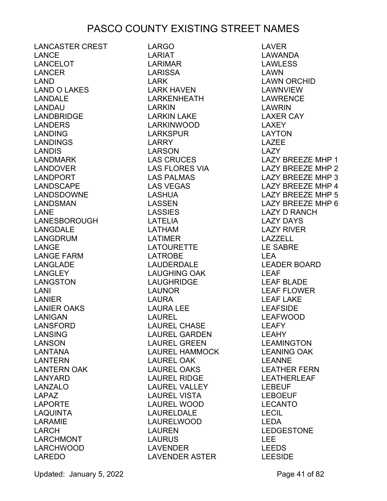LANCASTER CREST LANCE LANCELOT LANCER LAND LAND O LAKES LANDALE LANDAU LANDBRIDGE LANDERS LANDING LANDINGS LANDIS LANDMARK LANDOVER LANDPORT LANDSCAPE LANDSDOWNE LANDSMAN LANE LANESBOROUGH LANGDALE LANGDRUM LANGE LANGE FARM LANGLADE LANGLEY LANGSTON LANI LANIER LANIER OAKS LANIGAN LANSFORD LANSING LANSON LANTANA LANTERN LANTERN OAK LANYARD LANZALO LAPAZ LAPORTE LAQUINTA LARAMIE LARCH LARCHMONT LARCHWOOD LAREDO

LARGO LARIAT LARIMAR LARISSA LARK LARK HAVEN LARKENHEATH LARKIN LARKIN LAKE LARKINWOOD LARKSPUR LARRY LARSON LAS CRUCES LAS FLORES VIA LAS PALMAS LAS VEGAS LASHUA LASSEN LASSIES LATELIA LATHAM LATIMER LATOURETTE LATROBE LAUDERDALE LAUGHING OAK LAUGHRIDGE LAUNOR<br>LALIPA LAURA LAURA LEE LAUREL LAUREL CHASE LAUREL GARDEN LAUREL GREEN LAUREL HAMMOCK LAUREL OAK LAUREL OAKS LAUREL RIDGE LAUREL VALLEY LAUREL VISTA LAUREL WOOD LAURELDALE LAURELWOOD LAUREN LAURUS LAVENDER LAVENDER ASTER

LAVER LAWANDA LAWLESS LAWN LAWN ORCHID LAWNVIEW LAWRENCE LAWRIN LAXER CAY LAXEY LAYTON LAZEE LAZY LAZY BREEZE MHP 1 LAZY BREEZE MHP 2 LAZY BREEZE MHP 3 LAZY BREEZE MHP 4 LAZY BREEZE MHP 5 LAZY BREEZE MHP 6 LAZY BREEZE MHP 6<br>LAZY D RANCH LAZY DAYS LAZY RIVER LAZZELL LE SABRE LEA LEADER BOARD LEAF LEAF BLADE LEAF FLOWER LEAF LAKE LEAFSIDE LEAFWOOD LEAFY LEAHY LEAMINGTON LEANING OAK LEANNE LEATHER FERN LEATHERLEAF LEBEUF LEBOEUF LECANTO LECIL LEDA LEDGESTONE LEE LEEDS LEESIDE

Updated: January 5, 2022 **Page 41 of 82**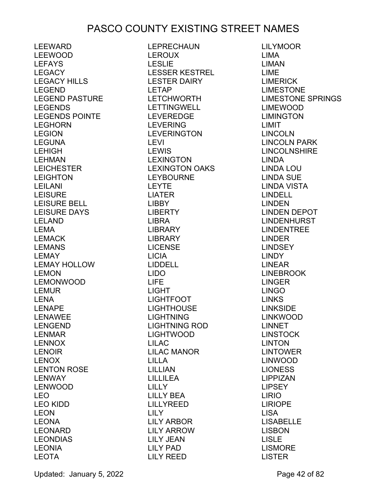LEEWARD LEEWOOD LEFAYS LEGACY LEGACY HILLS LEGEND LEGEND PASTURE LEGENDS LEGENDS POINTE LEGHORN LEGION LEGUNA LEHIGH LEHMAN LEICHESTER LEIGHTON LEILANI **LEISURE** LEISURE BELL LEISURE DAYS LELAND LEMA LEMACK LEMANS LEMAY LEMAY HOLLOW LEMON LEMONWOOD LEMUR LENA LENAPE LENAWEE LENGEND LENMAR LENNOX LENOIR LENOX LENTON ROSE LENWAY LENWOOD LEO LEO KIDD LEON LEONA LEONARD LEONDIAS LEONIA LEOTA

LEPRECHAUN LEROUX LESLIE LESSER KESTREL LESTER DAIRY LETAP LETCHWORTH LETTINGWELL LEVEREDGE LEVERING LEVERINGTON LEVI LEWIS LEXINGTON LEXINGTON OAKS LEYBOURNE LEYTE LIATER LIBBY LIBERTY LIBRA LIBRARY LIBRARY LICENSE LICIA LIDDELL LIDO LIFE LIGHT LIGHTFOOT LIGHTHOUSE LIGHTNING LIGHTNING ROD LIGHTWOOD LILAC LILAC MANOR LILLA LILLIAN LILLILEA LILLY LILLY BEA LILLYREED LILY LILY ARBOR LILY ARROW LILY JEAN LILY PAD LILY REED

LILYMOOR LIMA LIMAN LIME LIMERICK LIMESTONE **LIMESTONE**<br>LIMESTONE SPRINGS LIMEWOOD LIMINGTON LIMIT LINCOLN LINCOLN PARK LINCOLNSHIRE LINDA LINDA LOU LINDA SUE LINDA VISTA LINDELL LINDEN LINDEN DEPOT LINDENHURST LINDENTREE LINDER LINDSEY LINDY LINEAR LINEBROOK LINGER LINGO LINKS LINKSIDE LINKWOOD LINNET LINSTOCK LINTON LINTOWER LINWOOD LIONESS LIPPIZAN LIPSEY LIRIO LIRIOPE LISA LISABELLE LISBON LISLE LISMORE LISTER

Updated: January 5, 2022 **Page 42 of 82**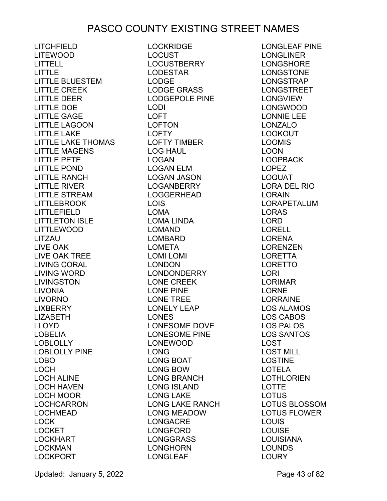LITCHFIELD LITEWOOD LITTELL LITTLE LITTLE BLUESTEM LITTLE CREEK LITTLE DEER LITTLE DOE LITTLE GAGE LITTLE LAGOON LITTLE LAKE LITTLE LAKE THOMAS LITTLE MAGENS LITTLE PETE LITTLE POND LITTLE RANCH LITTLE RIVER LITTLE STREAM LITTLEBROOK LITTLEFIELD LITTLETON ISLE LITTLEWOOD LITZAU LIVE OAK LIVE OAK TREE LIVING CORAL LIVING WORD LIVINGSTON LIVONIA LIVORNO **LIXBERRY** LIZABETH LLOYD LOBELIA LOBLOLLY LOBLOLLY PINE LOBO LOCH LOCH ALINE LOCH HAVEN LOCH MOOR LOCHCARRON LOCHMEAD LOCK LOCKET LOCKHART LOCKMAN LOCKPORT

LOCKRIDGE LOCUST LOCUSTBERRY LODESTAR LODGE LODGE GRASS LODGEPOLE PINE LODI LOFT LOFTON LOFTY LOFTY TIMBER LOG HAUL LOGAN LOGAN ELM LOGAN JASON LOGANBERRY LOGGERHEAD LOIS LOMA LOMA LINDA LOMAND LOMBARD LOMETA LOMI LOMI<br>LONDON LONDON LONDONDERRY LONE CREEK LONE PINE LONE TREE LONELY LEAP LONES LONESOME DOVE LONESOME PINE LONEWOOD LONG LONG BOAT LONG BOW LONG BRANCH LONG ISLAND LONG LAKE LONG LAKE RANCH LONG MEADOW LONGACRE LONGFORD LONGGRASS LONGHORN LONGLEAF

LONGLEAF PINE LONGLINER LONGSHORE LONGSTONE LONGSTRAP LONGSTREET LONGVIEW LONGWOOD LONNIE LEE LONZALO LOOKOUT LOOMIS LOON LOOPBACK LOPEZ LOQUAT LORA DEL RIO LORAIN LORAPETALUM LORAS LORD LORELL LORENA LORENZEN LORETTA LORETTO LORI LORIMAR LORNE LORRAINE LOS ALAMOS LOS CABOS LOS PALOS LOS SANTOS LOST LOST MILL LOSTINE LOTELA LOTHLORIEN LOTTE LOTUS LOTUS BLOSSOM LOTUS FLOWER LOUIS LOUISE LOUISIANA LOUNDS LOURY

Updated: January 5, 2022 **Page 43 of 82**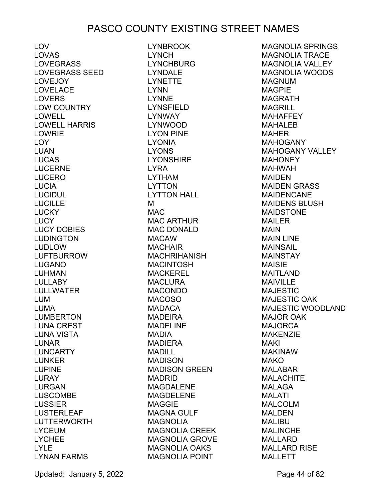LOV LOVAS LOVEGRASS LOVEGRASS SEED LOVEJOY LOVELACE LOVERS LOW COUNTRY LOWELL LOWELL HARRIS LOWRIE LOY LUAN LUCAS LUCERNE LUCERO LUCIA LUCIDUL LUCILLE LUCKY LUCY LUCY DOBIES LUDINGTON LUDLOW LUFTBURROW LUGANO LUHMAN LULLABY LULLWATER LUM LUMA LUMBERTON LUNA CREST LUNA VISTA LUNAR LUNCARTY LUNKER LUPINE LURAY LURGAN LUSCOMBE LUSSIER LUSTERLEAF LUTTERWORTH LYCEUM LYCHEE LYLE LYNAN FARMS

LYNBROOK LYNCH LYNCHBURG LYNDALE LYNETTE LYNN LYNNE LYNSFIELD LYNWAY LYNWOOD LYON PINE LYONIA LYONS LYONSHIRE LYRA LYTHAM LYTTON LYTTON HALL M MAC MAC ARTHUR MAC DONALD MACAW **MACHAIR** MACHRIHANISH MACINTOSH MACKEREL MACLURA MACONDO MACOSO MADACA MADEIRA MADELINE MADIA MADIERA MADILL MADISON MADISON GREEN MADRID MAGDALENE MAGDELENE MAGGIE MAGNA GULF MAGNOLIA MAGNOLIA CREEK MAGNOLIA GROVE MAGNOLIA OAKS MAGNOLIA POINT

MAGNOLIA SPRINGS MAGNOLIA TRACE MAGNOLIA VALLEY MAGNOLIA WOODS MAGNUM MAGPIE MAGRATH MAGRILL MAHAFFEY MAHALEB MAHER MAHOGANY MAHOGANY VALLEY **MAHONEY** MAHWAH MAIDEN MAIDEN GRASS MAIDENCANE MAIDENS BLUSH MAIDSTONE MAILER MAIN MAIN LINE MAINSAIL MAINSTAY MAISIE MAITLAND MAIVILLE MAJESTIC MAJESTIC OAK MAJESTIC WOODLAND MAJOR OAK MAJORCA MAKENZIE MAKI MAKINAW MAKO MAI ARAR MALACHITE MALAGA MALATI MALCOLM MALDEN MALIBU MALINCHE MALLARD MALLARD RISE MALLETT

Updated: January 5, 2022 Page 44 of 82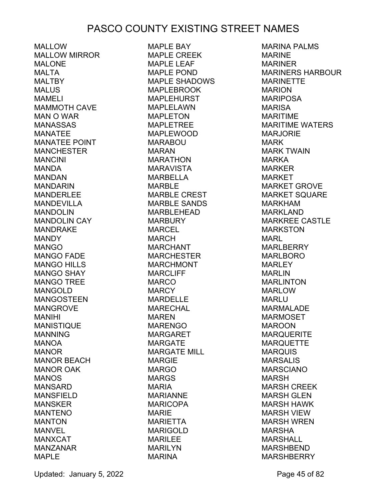MALLOW MALLOW MIRROR MAI ONF MALTA **MALTBY** MALUS MAMELI MAMMOTH CAVE MAN O WAR MANASSAS MANATEE MANATEE POINT MANCHESTER **MANCINI** MANDA MANDAN MANDARIN MANDERLEE MANDEVILLA MANDOLIN MANDOLIN CAY MANDRAKE **MANDY** MANGO MANGO FADE MANGO HILLS MANGO SHAY MANGO TREE MANGOLD MANGOSTEEN MANGROVE MANIHI **MANISTIQUE** MANNING MANOA MANOR MANOR BEACH MANOR OAK MANOS MANSARD MANSFIELD MANSKER MANTENO MANTON MANVEL MANXCAT MANZANAR MAPLE

MAPLE BAY MAPLE CREEK MAPI F I FAF MAPLE POND MAPLE SHADOWS MAPLEBROOK MAPLEHURST MAPLELAWN MAPLETON MAPLETREE MAPLEWOOD MARABOU MARAN MARATHON MARAVISTA MARBELLA MARBLE MARBLE CREST MARBLE SANDS MARBLEHEAD MARBURY MARCEL MARCH MARCHANT MARCHESTER MARCHMONT MARCLIFF MARCO **MARCY MARDELLE** MARECHAL MAREN MARENGO MARGARET MARGATE MARGATE MILL MARGIE MARGO MARGS MARIA MARIANNE MARICOPA MARIE MARIETTA MARIGOLD MARILEE MARILYN MARINA

MARINA PALMS **MARINE** MARINER MARINERS HARBOUR MARINETTE MARION MARIPOSA MARISA MARITIME MARITIME WATERS MARJORIE MARK MARK TWAIN MARKA MARKER MARKET MARKET GROVE MARKET SQUARE MARKHAM MARKLAND MARKREE CASTLE MARKSTON MARL MARLBERRY MARLBORO MARLEY MARLIN MARLINTON MARLOW MARLU MARMALADE MARMOSET MAROON MARQUERITE **MARQUETTE** MARQUIS MARSALIS MARSCIANO MARSH MARSH CREEK MARSH GLEN MARSH HAWK MARSH VIEW MARSH WREN MARSHA MARSHALL MARSHBEND **MARSHBERRY** 

Updated: January 5, 2022 **Page 45 of 82**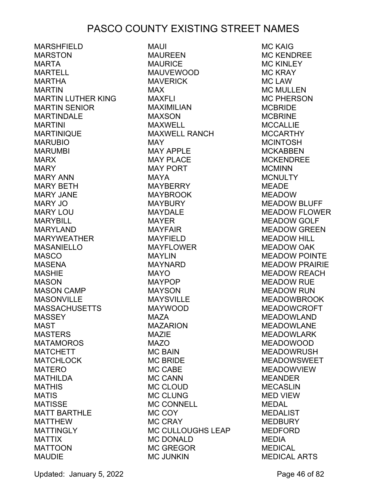MARSHFIELD MARSTON MARTA MARTELL MARTHA MARTIN MARTIN LUTHER KING MARTIN SENIOR MARTINDALE MARTINI MARTINIQUE MARUBIO MARUMBI MARX **MARY** MARY ANN MARY BETH MARY JANE MARY JO MARY LOU MARYBILL MARYLAND MARYWEATHER MASANIELLO MASCO MASENA **MASHIE** MASON MASON CAMP MASONVILLE MASSACHUSETTS **MASSEY** MAST MASTERS **MATAMOROS** MATCHETT MATCHLOCK **MATERO** MATHILDA **MATHIS** MATIS MATISSE MATT BARTHLE MATTHEW **MATTINGLY** MATTIX MATTOON MAUDIE

MAUI MAUREEN MAURICE MAUVEWOOD MAVERICK MAX MAXFLI MAXIMILIAN MAXSON MAXWELL MAXWELL RANCH MAY MAY APPLE MAY PLACE MAY PORT MAYA MAYBERRY MAYBROOK MAYBURY MAYDALE MAYER MAYFAIR MAYFIELD MAYFLOWER MAYLIN MAYNARD MAYO MAYPOP MAYSON MAYSVILLE MAYWOOD MAZA MAZARION MAZIE MAZO MC BAIN MC BRIDE MC CABE MC CANN MC CLOUD MC CLUNG MC CONNELL MC COY MC CRAY MC CULLOUGHS LEAP MC DONALD MC GREGOR MC JUNKIN

MC KAIG MC KENDREE MC KINI FY MC KRAY MC LAW MC MULLEN MC PHERSON MCBRIDE MCBRINE **MCCALLIE** MCCARTHY **MCINTOSH** MCKABBEN MCKENDREE **MCMINN MCNULTY** MEADE MEADOW MEADOW BLUFF MEADOW FLOWER MEADOW GOLF MEADOW GREEN MEADOW HILL MEADOW OAK MEADOW POINTE MEADOW PRAIRIE MEADOW REACH MEADOW RUE MEADOW RUN MEADOWBROOK MEADOWCROFT MEADOWLAND MEADOWLANE MEADOWLARK MEADOWOOD MEADOWRUSH MEADOWSWEET MEADOWVIEW MEANDER MECASLIN MED VIEW MEDAL MEDALIST MEDBURY MEDFORD MEDIA MEDICAL MEDICAL ARTS

Updated: January 5, 2022 **Page 46 of 82**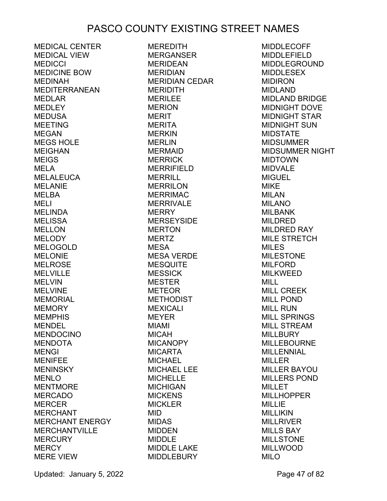MEDICAL CENTER MEDICAL VIEW **MEDICCI** MEDICINE BOW MEDINAH MEDITERRANEAN MEDLAR MEDLEY MEDUSA MEETING MEGAN MEGS HOLE MEIGHAN MEIGS MELA **MELALEUCA** MELANIE MELBA MELI MELINDA MELISSA MELLON **MELODY** MELOGOLD MELONIE MELROSE MELVILLE MELVIN MELVINE MEMORIAL **MEMORY MEMPHIS** MENDEL MENDOCINO **MENDOTA** MENGI MENIFEE MENINSKY MENLO **MENTMORE** MERCADO **MERCER MERCHANT** MERCHANT ENERGY MERCHANTVILLE MERCURY **MERCY** MERE VIEW

MEREDITH MERGANSER MERIDEAN MERIDIAN MERIDIAN CEDAR MERIDITH MERILEE **MERION** MERIT **MERITA MERKIN** MERLIN MERMAID **MERRICK** MERRIFIELD MERRILL MERRILON **MERRIMAC** MERRIVALE **MERRY MERSEYSIDE MERTON MERTZ** MESA MESA VERDE **MESQUITE MESSICK** MESTER METEOR **METHODIST** MEXICALI MEYER MIAMI MICAH MICANOPY MICARTA MICHAEL MICHAEL LEE MICHELLE MICHIGAN **MICKENS MICKLER** MID MIDAS MIDDEN MIDDLE MIDDLE LAKE MIDDLEBURY

MIDDLECOFF MIDDLEFIELD MIDDLEGROUND MIDDLESEX MIDIRON MIDLAND MIDLAND BRIDGE MIDNIGHT DOVE MIDNIGHT STAR MIDNIGHT SUN MIDSTATE MIDSUMMER MIDSUMMER NIGHT MIDTOWN MIDVALE **MIGUEL** MIKE MILAN MILANO MILBANK MILDRED MILDRED RAY MILE STRETCH MILES MILESTONE MILFORD MILKWEED MILL MILL CREEK MILL POND MILL RUN MILL SPRINGS MILL STREAM **MILLBURY** MILLEBOURNE MILLENNIAL MILLER MILLER BAYOU MILLERS POND MILLET MILLHOPPER MILLIE MILLIKIN MILLRIVER MILLS BAY MILLSTONE MILLWOOD MILO

Updated: January 5, 2022 **Page 47 of 82**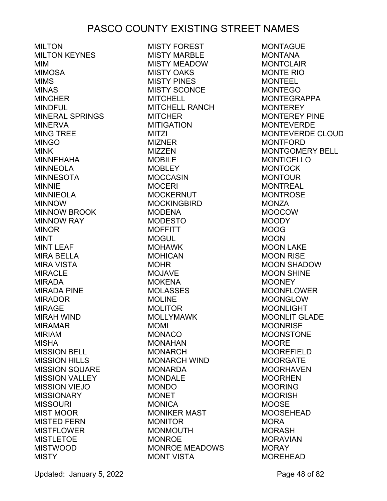MILTON MILTON KEYNES MIM MIMOSA MIMS MINAS MINCHER MINDFUL MINERAL SPRINGS MINERVA MING TREE MINGO MINK MINNEHAHA MINNEOLA MINNESOTA MINNIE MINNIEOLA MINNOW MINNOW BROOK MINNOW RAY MINOR MINT MINT LEAF MIRA BELLA MIRA VISTA MIRACLE MIRADA MIRADA PINE MIRADOR MIRAGE MIRAH WIND MIRAMAR MIRIAM MISHA MISSION BELL MISSION HILLS MISSION SQUARE MISSION VALLEY MISSION VIEJO **MISSIONARY** MISSOURI MIST MOOR MISTED FERN MISTFLOWER MISTLETOE MISTWOOD **MISTY** 

MISTY FOREST MISTY MARBLE MISTY MEADOW MISTY OAKS MISTY PINES MISTY SCONCE **MITCHELL** MITCHELL RANCH **MITCHER** MITIGATION MITZI MIZNER MIZZEN MOBILE **MOBLEY** MOCCASIN **MOCERI MOCKERNUT** MOCKINGBIRD MODENA MODESTO **MOFFITT** MOGUL MOHAWK **MOHICAN** MOHR MOJAVE **MOKENA** MOLASSES **MOLINE** MOLITOR MOLLYMAWK MOMI MONACO MONAHAN MONARCH MONARCH WIND MONARDA MONDALE MONDO **MONET MONICA** MONIKER MAST MONITOR MONMOUTH MONROE MONROE MEADOWS MONT VISTA

**MONTAGUE** MONTANA MONTCL AIR MONTE RIO MONTEEL MONTEGO MONTEGRAPPA **MONTEREY** MONTEREY PINE MONTEVERDE MONTEVERDE CLOUD MONTFORD MONTGOMERY BELL MONTICELLO MONTOCK MONTOUR MONTREAL **MONTROSE** MONZA MOOCOW MOODY MOOG MOON MOON LAKE MOON RISE MOON SHADOW MOON SHINE **MOONEY** MOONFLOWER MOONGLOW MOONLIGHT MOONLIT GLADE **MOONRISE** MOONSTONE MOORE MOOREFIELD MOORGATE MOORHAVEN MOORHEN MOORING MOORISH **MOOSE** MOOSEHEAD **MORA** MORASH MORAVIAN MORAY MOREHEAD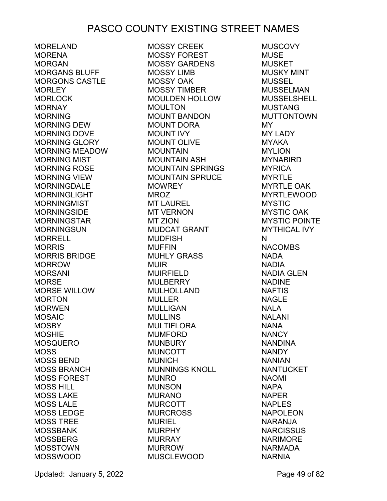MORELAND **MORENA** MORGAN MORGANS BLUFF MORGONS CASTLE **MORLEY** MORLOCK **MORNAY** MORNING MORNING DEW MORNING DOVE MORNING GLORY MORNING MEADOW MORNING MIST MORNING ROSE MORNING VIEW MORNINGDALE **MORNINGLIGHT MORNINGMIST** MORNINGSIDE MORNINGSTAR MORNINGSUN MORRELL MORRIS MORRIS BRIDGE MORROW MORSANI MORSE MORSE WILLOW MORTON MORWEN MOSAIC MOSBY MOSHIE MOSQUERO MOSS MOSS BEND MOSS BRANCH MOSS FOREST MOSS HILL MOSS LAKE MOSS LALE MOSS LEDGE MOSS TREE MOSSBANK MOSSBERG MOSSTOWN MOSSWOOD

MOSSY CREEK MOSSY FOREST MOSSY GARDENS MOSSY LIMB MOSSY OAK MOSSY TIMBER MOULDEN HOLLOW MOULTON MOUNT BANDON MOUNT DORA MOUNT IVY MOUNT OLIVE MOUNTAIN MOUNTAIN ASH MOUNTAIN SPRINGS MOUNTAIN SPRUCE **MOWREY** MROZ MT LAUREL MT VERNON MT ZION MUDCAT GRANT MUDFISH MUFFIN MUHLY GRASS MUIR MUIRFIELD MULBERRY MULHOLLAND MULLER MULLIGAN MULLINS MULTIFLORA MUMFORD MUNBURY MUNCOTT MUNICH MUNNINGS KNOLL MUNRO MUNSON MURANO MURCOTT MURCROSS MURIEL MURPHY MURRAY MURROW MUSCLEWOOD

**MUSCOVY** MUSE **MUSKET** MUSKY MINT MUSSEL MUSSELMAN MUSSELSHELL MUSTANG MUTTONTOWN MY MY LADY MYAKA MYLION MYNABIRD MYRICA MYRTLE MYRTLE OAK **MYRTLEWOOD** MYSTIC MYSTIC OAK MYSTIC POINTE MYTHICAL IVY N **NACOMBS** NADA NADIA NADIA GLEN NADINE NAFTIS NAGLE NALA NALANI NANA **NANCY** NANDINA NANDY NANIAN NANTUCKET NAOMI NAPA NAPER NAPLES NAPOLEON NARANJA NARCISSUS NARIMORE NARMADA NARNIA

Updated: January 5, 2022 Page 49 of 82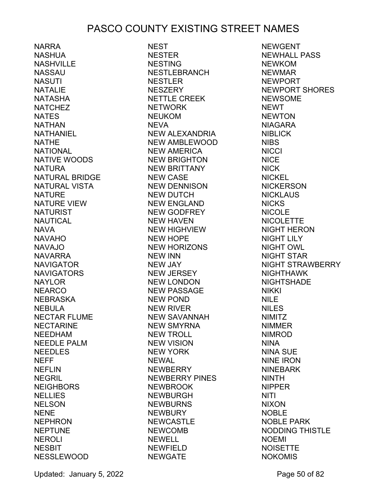NARRA NASHUA NASHVILLE NASSAU NASUTI NATALIE NATASHA **NATCHEZ NATES** NATHAN NATHANIEL NATHE NATIONAL NATIVE WOODS NATURA NATURAL BRIDGE NATURAL VISTA NATURE NATURE VIEW **NATURIST NAUTICAL** NAVA NAVAHO NAVAJO NAVARRA NAVIGATOR **NAVIGATORS** NAYLOR NEARCO NEBRASKA NEBULA NECTAR FLUME NECTARINE NEEDHAM NEEDLE PALM NEEDLES NEFF **NEFLIN** NEGRIL **NEIGHBORS** NELLIES NELSON NENE NEPHRON NEPTUNE NEROLI **NESBIT** NESSLEWOOD

NEST NESTER NESTING NESTLEBRANCH NESTLER NESZERY NETTLE CREEK NETWORK NEUKOM **NEVA** NEW ALEXANDRIA NEW AMBLEWOOD NEW AMERICA NEW BRIGHTON NEW BRITTANY NEW CASE NEW DENNISON NEW DUTCH NEW ENGLAND NEW GODFREY NEW HAVEN NEW HIGHVIEW NEW HOPE NEW HORIZONS NEW INN NEW JAY NEW JERSEY NEW LONDON NEW PASSAGE NEW POND NEW RIVER NEW SAVANNAH NEW SMYRNA NEW TROLL NEW VISION NEW YORK NEWAL **NEWBERRY** NEWBERRY PINES NEWBROOK NEWBURGH NEWBURNS **NEWBURY** NEWCASTLE NEWCOMB NEWELL NEWFIELD NEWGATE

NEWGENT NEWHALL PASS NEWKOM NEWMAR NEWPORT NEWPORT SHORES NEWSOME **NEWT NEWTON** NIAGARA NIBLICK NIBS **NICCI** NICE NICK NICKEL **NICKERSON NICKLAUS** NICKS NICOLE **NICOLETTE** NIGHT HERON NIGHT LILY NIGHT OWL NIGHT STAR NIGHT STRAWBERRY NIGHTHAWK **NIGHTSHADE** NIKKI NILE NILES NIMITZ NIMMER NIMROD NINA NINA SUE NINE IRON NINEBARK NINTH NIPPER NITI NIXON NOBLE NOBLE PARK NODDING THISTLE NOEMI NOISETTE NOKOMIS

Updated: January 5, 2022 **Page 50 of 82**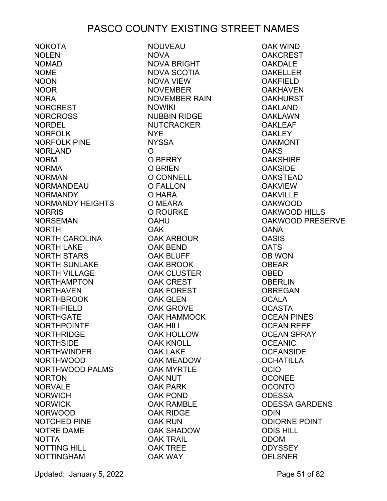NOKOTA NOLEN NOMAD NOME NOON NOOR NORA NORCREST NORCROSS NORDEL NORFOLK NORFOLK PINE NORLAND NORM NORMA NORMAN NORMANDEAU NORMANDY NORMANDY HEIGHTS NORRIS NORSEMAN NORTH NORTH CAROLINA NORTH LAKE NORTH STARS NORTH SUNLAKE NORTH VILLAGE NORTHAMPTON NORTHAVEN NORTHBROOK NORTHFIELD NORTHGATE NORTHPOINTE NORTHRIDGE NORTHSIDE NORTHWINDER NORTHWOOD NORTHWOOD PALMS NORTON NORVALE NORWICH NORWICK NORWOOD NOTCHED PINE NOTRE DAME NOTTA NOTTING HILL NOTTINGHAM

NOUVEAU NOVA NOVA BRIGHT NOVA SCOTIA NOVA VIEW NOVEMBER NOVEMBER RAIN NOWIKI NUBBIN RIDGE NUTCRACKER NYE NYSSA  $\Omega$ O BERRY O BRIEN O CONNELL O FALLON O HARA O MEARA O ROURKE OAHU OAK OAK ARBOUR OAK BEND OAK BLUFF OAK BROOK OAK CLUSTER OAK CREST OAK FOREST OAK GLEN OAK GROVE OAK HAMMOCK OAK HILL OAK HOLLOW OAK KNOLL OAK LAKE OAK MEADOW OAK MYRTLE OAK NUT OAK PARK OAK POND OAK RAMBLE OAK RIDGE OAK RUN OAK SHADOW OAK TRAIL OAK TREE OAK WAY

OAK WIND **OAKCREST** OAKDALE **OAKELLER OAKFIELD OAKHAVEN** OAKHURST OAKLAND OAKLAWN **OAKLEAF OAKLEY** OAKMONT **OAKS OAKSHIRE** OAKSIDE OAKSTEAD **OAKVIEW OAKVILLE** OAKWOOD OAKWOOD HILLS OAKWOOD PRESERVE **OANA OASIS** OATS OB WON OBEAR OBED **OBERLIN OBREGAN OCALA** OCASTA OCEAN PINES OCEAN REEF OCEAN SPRAY **OCEANIC OCEANSIDE** OCHATILLA OCIO **OCONEE** OCONTO ODESSA ODESSA GARDENS ODIN ODIORNE POINT ODIS HILL ODOM **ODYSSEY** OELSNER

Updated: January 5, 2022 **Page 51 of 82**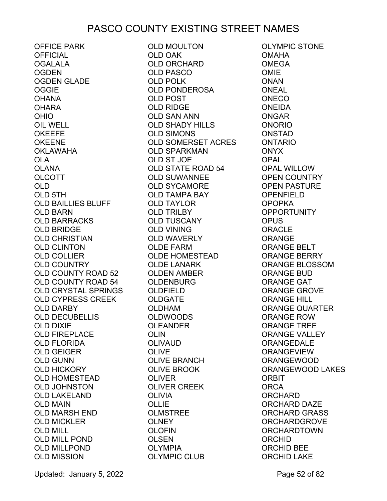OFFICE PARK OFFICIAL OGALALA **OGDEN** OGDEN GLADE **OGGIE** OHANA OHARA OHIO OIL WELL OKEEFE OKEENE OKLAWAHA OLA OLANA OLCOTT OLD OLD 5TH OLD BAILLIES BLUFF OLD BARN OLD BARRACKS OLD BRIDGE OLD CHRISTIAN OLD CLINTON OLD COLLIER OLD COUNTRY OLD COUNTY ROAD 52 OLD COUNTY ROAD 54 OLD CRYSTAL SPRINGS OLD CYPRESS CREEK OLD DARBY OLD DECUBELLIS OLD DIXIE OLD FIREPLACE OLD FLORIDA OLD GEIGER OLD GUNN OLD HICKORY OLD HOMESTEAD OLD JOHNSTON OLD LAKELAND OLD MAIN OLD MARSH END OLD MICKLER OLD MILL OLD MILL POND OLD MILLPOND OLD MISSION

OLD MOULTON OLD OAK OLD ORCHARD<br>OLD PASCO<br>OLD POLK OLD PASCO OLD POLK OLD PONDEROSA OLD POST OLD RIDGE OLD SAN ANN OLD SHADY HILLS OLD SIMONS OLD SOMERSET ACRES OLD SPARKMAN OLD ST JOE OLD STATE ROAD 54 OLD SUWANNEE OLD SYCAMORE OLD TAMPA BAY OLD TAYLOR OLD TRILBY OLD TUSCANY OLD VINING OLD WAVERLY OLDE FARM OLDE HOMESTEAD OLDE LANARK OLDEN AMBER OLDENBURG OLDFIELD OLDGATE OLDHAM OLDWOODS OLEANDER OLIN OLIVAUD OLIVE OLIVE BRANCH OLIVE BROOK OLIVER OLIVER CREEK OLIVIA OLLIE OLMSTREE OLNEY OLOFIN OLSEN OLYMPIA OLYMPIC CLUB

OLYMPIC STONE OMAHA OMEGA OMIE ONAN ONEAL ONECO ONEIDA ONGAR ONORIO ONSTAD ONTARIO ONYX OPAL OPAL WILLOW OPEN COUNTRY OPEN PASTURE OPENFIELD OPOPKA OPPORTUNITY OPUS ORACLE ORANGE ORANGE BELT ORANGE BERRY ORANGE BLOSSOM ORANGE BUD ORANGE GAT ORANGE GROVE ORANGE HILL ORANGE QUARTER ORANGE ROW ORANGE TREE ORANGE VALLEY ORANGEDALE ORANGEVIEW ORANGEWOOD ORANGEWOOD LAKES ORBIT ORCA ORCHARD ORCHARD DAZE ORCHARD GRASS ORCHARDGROVE ORCHARDTOWN ORCHID ORCHID BEE ORCHID LAKE

Updated: January 5, 2022 **Page 52 of 82**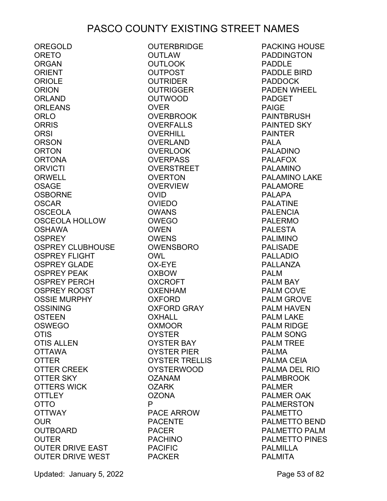OREGOLD ORETO **ORGAN ORIENT** ORIOLE **ORION** ORLAND ORLEANS ORLO **ORRIS** ORSI ORSON ORTON ORTONA **ORVICTI** ORWELL OSAGE OSBORNE OSCAR OSCEOLA OSCEOLA HOLLOW OSHAWA OSPREY OSPREY CLUBHOUSE OSPREY FLIGHT OSPREY GLADE OSPREY PEAK OSPREY PERCH OSPREY ROOST OSSIE MURPHY OSSINING OSTEEN OSWEGO OTIS OTIS ALLEN OTTAWA OTTER OTTER CREEK OTTER SKY OTTERS WICK **OTTLEY** OTTO OTTWAY OUR OUTBOARD **OUTER** OUTER DRIVE EAST OUTER DRIVE WEST PACKER

OUTERBRIDGE OUTLAW OUTLOOK OUTPOST OUTRIDER OUTRIGGER OUTWOOD OVER OVERBROOK OVERFALLS OVERHILL OVERLAND OVERLOOK **OVERPASS** OVERSTREET OVERTON OVERVIEW OVID OVIEDO OWANS OWEGO OWEN OWENS OWENSBORO OWL OX-EYE OXBOW OXCROFT OXENHAM OXFORD OXFORD GRAY OXHALL OXMOOR OYSTER OYSTER BAY OYSTER PIER OYSTER TRELLIS OYSTERWOOD OZANAM **OZARK** OZONA P PACE ARROW PACENTE PACER PACHINO PACIFIC

PACKING HOUSE PADDINGTON PADDLE PADDLE BIRD PADDOCK PADEN WHEEL PADGET PAIGE PAINTBRUSH PAINTED SKY PAINTER PALA PALADINO PALAFOX PALAMINO PALAMINO LAKE PALAMORE PALAPA PALATINE PALENCIA PALERMO PALESTA PALIMINO PALISADE PALLADIO PALLANZA PALM PALM BAY PALM COVE PALM GROVE PALM HAVEN PALM LAKE PALM RIDGE PALM SONG PALM TREE PALMA PALMA CEIA PALMA DEL RIO PALMBROOK PALMER PALMER OAK PALMERSTON PALMETTO PALMETTO BEND PALMETTO PALM PALMETTO PINES PALMILLA PALMITA

Updated: January 5, 2022 **Page 53 of 82**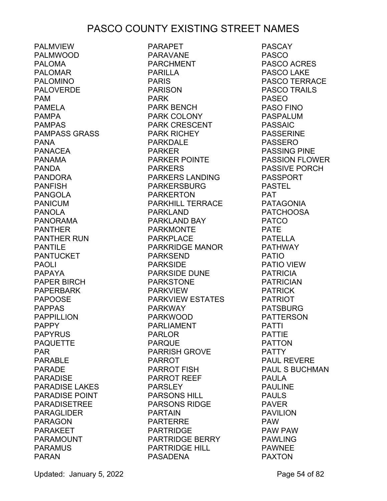PALMVIEW PALMWOOD PAI OMA PALOMAR PALOMINO PALOVERDE PAM PAMELA PAMPA PAMPAS PAMPASS GRASS PANA PANACEA PANAMA PANDA PANDORA PANFISH PANGOLA PANICUM PANOLA PANORAMA PANTHER PANTHER RUN PANTILE PANTUCKET PAOLI PAPAYA PAPER BIRCH PAPERBARK PAPOOSE PAPPAS PAPPILLION PAPPY PAPYRUS PAQUETTE PAR PARABLE PARADE PARADISE PARADISE LAKES PARADISE POINT PARADISETREE PARAGLIDER PARAGON PARAKEET PARAMOUNT PARAMUS PARAN

PARAPET PARAVANE PARCHMENT PARILLA PARIS PARISON PARK PARK BENCH PARK COLONY PARK CRESCENT PARK RICHEY PARKDALE PARKER PARKER POINTE PARKERS PARKERS LANDING PARKERSBURG PARKERTON PARKHILL TERRACE PATAGONIA PARKLAND PARKLAND BAY PARKMONTE PARKPLACE PARKRIDGE MANOR PARKSEND PARKSIDE PARKSIDE DUNE PARKSTONE PARKVIEW PARKVIEW ESTATES PARKWAY PARKWOOD PARLIAMENT PARLOR PARQUE PARRISH GROVE PARROT PARROT FISH PARROT REEF PARSLEY PARSONS HILL PARSONS RIDGE PARTAIN PARTERRE PARTRIDGE PARTRIDGE BERRY PARTRIDGE HILL PASADENA

PASCAY PASCO PASCO ACRES PASCO LAKE PASCO TERRACE PASCO TRAILS PASEO PASO FINO PASPALUM PASSAIC PASSERINE PASSERO PASSING PINE PASSION FLOWER PASSIVE PORCH PASSPORT PASTEL PAT PATCHOOSA PATCO PATE PATELLA PATHWAY PATIO PATIO VIEW PATRICIA PATRICIAN PATRICK PATRIOT PATSBURG PATTERSON PATTI PATTIE PATTON PATTY PAUL REVERE PAUL S BUCHMAN PAULA PAULINE PAULS PAVER PAVILION PAW PAW PAW PAWLING PAWNEE PAXTON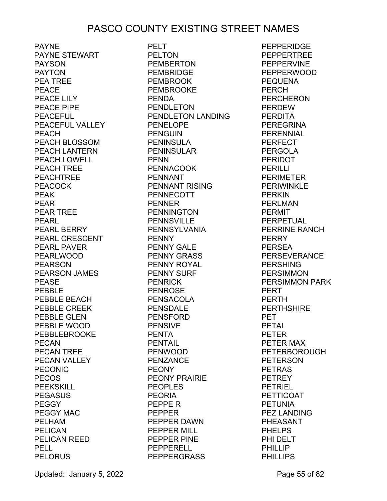PAYNE PAYNE STEWART PAYSON PAYTON PEA TREE PEACE PEACE LILY PEACE PIPE PEACEFUL PEACEFUL VALLEY PEACH PEACH BLOSSOM PEACH LANTERN PEACH LOWELL PEACH TREE PEACHTREE PEACOCK PEAK PEAR PEAR<br>PEAR TREE<br>PFARI PEARL PEARL BERRY PEARL CRESCENT PEARL PAVER PEARLWOOD PEARSON PEARSON JAMES PEASE PEBBLE PEBBLE BEACH PEBBLE CREEK PEBBLE GLEN PEBBLE WOOD PEBBLEBROOKE PECAN PECAN TREE PECAN VALLEY PECONIC PECOS PEEKSKILL PEGASUS PEGGY PEGGY MAC PELHAM PELICAN PELICAN REED PELL **PELORUS** 

PELT PELTON PEMBERTON PEMBRIDGE PEMBROOK PEMBROOKE PENDA PENDLETON PENDLETON LANDING PENELOPE PENGUIN PENINSULA PENINSULAR PENN PENNACOOK PENNANT PENNANT RISING PENNECOTT PENNER PENNINGTON PENNSVILLE PENNSYLVANIA PENNY PENNY GALE PENNY GRASS PENNY ROYAL PENNY SURF PENRICK PENROSE PENSACOLA PENSDALE PENSFORD PENSIVE PENTA PENTAIL PENWOOD PENZANCE PEONY PEONY PRAIRIE **PEOPLES** PEORIA PEPPE R PEPPER PEPPER DAWN PEPPER MILL PEPPER PINE PEPPERELL PEPPERGRASS

**PEPPERIDGE** PEPPERTREE PEPPERVINE PEPPERWOOD PEQUENA PERCH PERCH<br>PERCHERON<br>PERDEW PERDEW PERDITA PEREGRINA PERENNIAL PERFECT PERGOLA PERIDOT PERILLI PERIMETER **PERIWINKLE** PERKIN PERLMAN PERMIT PERPETUAL PERRINE RANCH PERRY PERSEA PERSEVERANCE PERSHING **PERSIMMON** PERSIMMON PARK PERT PERTH PERTHSHIRE PET PETAL PETER PETER MAX PETERBOROUGH PETERSON PETRAS PETREY PETRIEL PETTICOAT PETUNIA PEZ LANDING PHEASANT PHELPS PHI DELT PHILLIP PHILLIPS

Updated: January 5, 2022 **Page 55 of 82**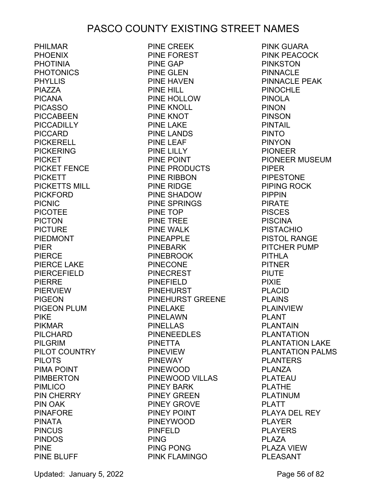PHILMAR PHOENIX PHOTINIA PHOTONICS PHYLLIS PIAZZA PICANA PICASSO PICCABEEN PICCADILLY PICCARD PICKERELL PICKERING PICKET PICKET FENCE<br>PICKETT PICKETT PICKETTS MILL PICKFORD PICNIC PICOTEE PICTON PICTURE PIEDMONT PIER PIERCE PIERCE LAKE PIERCEFIELD PIERRE PIERVIEW PIGEON PIGEON PLUM PIKE PIKMAR PILCHARD PILGRIM PILOT COUNTRY PILOTS PIMA POINT PIMBERTON **PIMLICO** PIN CHERRY PIN OAK PINAFORE PINATA PINCUS PINDOS PINE PINE BLUFF

PINE CREEK PINE FOREST PINE GAP PINE GLEN PINE HAVEN PINE HILL PINE HOLLOW PINE KNOLL PINE KNOT PINE LAKE PINE LANDS PINE LEAF PINE LILLY PINE POINT PINE PRODUCTS PINE RIBBON PINE RIDGE PINE SHADOW PINE SPRINGS PINE TOP PINE TREE PINE WALK PINEAPPLE PINEBARK PINEBROOK PINECONE PINECREST PINEFIELD **PINEHURST** PINEHURST GREENE PINELAKE PINELAWN PINELLAS PINENEEDLES PINETTA PINEVIEW PINEWAY PINEWOOD PINEWOOD VILLAS PINEY BARK PINEY GREEN PINEY GROVE PINEY POINT PINEYWOOD PINFELD PING PING PONG PINK FLAMINGO

PINK GUARA PINK PEACOCK PINKSTON PINNACLE PINNACLE PEAK PINOCHLE PINOLA PINON PINSON PINTAIL PINTO PINYON PIONEER PIONEER MUSEUM PIPER PIPESTONE PIPING ROCK PIPPIN PIRATE PISCES **PISCINA** PISTACHIO PISTOL RANGE PITCHER PUMP PITHLA PITNER PIUTE PIXIE PLACID PLAINS PLAINVIEW PLANT PLANTAIN PLANTATION PLANTATION LAKE PLANTATION PALMS PLANTERS PI ANZA PLATEAU PLATHE PLATINUM PLATT PLAYA DEL REY PLAYER PLAYERS PLAZA PLAZA VIEW **PI FASANT** 

Updated: January 5, 2022 **Page 56 of 82**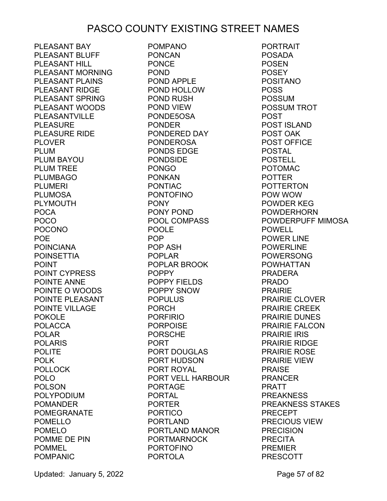PLEASANT BAY PLEASANT BLUFF PLEASANT HILL PLEASANT MORNING PLEASANT PLAINS PLEASANT RIDGE PLEASANT SPRING PLEASANT WOODS PLEASANTVILLE PLEASURE PLEASURE RIDE PLOVER PLUM PLUM BAYOU PLUM TREE PLUMBAGO PLUMERI PLUMOSA PLYMOUTH POCA POCO POCONO POE POINCIANA POINSETTIA POINT POINT CYPRESS POINTE ANNE POINTE O WOODS POINTE PLEASANT POINTE VILLAGE POKOLE POLACCA POLAR POLARIS POLITE POLK POLLOCK POLO POLSON POLYPODIUM POMANDER POMEGRANATE POMELLO POMELO POMME DE PIN POMMEL POMPANIC

POMPANO PONCAN PONCE POND POND APPLE POND HOLLOW POND RUSH POND VIEW PONDE5OSA PONDER PONDERED DAY PONDEROSA PONDS EDGE PONDSIDE PONGO PONKAN PONTIAC PONTOFINO PONY PONY POND POOL COMPASS POOLE POP POP ASH POPLAR POPLAR BROOK POPPY POPPY FIELDS POPPY SNOW POPULUS PORCH PORFIRIO PORPOISE PORSCHE PORT PORT DOUGLAS PORT HUDSON PORT ROYAL PORT VELL HARBOUR PORTAGE PORTAL PORTER PORTICO PORTLAND PORTLAND MANOR PORTMARNOCK PORTOFINO PORTOLA

PORTRAIT POSADA **POSEN POSEY** POSITANO POSS POSSUM POSSUM TROT POST POST ISLAND POST OAK POST OFFICE POSTAL POSTELL POTOMAC POTTER POTTERTON POW WOW POWDER KEG POWDERHORN POWDERPUFF MIMOSA POWELL POWER LINE POWERLINE POWERSONG POWHATTAN PRADERA PRADO PRAIRIE PRAIRIE CLOVER PRAIRIE CREEK PRAIRIE DUNES PRAIRIE FALCON PRAIRIE IRIS PRAIRIE RIDGE PRAIRIE ROSE PRAIRIE VIEW PRAISE PRANCER PRATT PREAKNESS PREAKNESS STAKES PRECEPT PRECIOUS VIEW PRECISION PRECITA PREMIER PRESCOTT

Updated: January 5, 2022 **Page 57 of 82**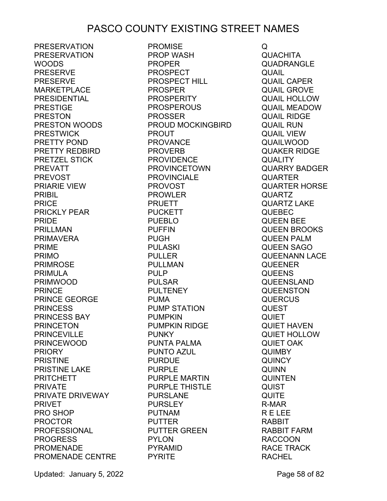PRESERVATION PRESERVATION WOODS PRESERVE PRESERVE MARKETPLACE PRESIDENTIAL PRESTIGE PRESTON PRESTON WOODS PRESTWICK PRETTY POND PRETTY REDBIRD PRETZEL STICK PREVATT PREVOST PRIARIE VIEW PRIBIL PRICE PRICKLY PEAR PRIDE PRILLMAN PRIMAVERA PRIME PRIMO PRIMROSE PRIMULA PRIMWOOD PRINCE PRINCE GEORGE PRINCESS PRINCESS BAY PRINCETON PRINCEVILLE PRINCEWOOD PRIORY PRISTINE PRISTINE LAKE PRITCHETT PRIVATE PRIVATE DRIVEWAY PRIVET PRO SHOP PROCTOR PROFESSIONAL PROGRESS PROMENADE PROMENADE CENTRE PYRITE

PROMISE PROP WASH PROPER PROSPECT PROSPECT HILL PROSPER PROSPERITY PROSPEROUS PROSSER PROUD MOCKINGBIRD PROUT PROVANCE PROVERB PROVIDENCE PROVINCETOWN PROVINCIALE PROVOST PROWLER PRUETT PUCKETT PUEBLO PUFFIN PUGH PULASKI PULLER PULLMAN PULP PULSAR PULTENEY PUMA PUMP STATION PUMPKIN PUMPKIN RIDGE PUNKY PUNTA PALMA PUNTO AZUL PURDUE PURPLE PURPLE MARTIN PURPLE THISTLE PURSLANE PURSLEY PUTNAM PUTTER PUTTER GREEN PYLON PYRAMID

Q **QUACHITA** QUADRANGLE QUAIL QUAIL CAPER QUAIL GROVE QUAIL HOLLOW QUAIL MEADOW QUAIL RIDGE QUAIL RUN QUAIL VIEW QUAILWOOD QUAKER RIDGE **QUALITY** QUARRY BADGER QUARTER QUARTER HORSE QUARTZ QUARTZ LAKE QUEBEC QUEEN BEE QUEEN BROOKS QUEEN PALM QUEEN SAGO QUEENANN LACE QUEENER **QUEENS** QUEENSLAND **QUEENSTON QUERCUS** QUEST QUIET QUIET HAVEN QUIET HOLLOW QUIET OAK QUIMBY **QUINCY** QUINN QUINTEN QUIST **QUITE** R-MAR R E LEE RABBIT RABBIT FARM RACCOON RACE TRACK RACHEL

Updated: January 5, 2022 **Page 58 of 82**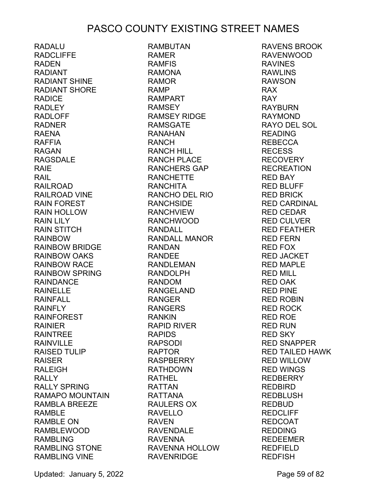RADALU RADCLIFFE RADEN RADIANT RADIANT SHINE RADIANT SHORE RADICE RADLEY RADLOFF RADNER RAENA RAFFIA RAGAN RAGSDALE RAIE RAIL RAILROAD RAILROAD VINE RAIN FOREST RAIN HOLLOW RAIN LILY RAIN STITCH RAINBOW RAINBOW BRIDGE RAINBOW OAKS RAINBOW RACE RAINBOW SPRING RAINDANCE RAINELLE RAINFALL RAINFLY RAINFOREST RAINIER RAINTREE RAINVILLE RAISED TULIP RAISER RALEIGH RALLY RALLY SPRING RAMAPO MOUNTAIN RAMBLA BREEZE RAMBLE RAMBLE ON RAMBLEWOOD RAMBLING RAMBLING STONE RAMBLING VINE

RAMBUTAN RAMER RAMFIS RAMONA RAMOR RAMP RAMPART<br>RAMPART RAMSEY RAMSEY RIDGE RAMSGATE RANAHAN RANCH RANCH HILL RANCH PLACE RANCHERS GAP RANCHETTE RANCHITA RANCHO DEL RIO RANCHSIDE RANCHVIEW RANCHWOOD RANDALL RANDALL MANOR RANDAN RANDEE RANDLEMAN RANDOLPH RANDOM RANGELAND RANGER RANGERS RANKIN RAPID RIVER RAPIDS RAPSODI RAPTOR RASPBERRY RATHDOWN RATHEL RATTAN RATTANA RAULERS OX RAVELLO RAVEN RAVENDALE RAVENNA RAVENNA HOLLOW RAVENRIDGE

RAVENS BROOK RAVENWOOD RAVINES RAWLINS RAWSON RAX RAY RAYBURN RAYMOND RAYO DEL SOL READING REBECCA RECESS RECOVERY RECREATION RED BAY RED BLUFF RED BRICK RED CARDINAL RED CEDAR RED CULVER RED FEATHER RED FERN RED FOX RED JACKET RED MAPLE RED MILL RED OAK RED PINE RED ROBIN RED ROCK RED ROE RED RUN RED SKY RED SNAPPER RED TAILED HAWK RED WILLOW RED WINGS REDBERRY REDBIRD REDBLUSH REDBUD REDCLIFF REDCOAT REDDING REDEEMER REDFIELD REDFISH

Updated: January 5, 2022 **Page 59 of 82**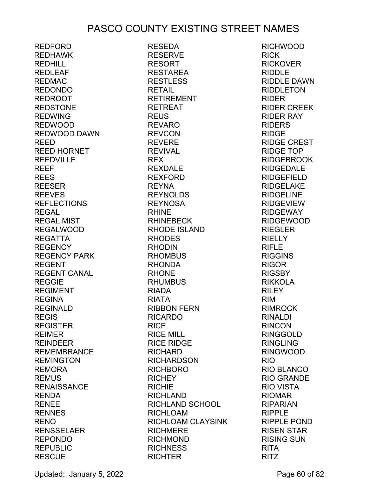RESEDA

REDFORD REDHAWK REDHILL REDLEAF REDMAC REDONDO REDROOT REDSTONE REDWING REDWOOD REDWOOD DAWN REED REED HORNET REEDVILLE REEF REES REESER REEVES REFLECTIONS REGAL REGAL MIST REGALWOOD REGATTA REGENCY REGENCY PARK REGENT REGENT CANAL REGGIE REGIMENT REGINA REGINALD REGIS REGISTER REIMER REINDEER REMEMBRANCE REMINGTON REMORA REMUS RENAISSANCE RENDA RENEE RENNES RENO RENSSELAER REPONDO REPUBLIC **RESCUE** 

RESERVE RESORT RESTAREA RESTLESS RETAIL RETIREMENT RETREAT REUS REVARO REVCON REVERE REVIVAL REX REXDALE REXFORD REYNA REYNOLDS REYNOSA RHINE RHINEBECK RHODE ISLAND RHODES RHODIN RHOMBUS RHONDA RHONE RHUMBUS RIADA RIATA RIBBON FERN RICARDO RICE RICE MILL RICE RIDGE RICHARD RICHARDSON RICHBORO RICHEY **RICHIE** RICHLAND RICHLAND SCHOOL RICHLOAM RICHLOAM CLAYSINK **RICHMERE** RICHMOND **RICHNESS RICHTER** 

RICHWOOD RICK RICKOVER RIDDLE RIDDLE DAWN RIDDLETON RIDER RIDER CREEK RIDER RAY RIDERS RIDGE RIDGE CREST RIDGE TOP RIDGEBROOK RIDGEDALE RIDGEFIELD RIDGELAKE RIDGELINE RIDGEVIEW RIDGEWAY RIDGEWOOD RIEGLER **RIELLY** RIFLE RIGGINS RIGOR RIGSBY RIKKOLA RILEY RIM RIMROCK RINALDI RINCON RINGGOLD RINGLING RINGWOOD RIO RIO BLANCO RIO GRANDE RIO VISTA RIOMAR RIPARIAN RIPPLE RIPPLE POND RISEN STAR RISING SUN RITA RITZ

Updated: January 5, 2022 **Page 60 of 82**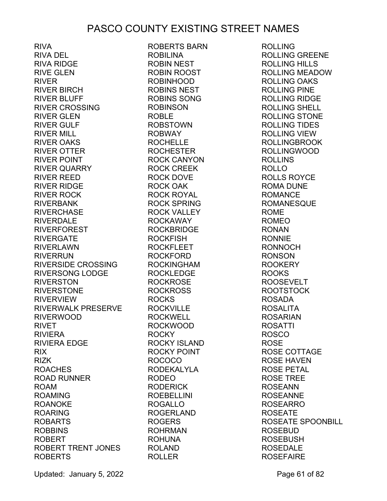RIVA RIVA DEL RIVA RIDGE RIVE GLEN RIVER RIVER BIRCH RIVER BLUFF RIVER CROSSING RIVER GLEN RIVER GULF RIVER MILL RIVER OAKS RIVER OTTER RIVER POINT RIVER QUARRY RIVER REED RIVER RIDGE RIVER ROCK RIVERBANK RIVERCHASE RIVERDALE RIVERFOREST RIVERGATE RIVERLAWN RIVERRUN RIVERSIDE CROSSING RIVERSONG LODGE RIVERSTON RIVERSTONE RIVERVIEW RIVERWALK PRESERVE RIVERWOOD RIVET RIVIERA RIVIERA EDGE RIX RIZK ROACHES ROAD RUNNER ROAM ROAMING ROANOKE ROARING ROBARTS ROBBINS ROBERT ROBERT TRENT JONES ROBERTS ROBERTS BARN ROBILINA ROBINSON ROBLE ROBWAY ROCK OAK ROCKFISH ROCKS ROCKY ROCOCO RODEO ROGALLO ROGERS ROHRMAN ROHUNA ROLAND ROLLER

ROBIN NEST ROBIN ROOST ROBINHOOD ROBINS NEST ROBINS SONG ROBSTOWN ROCHELLE ROCHESTER ROCK CANYON ROCK CREEK ROCK DOVE ROCK ROYAL ROCK SPRING ROCK VALLEY ROCKAWAY ROCKBRIDGE ROCKFLEET ROCKFORD ROCKINGHAM ROCKLEDGE ROCKROSE ROCKROSS ROCKVILLE ROCKWELL ROCKWOOD ROCKY ISLAND ROCKY POINT RODEKALYLA RODERICK ROEBELLINI ROGERLAND

ROLLING ROLLING GREENE ROLLING HILLS ROLLING MEADOW ROLLING OAKS ROLLING PINE ROLLING RIDGE ROLLING SHELL ROLLING STONE ROLLING TIDES ROLLING VIEW ROLLINGBROOK ROLLINGWOOD ROLLINS ROLLO ROLLS ROYCE ROMA DUNE ROMANCE ROMANESQUE ROME ROMEO RONAN RONNIE RONNOCH RONSON ROOKERY ROOKS ROOSEVELT ROOTSTOCK ROSADA ROSALITA ROSARIAN ROSATTI ROSCO ROSE ROSE COTTAGE ROSE HAVEN ROSE PETAL ROSE TREE ROSEANN ROSEANNE ROSEARRO ROSEATE ROSEATE SPOONBILL ROSEBUD ROSEBUSH ROSEDALE **ROSEFAIRE** 

Updated: January 5, 2022 **Page 61 of 82**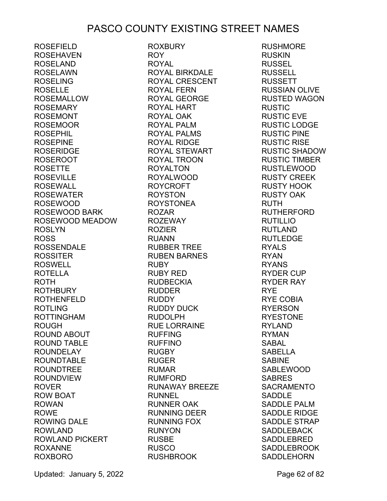ROSEFIELD ROSEHAVEN ROSELAND ROSELAWN ROSELING ROSELLE ROSEMALLOW ROSEMARY ROSEMONT ROSEMOOR ROSEPHIL ROSEPINE ROSERIDGE ROSEROOT ROSETTE ROSEVILLE ROSEWALL ROSEWATER ROSEWOOD ROSEWOOD BARK ROSEWOOD MEADOW ROSLYN ROSS ROSSENDALE ROSSITER ROSWELL ROTELLA ROTH ROTHBURY ROTHENFELD ROTLING ROTTINGHAM ROUGH ROUND ABOUT ROUND TABLE ROUNDELAY ROUNDTABLE ROUNDTREE ROUNDVIEW ROVER ROW BOAT ROWAN ROWE ROWING DALE ROWLAND ROWLAND PICKERT ROXANNE ROXBORO

ROXBURY ROY ROYAL ROYAL BIRKDALE ROYAL CRESCENT ROYAL FERN ROYAL GEORGE ROYAL HART ROYAL OAK ROYAL PALM ROYAL PALMS ROYAL RIDGE ROYAL STEWART ROYAL TROON ROYALTON ROYALWOOD ROYCROFT ROYSTON ROYSTONEA ROZAR ROZEWAY ROZIER RUANN RUBBER TREE RUBEN BARNES RUBY RUBY RED RUDBECKIA RUDDER RUDDY RUDDY DUCK RUDOLPH RUE LORRAINE RUFFING RUFFINO RUGBY RUGER RUMAR RUMFORD RUNAWAY BREEZE RUNNEL RUNNER OAK RUNNING DEER RUNNING FOX RUNYON RUSBE RUSCO RUSHBROOK

RUSHMORE RUSKIN RUSSEL RUSSELL RUSSETT RUSSIAN OLIVE RUSTED WAGON RUSTIC RUSTIC EVE RUSTIC LODGE RUSTIC PINE RUSTIC RISE RUSTIC SHADOW RUSTIC TIMBER RUSTLEWOOD RUSTY CREEK RUSTY HOOK RUSTY OAK RUTH RUTHERFORD RUTILLIO RUTLAND RUTLEDGE RYALS RYAN RYANS RYDER CUP RYDER RAY RYE RYE COBIA RYERSON RYESTONE RYLAND RYMAN SABAL SABELLA **SABINE** SABLEWOOD SABRES SACRAMENTO SADDLE SADDLE PALM SADDLE RIDGE SADDLE STRAP SADDLEBACK SADDLEBRED SADDLEBROOK **SADDLEHORN** 

Updated: January 5, 2022 **Page 62 of 82**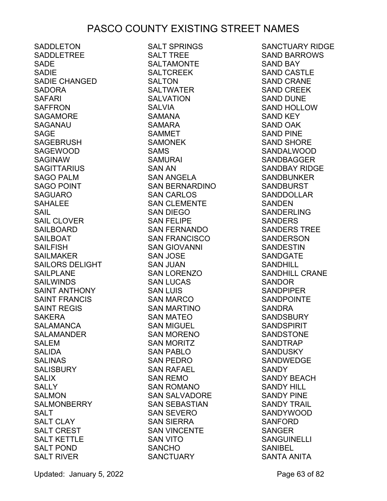SADDLETON SADDLETREE SADE SADIE SADIE CHANGED SADORA SAFARI SAFFRON SAGAMORE SAGANAU SAGE SAGEBRUSH SAGEWOOD SAGINAW SAGITTARIUS SAGO PALM SAGO POINT SAGO POINT<br>SAGUARO SAHALEE<br>SAIL SAIL SAIL CLOVER SAILBOARD SAILBOAT SAILFISH SAILMAKER SAILORS DELIGHT SAILPLANE SAILWINDS SAINT ANTHONY SAINT FRANCIS SAINT REGIS SAKERA SALAMANCA SALAMANDER SALEM SALIDA SALINAS SALISBURY SALIX SALLY SALMON **SALMONBERRY** SALT SALT CLAY SALT CREST SALT KETTLE SALT POND SALT RIVER

SALT SPRINGS SALT TREE SALTAMONTE SALTCREEK SALTON SALTWATER SALVATION SALVIA SAMANA SAMARA SAMMET SAMONEK SAMS SAMURAI SAN AN SAN ANGELA SAN BERNARDINO SAN CARLOS SAN CLEMENTE SAN DIEGO SAN FELIPE SAN FERNANDO SAN FRANCISCO SAN GIOVANNI SAN JOSE SAN JUAN SAN LORENZO SAN LUCAS SAN LUIS SAN MARCO SAN MARTINO SAN MATEO SAN MIGUEL SAN MORENO SAN MORITZ SAN PABLO SAN PEDRO SAN RAFAEL SAN REMO SAN ROMANO SAN SALVADORE SAN SEBASTIAN SAN SEVERO SAN SIERRA SAN VINCENTE SAN VITO SANCHO **SANCTUARY** 

SANCTUARY RIDGE SAND BARROWS SAND BAY SAND CASTLE SAND CRANE SAND CREEK SAND DUNE SAND HOLLOW SAND KEY SAND OAK SAND PINE SAND SHORE SANDALWOOD SANDBAGGER SANDBAY RIDGE SANDBUNKER SANDBURST SANDDOLLAR SANDEN SANDERLING SANDERS SANDERS TREE SANDERSON SANDESTIN SANDGATE SANDHILL SANDHILL CRANE SANDOR SANDPIPER SANDPOINTE SANDRA SANDSBURY SANDSPIRIT SANDSTONE SANDTRAP SANDUSKY SANDWEDGE SANDY SANDY BEACH SANDY HILL SANDY PINE SANDY TRAIL SANDYWOOD SANFORD SANGER SANGUINELLI SANIBEL SANTA ANITA

Updated: January 5, 2022 **Page 63 of 82**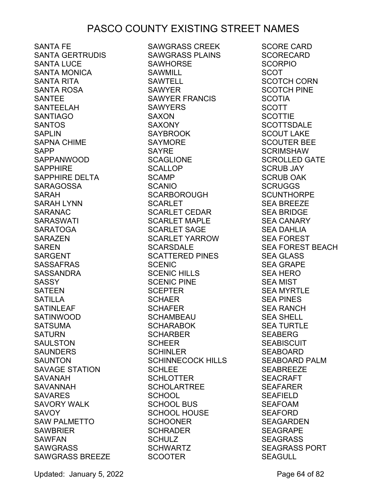SANTA FE SANTA GERTRUDIS SANTA LUCE SANTA MONICA SANTA RITA SANTA ROSA SANTEE SANTEELAH SANTIAGO SANTOS SAPLIN SAPNA CHIME SAPP SAPPANWOOD SAPPHIRE SAPPHIRE DELTA SARAGOSSA SARAH SARAH LYNN SARANAC SARASWATI SARATOGA SARAZEN SAREN SARGENT SASSAFRAS SASSANDRA SASSY SATEEN SATILLA SATINLEAF SATINWOOD SATSUMA SATURN SAULSTON SAUNDERS SAUNTON SAVAGE STATION SAVANAH SAVANNAH SAVARES SAVORY WALK **SAVOY** SAW PALMETTO SAWBRIER SAWFAN SAWGRASS SAWGRASS BREEZE SCOOTER

SAWGRASS CREEK SAWGRASS PLAINS SAWHORSE SAWMILL SAWTELL SAWYER<sup>T</sup> SAWYER FRANCIS **SAWYERS** SAXON SAXONY SAYBROOK SAYMORE SAYRE SCAGLIONE SCALLOP SCAMP SCANIO SCARBOROUGH SCARLET SCARLET CEDAR SCARLET MAPLE SCARLET SAGE SCARLET YARROW SCARSDALE SCATTERED PINES SCENIC SCENIC HILLS SCENIC PINE SCEPTER SCHAER SCHAFER SCHAMBEAU SCHARABOK SCHARABOK<br>SCHARBER SCHEER SCHINLER SCHINNECOCK HILLS SCHI FF SCHLOTTER SCHOLARTREE **SCHOOL** SCHOOL BUS SCHOOL HOUSE SCHOONER SCHRADER SCHULZ SCHWARTZ

SCORE CARD **SCORECARD** SCORPIO SCOT SCOTCH CORN SCOTCH PINE SCOTIA SCOTT **SCOTTIE SCOTTSDALE** SCOUT LAKE SCOUTER BEE **SCRIMSHAW** SCROLLED GATE SCRUB JAY SCRUB OAK **SCRUGGS SCUNTHORPE** SEA BREEZE SEA BRIDGE SEA CANARY SEA DAHLIA SEA FOREST SEA FOREST BEACH SEA GLASS SEA GRAPE SEA HERO SEA MIST SEA MYRTLE SEA PINES SEA RANCH SEA SHELL SEA TURTLE SEABERG SEABISCUIT SEABOARD SEABOARD PALM SEABREEZE SEACRAFT SEAFARER SEAFIELD SEAFOAM SEAFORD SEAGARDEN SEAGRAPE SEAGRASS SEAGRASS PORT **SEAGULL** 

Updated: January 5, 2022 **Page 64 of 82**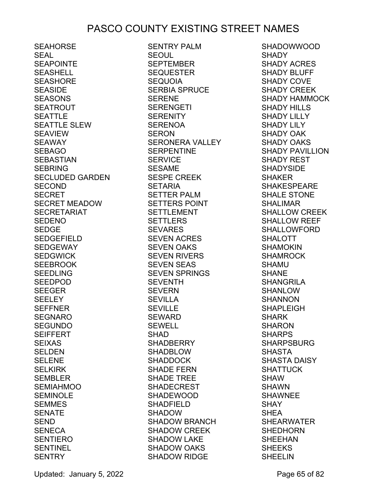SEAHORSE SEAL SEAPOINTE SEASHELL SEASHORE SEASIDE SEASONS SEATROUT SEATTLE SEATTLE SLEW SEAVIEW SEAWAY<br>SEBAGO SEBAGO SEBASTIAN SEBRING SECLUDED GARDEN SECOND **SECRET** SECRET MEADOW SECRETARIAT SEDENO SEDGE SEDGEFIELD SEDGEWAY SEDGWICK SEEBROOK SEEDLING SEEDPOD SEEGER SEELEY SEFFNER SEGNARO SEGUNDO SEIFFERT SEIXAS SELDEN SELENE SELKIRK SEMBLER SEMIAHMOO SEMINOLE SEMMES SENATE SEND SENECA SENTIERO SENTINEL **SENTRY** 

SENTRY PALM SEOUL SEPTEMBER SEQUESTER SEQUOIA SERBIA SPRUCE SERENE SERENGETI SERENITY SERENOA SERON SERONERA VALLEY SERPENTINE SERVICE SESAME SERVICE<br>SESAME<br>SESPE CREEK<br>SETARIA<br>SETTER PALM SETARIA SETTER PALM SETTERS POINT SETTLEMENT SETTLERS SEVARES SEVEN ACRES SEVEN OAKS SEVEN RIVERS SEVEN RIVERS<br>SEVEN SEAS SEVEN SPRINGS SEVENTH  $SEVERN$ SEVILLA SEVILLE SEWARD SEWELL SHAD SHADBERRY SHADBLOW SHADDOCK SHADE FERN SHADE TREE SHADECREST SHADEWOOD SHADFIELD<br>QUADOW SHADOW SHADOW BRANCH SHADOW CREEK SHADOW LAKE SHADOW OAKS SHADOW RIDGE

SHADOWWOOD SHADY SHADY ACRES SHADY BLUFF SHADY COVE SHADY CREEK SHADY HAMMOCK SHADY HILLS SHADY LILLY SHADY LILY SHADY OAK SHADY OAKS SHADY PAVILLION SHADY REST SHADYSIDE SHAKER SHAKESPEARE SHALE STONE SHALIMAR SHALLOW CREEK SHALLOW REEF SHALLOWFORD SHALOTT SHAMOKIN SHAMROCK SHAMU SHANE SHANGRILA SHANLOW SHANNON SHAPLEIGH SHARK SHARON SHARPS SHARPSBURG SHASTA SHASTA DAISY SHATTUCK SHAW SHAWN SHAWNEE SHAY SHEA SHEARWATER SHEDHORN SHEEHAN SHEEKS SHEELIN

Updated: January 5, 2022 **Page 65 of 82**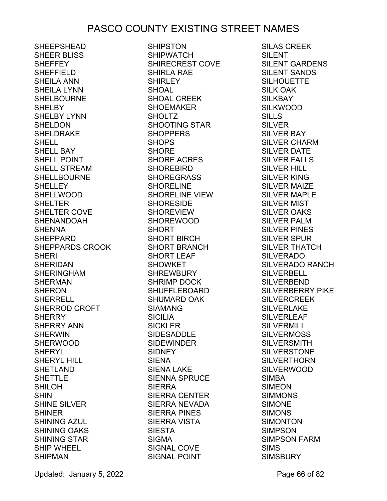SHEEPSHEAD SHEER BLISS **SHEFFEY** SHEFFIELD SHEILA ANN SHEILA LYNN SHELBOURNE **SHELBY** SHELBY LYNN SHELDON SHELDRAKE **SHELL** SHELL BAY SHELL POINT SHELL STREAM SHELLBOURNE SHELLEY SHELLWOOD SHELTER SHELTER COVE SHENANDOAH **SHENNA** SHEPPARD SHEPPARDS CROOK SHERI SHERIDAN SHERINGHAM SHERMAN SHERON SHERRELL SHERROD CROFT **SHERRY** SHERRY ANN SHERWIN SHERWOOD SHERYL SHERYL HILL SHETLAND SHETTLE SHILOH SHIN SHINE SILVER SHINER SHINING AZUL SHINING OAKS SHINING STAR SHIP WHEEL SHIPMAN

SHIPSTON SHIPWATCH SHIRECREST COVE SHIRLA RAE **SHIRLEY** SHOAL SHOAL CREEK SHOEMAKER **SHOLTZ** SHOOTING STAR **SHOPPERS** SHOPS SHORE SHORE ACRES SHOREBIRD SHOREGRASS SHORELINE SHORELINE VIEW SHORESIDE SHOREVIEW SHOREWOOD SHORT SHORT BIRCH SHORT BRANCH SHORT LEAF SHOWKET SHREWBURY SHRIMP DOCK SHUFFLEBOARD SHUMARD OAK SIAMANG SICILIA SICKLER SIDESADDLE **SIDEWINDER** SIDNEY SIENA SIENA LAKE SIENNA SPRUCE SIERRA SIERRA CENTER SIERRA NEVADA SIERRA PINES SIERRA VISTA SIESTA SIGMA SIGNAL COVE SIGNAL POINT

SILAS CREEK SILENT SILENT GARDENS SILENT SANDS SILHOUETTE SILK OAK SILKBAY SILKWOOD SILLS SILVER SILVER BAY SILVER CHARM SILVER DATE SILVER FALLS SILVER HILL SILVER KING SILVER MAIZE SILVER MAPLE SILVER MIST SILVER OAKS SILVER PALM SILVER PINES SILVER SPUR SILVER THATCH SILVERADO SILVERADO RANCH SILVERBELL SILVERBEND SILVERBERRY PIKE **SILVERCREEK** SILVERLAKE SILVERLEAF SILVERMILL **SILVERMOSS** SILVERSMITH SILVERSTONE SILVERTHORN SILVERWOOD SIMBA SIMEON SIMMONS SIMONE SIMONS SIMONTON SIMPSON SIMPSON FARM SIMS SIMSBURY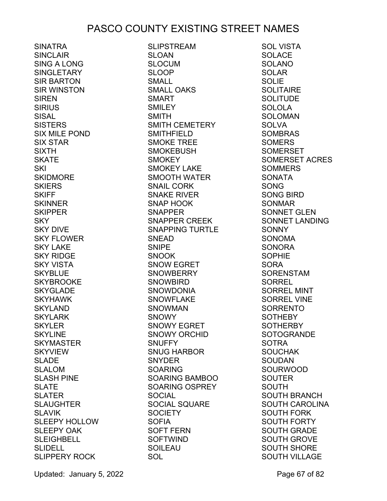SINATRA SINCLAIR SING A LONG SINGLETARY SIR BARTON SIR WINSTON SIREN SIRIUS SISAL **SISTERS** SIX MILE POND SIX STAR SIXTH SKATE SKI SKIDMORE SKIERS **SKIFF SKINNER** SKIPPER SKY SKY DIVE SKY FLOWER SKY LAKE SKY RIDGE SKY VISTA SKYBLUE SKYBROOKE SKYGLADE SKYHAWK SKYLAND SKYLARK SKYLER SKYLINE SKYMASTER SKYVIEW SLADE SLALOM SLASH PINE SLATE SLATER SLAUGHTER SLAVIK SLEEPY HOLLOW SLEEPY OAK SLEIGHBELL **SLIDELL** SLIPPERY ROCK

SLIPSTREAM SLOAN SLOCUM<sub></sub> SLOOP SMALL SMALL OAKS SMART SMILEY SMITH SMITH CEMETERY SMITHFIELD SMOKE TREE SMOKEBUSH SMOKEY SMOKEY LAKE SMOOTH WATER SNAIL CORK SNAKE RIVER SNAP HOOK SNAPPER SNAPPER CREEK SNAPPING TURTLE SNEAD SNIPE SNOOK SNOW EGRET SNOWBERRY SNOWBIRD SNOWDONIA SNOWFLAKE SNOWMAN SNOWY SNOWY EGRET SNOWY ORCHID **SNUFFY** SNUG HARBOR SNYDER SOARING SOARING BAMBOO SOARING OSPREY **SOCIAL** SOCIAL SQUARE SOCIETY SOFIA SOFT FERN SOFTWIND SOILEAU SOL

SOL VISTA SOLACE SOLANO SOLAR SOLIE **SOLITAIRE** SOLITUDE SOLOLA SOLOMAN **SOLVA** SOMBRAS **SOMERS** SOMERSET SOMERSET ACRES SOMMERS SONATA SONG SONG BIRD SONMAR SONNET GLEN SONNET LANDING **SONNY** SONOMA **SONORA** SOPHIE SORA SORENSTAM SORREL SORREL MINT SORREL VINE SORRENTO SOTHEBY SOTHERBY **SOTOGRANDE SOTRA** SOUCHAK SOUDAN SOURWOOD SOUTER SOUTH SOUTH BRANCH SOUTH CAROLINA SOUTH FORK SOUTH FORTY SOUTH GRADE SOUTH GROVE SOUTH SHORE SOUTH VILLAGE

Updated: January 5, 2022 **Page 67 of 82**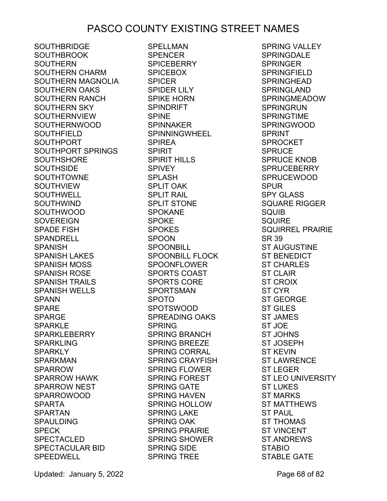SOUTHBRIDGE SOUTHBROOK SOUTHERN SOUTHERN CHARM SOUTHERN MAGNOLIA SOUTHERN OAKS SOUTHERN RANCH SOUTHERN SKY SOUTHERNVIEW SOUTHERNWOOD SOUTHFIELD SOUTHPORT SOUTHPORT SPRINGS SOUTHSHORE SOUTHSIDE SOUTHTOWNE SOUTHVIEW SOUTHWELL SOUTHWIND SOUTHWOOD SOVEREIGN SPADE FISH SPANDRELL SPANISH SPANISH LAKES SPANISH MOSS SPANISH ROSE SPANISH TRAILS SPANISH WELLS **SPANN** SPARE SPARGE SPARKLE SPARKLEBERRY SPARKLING SPARKLY SPARKMAN SPARROW SPARROW HAWK SPARROW NEST SPARROWOOD SPARTA SPARTAN SPAULDING SPECK SPECTACLED SPECTACULAR BID SPEEDWELL

SPELLMAN SPENCER SPICEBERRY SPICEBOX SPICER SPIDER LILY SPIKE HORN SPINDRIFT SPINE SPINNAKER SPINNINGWHEEL SPIREA SPIRIT SPIRIT HILLS SPIVEY SPLASH SPLIT OAK SPLIT RAIL SPLIT STONE SPOKANE SPOKE SPOKES SPOON SPOONBILL SPOONBILL FLOCK SPOONFLOWER SPORTS COAST SPORTS CORE SPORTSMAN SPOTO SPOTSWOOD SPREADING OAKS SPRING SPRING BRANCH SPRING BREEZE SPRING CORRAL SPRING CRAYFISH SPRING FLOWER SPRING FOREST SPRING GATE SPRING HAVEN SPRING HOLLOW SPRING LAKE SPRING OAK SPRING PRAIRIE SPRING SHOWER SPRING SIDE SPRING TREE

SPRING VALLEY **SPRINGDALE** SPRINGER SPRINGFIELD SPRINGHEAD SPRINGLAND SPRINGMEADOW SPRINGRUN SPRINGTIME SPRINGWOOD SPRINT SPROCKET SPRUCE SPRUCE KNOB SPRUCEBERRY SPRUCEWOOD SPUR SPY GLASS SQUARE RIGGER SQUIB SQUIRE SQUIRREL PRAIRIE SR 39 ST AUGUSTINE ST BENEDICT ST CHARLES ST CLAIR ST CROIX ST CYR ST GEORGE ST GILES ST JAMES ST JOE ST JOHNS ST JOSEPH ST KEVIN ST LAWRENCE ST LEGER ST LEO UNIVERSITY ST LUKES ST MARKS ST MATTHEWS ST PAUL ST THOMAS ST VINCENT ST.ANDREWS STABIO STABLE GATE

Updated: January 5, 2022 **Page 68 of 82**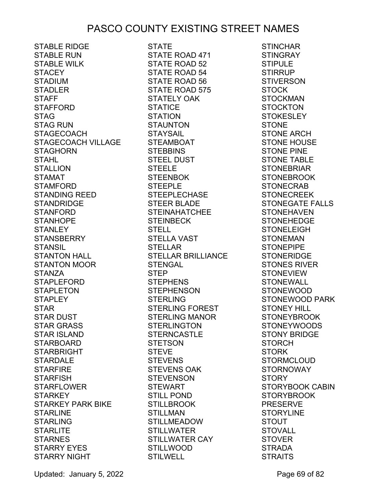STABLE RIDGE STABLE RUN STABLE WILK STACEY STADIUM STADLER STAFF STAFFORD STAG STAG RUN STAGECOACH STAGECOACH VILLAGE STAGHORN STAHL STALLION STAMAT STAMFORD STANDING REED STANDRIDGE STANFORD STANHOPE STANLEY STANSBERRY STANSIL STANTON HALL STANTON MOOR STANZA STAPLEFORD STAPLETON STAPLEY STAR STAR DUST STAR GRASS STAR ISLAND STARBOARD STARBRIGHT STARBOARD<br>STARBRIGHT<br>STARDALE STARFIRE STARFISH STARFLOWER STARKEY STARKEY PARK BIKE **STARLINE** STARLING STARLITE STARNES STARRY EYES STARRY NIGHT

STATE STATE ROAD 471 STATE ROAD 52 STATE ROAD 54 STATE ROAD 56 STATE ROAD 575 STATELY OAK STATICE STATION STAUNTON STAYSAIL STEAMBOAT STEBBINS STEEL DUST STEELE STEENBOK STEEPLE STEEPLECHASE STEER BLADE STEINAHATCHEE STEINBECK STELL STELLA VAST STELLAR STELLAR BRILLIANCE STENGAL STEP STEPHENS STEPHENSON STERLING STERLING FOREST STERLING MANOR STERLINGTON STERNCASTLE STETSON STEVE STEVENS STEVENS OAK STEVENSON STEWART STILL POND STILLBROOK STILLMAN STILLMEADOW STILLWATER STILLWATER CAY STILLWOOD STILWELL

**STINCHAR STINGRAY** STIPULE STIRRUP STIVERSON STOCK STOCKMAN STOCKTON STOKESLEY STONE STONE ARCH STONE HOUSE STONE PINE STONE TABLE STONEBRIAR STONEBROOK STONECRAB STONECREEK STONEGATE FALLS STONEHAVEN STONEHEDGE STONELEIGH STONEMAN STONEPIPE STONERIDGE STONES RIVER STONEVIEW STONEWALL STONEWOOD STONEWOOD PARK STONEY HILL STONEYBROOK STONEYWOODS STONY BRIDGE STORCH STORK STORMCLOUD STORNOWAY STORY STORYBOOK CABIN STORYBROOK PRESERVE STORYLINE STOUT STOVALL STOVER STRADA STRAITS

Updated: January 5, 2022 **Page 69 of 82**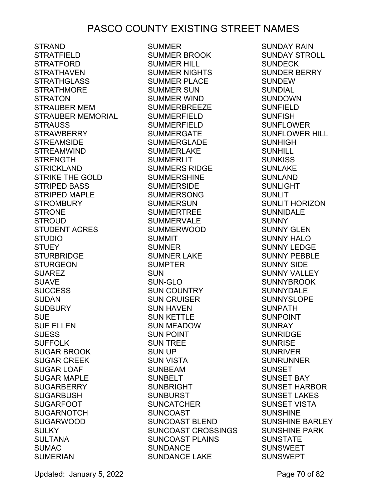STRAND STRATFIELD STRATFORD STRATHAVEN **STRATHGLASS** STRATHMORE STRATON STRAUBER MEM STRAUBER MEMORIAL STRAUSS STRAWBERRY STREAMSIDE STREAMWIND STRENGTH STRICKLAND STRIKE THE GOLD STRIPED BASS STRIPED MAPLE STROMBURY STRONE STROUD STUDENT ACRES STUDIO **STUEY** STURBRIDGE STURGEON SUAREZ SUAVE **SUCCESS** SUDAN SUDBURY SUE SUE ELLEN **SUESS** သမခေခ<br>SUFFOLK SUGAR BROOK SUGAR CREEK SUGAR LOAF SUGAR MAPLE SUGARBERRY SUGARBUSH SUGARFOOT SUGARNOTCH SUGARWOOD SULKY SULTANA SUMAC SUMERIAN

SUMMER SUMMER BROOK SUMMER HILL SUMMER NIGHTS SUMMER PLACE SUMMER SUN SUMMER WIND SUMMERBREEZE SUMMERFIELD SUMMERFIELD SUMMERGATE SUMMERGLADE SUMMERLAKE SUMMERLIT SUMMERS RIDGE SUMMERSHINE SUMMERSIDE SUMMERSONG SUMMERSUN SUMMERTREE SUMMERVALE **SUMMERWOOD** SUMMIT SUMNER SUMNER LAKE SUMPTER SUN SUN-GLO SUN COUNTRY SUN CRUISER SUN HAVEN SUN KETTLE SUN MEADOW SUN POINT SUN TREE SUN UP SUN VISTA SUNBEAM SUNBELT SUNBRIGHT SUNBURST SUNCATCHER SUNCOAST SUNCOAST BLEND SUNCOAST CROSSINGS SUNCOAST PLAINS SUNDANCE SUNDANCE LAKE

SUNDAY RAIN SUNDAY STROLL SUNDECK SUNDER BERRY SUNDEW SUNDIAL SUNDOWN SUNFIELD SUNFISH SUNFLOWER SUNFLOWER HILL SUNHIGH SUNHILL SUNKISS SUNLAKE SUNLAND SUNLIGHT SUNLIT SUNLIT HORIZON SUNNIDALE SUNNY SUNNY GLEN SUNNY HALO SUNNY LEDGE SUNNY PEBBLE SUNNY SIDE SUNNY VALLEY SUNNYBROOK SUNNYDALE SUNNYSLOPE SUNPATH SUNPOINT SUNRAY SUNRIDGE SUNRISE SUNRIVER SUNRUNNER SUNSET SUNSET BAY SUNSET HARBOR SUNSET LAKES SUNSET VISTA SUNSHINE SUNSHINE BARLEY SUNSHINE PARK SUNSTATE SUNSWEET SUNSWEPT

Updated: January 5, 2022 **Page 70 of 82**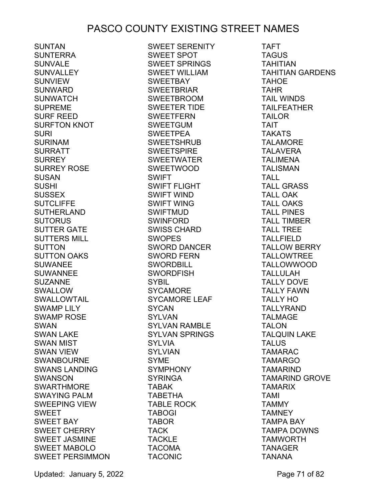SUNTAN SUNTERRA SUNVALE SUNVALLEY SUNVIEW SUNWARD SUNWATCH SUPREME SURF REED SURFTON KNOT SURI SURINAM SURRATT SURREY SURREY ROSE SUSAN SUSHI SUSSEX SUTCLIFFE SUTHERLAND **SUTORUS** SUTTER GATE SUTTERS MILL SUTTON SUTTON OAKS SUWANEE SUWANNEE SUZANNE SWALLOW SWALLOWTAIL SWAMP LILY SWAMP ROSE SWAN SWAN LAKE SWAN MIST SWAN VIEW SWANBOURNE SWANS LANDING SWANSON SWARTHMORE SWAYING PALM SWEEPING VIEW SWEET SWEET BAY SWEET CHERRY SWEET JASMINE SWEET MABOLO SWEET PERSIMMON

SWEET SERENITY SWEET SPOT SWEET SPRINGS SWEET WILLIAM SWEETBAY SWEETBRIAR SWEETBROOM SWEETER TIDE SWEETFERN SWEETGUM SWEETPEA SWEETSHRUB SWEETSPIRE SWEETWATER SWEETWOOD SWIFT SWIFT FLIGHT SWIFT WIND SWIFT WING SWIFTMUD SWINFORD SWISS CHARD SWOPES SWORD DANCER SWORD FERN SWORDBILL SWORDFISH SYBIL SYCAMORE SYCAMORE LEAF SYCAN SYLVAN SYLVAN RAMBLE SYLVAN SPRINGS SYLVIA SYLVIAN SYME SYMPHONY SYRINGA TABAK TABETHA TABLE ROCK TABOGI TABOR TACK TACKLE TACOMA TACONIC

TAFT TAGUS TAHITIAN TAHITIAN GARDENS TAHOE TAHR TAIL WINDS TAILFEATHER TAILOR TAIT TAKATS TALAMORE TALAVERA TALIMENA TALISMAN TALL TALL GRASS TALL OAK TALL OAKS TALL PINES TALL TIMBER TALL TREE TALLFIELD TALLOW BERRY TALLOWTREE TALLOWWOOD TALLULAH TALLY DOVE TALLY FAWN TALLY HO TALLYRAND TALMAGE TALON TALQUIN LAKE TALUS TAMARAC TAMARGO TAMARIND TAMARIND GROVE TAMARIX TAMI TAMMY TAMNEY TAMPA BAY TAMPA DOWNS TAMWORTH TANAGER TANANA

Updated: January 5, 2022 **Page 71 of 82**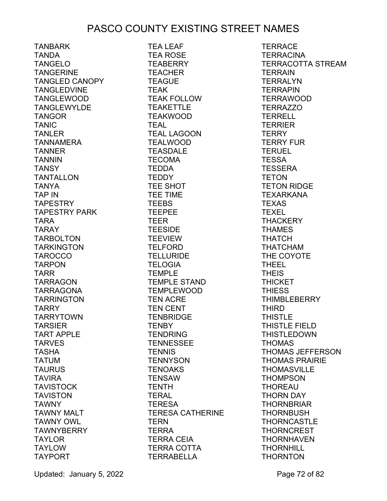TANBARK TANDA TANGELO TANGERINE TANGLED CANOPY TANGLEDVINE TANGLEWOOD TANGLEWYLDE TANGOR TANIC TANLER TANNAMERA TANNER TANNIN **TANSY** TANTALLON TANYA TAP IN TAPESTRY TAPESTRY PARK TARA TARAY TARBOLTON TARKINGTON TAROCCO TARPON TARR TARRAGON TARRAGONA TARRINGTON TARRY TARRYTOWN TARSIER TART APPLE TARVES TASHA TATUM TAURUS TAVIRA TAVISTOCK TAVISTON TAWNY TAWNY MALT TAWNY OWL TAWNYBERRY TAYLOR TAYLOW TAYPORT

TEA LEAF TEA ROSE TEABERRY TEACHER TEAGUE TEAK TEAK FOLLOW TEAKETTLE TEAKWOOD TEAL TEAL LAGOON TEALWOOD TEASDALE TECOMA TEDDA **TEDDY** TEE SHOT TEE TIME **TEEBS** TEEPEE TEER TEESIDE **TEEVIEW** TELFORD TELLURIDE TELOGIA TEMPLE TEMPLE STAND TEMPLEWOOD TEN ACRE TEN CENT TENBRIDGE **TENBY** TENDRING TENNESSEE **TENNIS** TENNYSON TENOAKS TENSAW TENTH TERAL TERESA TERESA CATHERINE TERN TERRA TERRA CEIA TERRA COTTA TERRABELLA

**TERRACE TERRACINA** TERRACOTTA STREAM TERRAIN **TERRALYN TERRAPIN** TERRAWOOD TERRAZZO TERRELL **TERRIER TERRY** TERRY FUR **TERUEL** TESSA TESSERA TETON TETON RIDGE TEXARKANA TEXAS TEXEL **THACKERY** THAMES THATCH THATCHAM THE COYOTE THEEL THEIS **THICKET** THIESS **THIMBLEBERRY** THIRD THISTLE THISTLE FIELD THISTLEDOWN THOMAS THOMAS JEFFERSON THOMAS PRAIRIE **THOMASVILLE** THOMPSON THOREAU THORN DAY THORNBRIAR THORNBUSH **THORNCASTLE THORNCREST** THORNHAVEN **THORNHILL THORNTON**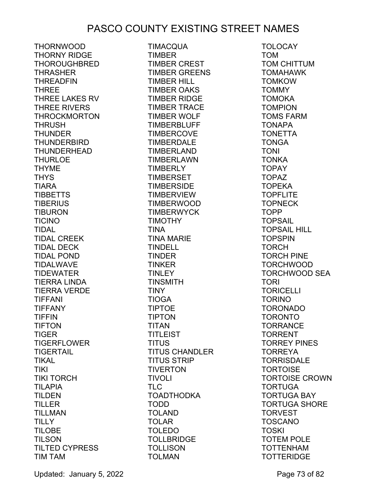THORNWOOD THORNY RIDGE **THOROUGHBRED** THRASHER THREADFIN THREE THREE LAKES RV THREE RIVERS THROCKMORTON **THRUSH** THUNDER THUNDERBIRD THUNDERHEAD **THURLOE** THYME **THYS** TIARA TIBBETTS TIBERIUS TIBURON TICINO TIDAL TIDAL CREEK TIDAL DECK TIDAL POND TIDALWAVE TIDEWATER TIERRA LINDA TIERRA VERDE TIFFANI TIFFANY TIFFIN TIFTON TIGER TIGERFLOWER TIGERTAIL TIKAL TIKI TIKI TORCH TILAPIA TILDEN TILLER TILLMAN **TILLY** TILOBE TILSON TILTED CYPRESS TIM TAM

TIMACQUA TIMBER TIMBER CREST TIMBER GREENS TIMBER HILL TIMBER OAKS TIMBER RIDGE TIMBER TRACE TIMBER WOLF TIMBERBLUFF TIMBERCOVE TIMBERDALE TIMBERLAND TIMBERLAWN TIMBERLY TIMBERSET TIMBERSIDE TIMBERVIEW TIMBERWOOD TIMBERWYCK TIMOTHY TINA TINA MARIE TINDELL TINDER TINKER TINLEY TINSMITH TINY TIOGA TIPTOE TIPTON TITAN TITLEIST TITUS TITUS CHANDLER TITUS STRIP TIVERTON TIVOLI TLC TOADTHODKA TODD TOLAND TOLAR TOLEDO TOLLBRIDGE **TOLLISON** TOLMAN

TOLOCAY TOM TOM CHITTUM TOMAHAWK **TOMKOW** TOMMY TOMOKA **TOMPION** TOMS FARM TONAPA TONETTA TONGA TONI **TONKA** TOPAY TOPAZ TOPEKA **TOPFLITE TOPNECK** TOPP TOPSAIL TOPSAIL HILL TOPSPIN TORCH TORCH PINE TORCHWOOD TORCHWOOD SEA TORI TORICELLI TORINO TORONADO TORONTO **TORRANCE** TORRENT TORREY PINES TORREYA **TORRISDALE TORTOISE** TORTOISE CROWN TORTUGA TORTUGA BAY TORTUGA SHORE TORVEST TOSCANO TOSKI TOTEM POLE TOTTENHAM **TOTTERIDGE** 

Updated: January 5, 2022 **Page 73 of 82**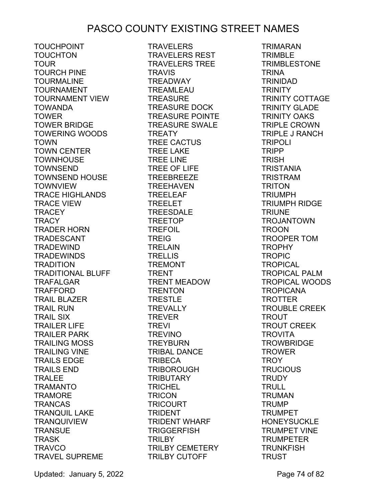TOUCHPOINT TOUCHTON TOUR TOURCH PINE TOURMALINE TOURNAMENT TOURNAMENT VIEW TOWANDA **TOWER** TOWER BRIDGE TOWERING WOODS TOWN TOWN CENTER TOWNHOUSE TOWNSEND TOWNSEND HOUSE TOWNVIEW TRACE HIGHLANDS TRACE VIEW **TRACEY** TRACY TRADER HORN TRADESCANT TRADEWIND TRADEWINDS **TRADITION** TRADITIONAL BLUFF TRAFALGAR TRAFFORD TRAIL BLAZER TRAIL RUN TRAIL SIX TRAILER LIFE TRAILER PARK TRAILING MOSS TRAILING VINE TRAILS EDGE TRAILS END TRALEE TRAMANTO TRAMORE TRANCAS TRANQUIL LAKE TRANQUIVIEW **TRANSUE** TRASK TRAVCO TRAVEL SUPREME

**TRAVELERS** TRAVELERS REST TRAVELERS TREE **TRAVIS** TREADWAY TREAMLEAU TREASURE TREASURE DOCK TREASURE POINTE TREASURE SWALE TREATY TREE CACTUS TREE LAKE TREE LINE TREE OF LIFE TREEBREEZE TREEHAVEN TREELEAF TREELET TREESDALE TREETOP TREFOIL TREIG TRELAIN TRELLIS TREMONT TRENT TRENT MEADOW TRENTON TRESTLE TREVALLY TREVER TREVI TREVINO TREYBURN TRIBAL DANCE TRIBECA TRIBOROUGH TRIBUTARY TRICHEL TRICON TRICOURT TRIDENT TRIDENT WHARF **TRIGGERFISH** TRILBY TRILBY CEMETERY TRILBY CUTOFF

TRIMARAN TRIMBLE **TRIMBLESTONE** TRINA TRINIDAD **TRINITY** TRINITY COTTAGE TRINITY GLADE TRINITY OAKS TRIPLE CROWN TRIPLE J RANCH TRIPOLI TRIPP **TRISH** TRISTANIA TRISTRAM TRITON TRIUMPH TRIUMPH RIDGE **TRIUNE** TROJANTOWN **TROON** TROOPER TOM **TROPHY TROPIC TROPICAL** TROPICAL PALM TROPICAL WOODS TROPICANA TROTTER TROUBLE CREEK **TROUT** TROUT CREEK **TROVITA TROWBRIDGE TROWER** TROY **TRUCIOUS TRUDY TRULL** TRUMAN **TRUMP** TRUMPET HONEYSUCKLE TRUMPET VINE TRUMPETER **TRUNKFISH TRUST** 

Updated: January 5, 2022 **Page 74 of 82**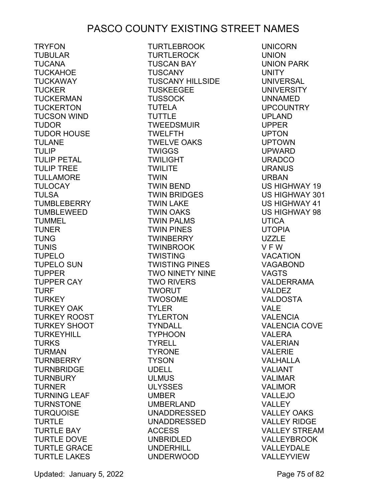TRYFON TUBULAR TUCANA TUCKAHOE TUCKAWAY<br>TUCKER TUCKER TUCKERMAN **TUCKERTON** TUCSON WIND TUDOR TUDOR HOUSE TULANE TULIP TULIP PETAL TULIP TREE TULLAMORE TULOCAY TULSA TUMBLEBERRY TUMBLEWEED TUMMEL TUNER TUNG TUNIS<br>TUPELO TUPELO TUPELO SUN TUPPER TUPPER CAY TURF **TURKEY** TURKEY OAK TURKEY ROOST TURKEY SHOOT TURKEYHILL TURKS TURMAN TURNBERRY TURNBRIDGE TURNBURY TURNER TURNING LEAF TURNSTONE TURQUOISE TURTLE TURTLE BAY TURTLE DOVE TURTLE GRACE TURTLE LAKES

TURTLEBROOK TURTLEROCK TUSCAN BAY TUSCANY TUSCANY HILLSIDE TUSKEEGEE **TUSSOCK** TUTELA TUTTLE TWEEDSMUIR TWELFTH TWELVE OAKS TWIGGS TWILIGHT TWILITE TWIN TWIN BEND TWIN BRIDGES TWIN LAKE TWIN OAKS TWIN PALMS TWIN PINES TWINBERRY TWINBROOK TWISTING TWISTING PINES TWO NINETY NINE TWO RIVERS TWORUT TWOSOME TYLER TYLERTON TYNDALL TYPHOON TYRELL TYRONE TYSON UDELL ULMUS ULYSSES UMBER UMBERLAND UNADDRESSED UNADDRESSED ACCESS UNBRIDLED UNDERHILL UNDERWOOD

UNICORN UNION UNION PARK UNITY UNIVERSAL UNIVERSITY UNNAMED UPCOUNTRY UPLAND UPPER UPTON UPTOWN UPWARD URADCO URANUS URBAN US HIGHWAY 19 US HIGHWAY 301 US HIGHWAY 41 US HIGHWAY 98 UTICA UTOPIA UZZLE V F W VACATION VAGABOND VAGTS VALDERRAMA VALDEZ VALDOSTA VALE VALENCIA VALENCIA COVE VALERA VALERIAN VALERIE VALHALLA VALIANT VALIMAR VALIMOR VALLEJO VALLEY VALLEY OAKS VALLEY RIDGE VALLEY STREAM VALLEYBROOK VALLEYDALE VALLEYVIEW

Updated: January 5, 2022 **Page 75 of 82**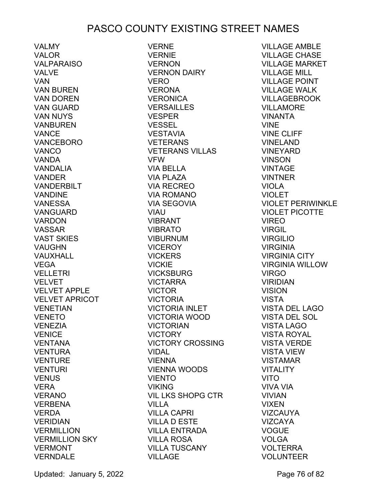VALMY VALOR VALPARAISO VALVE VAN VAN BUREN VAN DOREN VAN GUARD VAN NUYS VANBUREN VANCE VANCEBORO VANCO VANDA VANDALIA VANDER VANDERBILT VANDINE VANESSA VANGUARD VARDON VASSAR VAST SKIES VAUGHN VAUXHALL VEGA VELLETRI VELVET VELVET APPLE VELVET APRICOT VENETIAN VENETO VENEZIA VENICE VENTANA VENTURA VENTURE VENTURI VENUS VERA VERANO VERBENA VERDA VERIDIAN **VERMILLION VERMILLION SKY**<br>VERMONT VERMONT **VERNDALE** 

VERNE VERNIE VERNON VERNON DAIRY VERO VERONA VERONICA VERSAILLES VESPER VESSEL VESTAVIA VETERANS VETERANS VILLAS VFW VIA BELLA VIA PLAZA VIA RECREO VIA ROMANO VIA SEGOVIA VIAU VIBRANT VIBRATO VIBURNUM VICEROY VICKERS<br>VICKIE VICKIE VICKSBURG VICTARRA VICTOR VICTORIA VICTORIA INLET<br>VICTORIA WOOD VICTORIA WOOD VICTORIAN VICTORY VICTORY CROSSING VIDAL VIENNA VIENNA WOODS VIENTO VIKING VIL LKS SHOPG CTR VILLA VILLA CAPRI VILLA D ESTE VILLA ENTRADA VILLA ROSA VILLA TUSCANY VILLAGE

VILLAGE AMBLE VILLAGE CHASE VILLAGE MARKET VILLAGE MILL VILLAGE POINT VILLAGE WALK VILLAGEBROOK VILLAMORE VINANTA VINE VINE CLIFF VINELAND VINEYARD VINSON VINTAGE VINTNER VIOLA VIOLET VIOLET PERIWINKLE VIOLET PICOTTE VIREO VIRGIL VIRGILIO VIRGINIA VIRGINIA CITY VIRGINIA WILLOW VIRGO VIRIDIAN VISION VISTA VISTA DEL LAGO VISTA DEL SOL VISTA LAGO VISTA ROYAL VISTA VERDE VISTA VIEW VISTAMAR VITALITY VITO VIVA VIA VIVIAN VIXEN VIZCAUYA VIZCAYA VOGUE VOLGA VOLTERRA VOLUNTEER

Updated: January 5, 2022 **Page 76 of 82**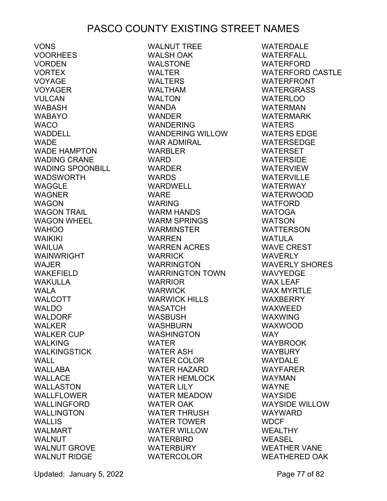VONS VOORHEES VORDEN VORTEX VOYAGE VOTAGE<br>VOYAGER VULCAN WABASH WABAYO WACO WADDELL<br>WADE **WADE** WADE HAMPTON WADING CRANE WADING SPOONBILL WADSWORTH WAGGLE WAGNER WAGON WAGON TRAIL WAGON WHEEL WAHOO WAIKIKI WAILUA WAINWRIGHT WAJER WAKEFIELD WAKULLA WALA WALCOTT WALDO WALDORF WALKER WALKER CUP WALKING WALKINGSTICK WALL WALLABA WALLACE WALLASTON WALLFLOWER WALLINGFORD WALLINGTON WALLIS WALMART WALNUT WALNUT GROVE WALNUT RIDGE

WALNUT TREE WALSH OAK WALSTONE WALTER WALTERS WALTHAM WALTON WANDA WANDER WANDERING WANDERING WILLOW WAR ADMIRAL WARBLER WARD WARDER WARDS WARDWELL WARE WARING WARM HANDS WARM SPRINGS WARMINSTER WARREN WARREN ACRES<br>WARRICK WARRICK WARRINGTON WARRINGTON TOWN WARRIOR WARWICK WARWICK HILLS WASATCH WASBUSH WASHBURN WASHINGTON WATER WATER ASH WATER COLOR WATER HAZARD WATER HEMLOCK WATER LILY WATER MEADOW WATER OAK WATER THRUSH WATER TOWER WATER WILLOW WATERBIRD WATERBURY WATERCOLOR

WATERDALE WATERFALL **WATERFORD** WATERFORD CASTLE WATERFRONT WATERGRASS WATERLOO WATERMAN WATERMARK WATERS WATERS EDGE WATERSEDGE WATERSET WATERSIDE WATERVIEW WATERVILLE WATERWAY WATERWOOD WATFORD WATOGA WATSON WATTERSON WATULA WAVE CREST WAVERLY WAVERLY SHORES WAVYEDGE WAX LEAF WAX MYRTLE WAXBERRY WAXWEED WAXWING WAXWOOD WAY WAYBROOK WAYBURY WAYDALE WAYFARER WAYMAN WAYNE WAYSIDE WAYSIDE WILLOW WAYWARD WDCF WEALTHY WEASEL WEATHER VANE WEATHERED OAK

Updated: January 5, 2022 **Page 77 of 82**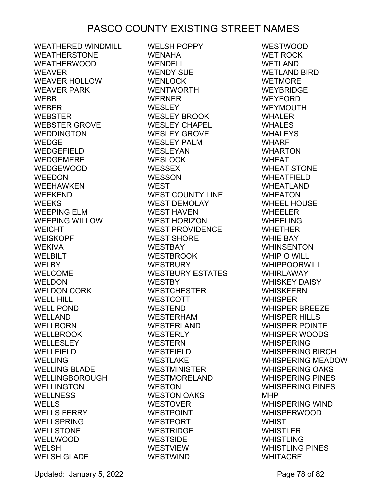WEATHERED WINDMILL WEATHERSTONE WEATHERWOOD WEAVER WEAVER HOLLOW WEAVER PARK WEBB WEBER WEBSTER WEBSTER GROVE WEDDINGTON WEDGE WEDGEFIELD WEDGEMERE WEDGEWOOD WEEDON WEEHAWKEN WEEKEND WEEKS WEEPING ELM WEEPING WILLOW WEICHT WEISKOPF WEKIVA WELBILT WELBY WELCOME WELDON WELDON CORK WELL HILL WELL POND WELLAND WELLBORN WELLBROOK WELLESLEY<br>WELLEIELD WELLFIELD WELLING WELLING BLADE WELLINGBOROUGH WELLINGTON WELLNESS<br>WELLS WELLS WELLS FERRY WELLSPRING WELLSTONE WELLWOOD WELSH WELSH GLADE

WELSH POPPY WENAHA WENDELL WENDY SUE WENLOCK WENTWORTH WERNER WESLEY WESLEY BROOK WESLEY CHAPEL WESLEY GROVE WESLEY PALM WESLEYAN WESLOCK WESSEX WESSON WEST WEST COUNTY LINE WEST DEMOLAY WEST HAVEN WEST HORIZON WEST PROVIDENCE WEST SHORE WESTBAY WESTBROOK WESTBURY WESTBURY ESTATES WESTBY WESTCHESTER WESTCOTT WESTEND WESTERHAM WESTERLAND WESTERLY WESTERN WESTFIELD WESTLAKE WESTMINISTER WESTMORELAND WESTON WESTON OAKS WESTOVER WESTPOINT WESTPORT WESTRIDGE WESTSIDE WESTVIEW WESTWIND

WESTWOOD WET ROCK WETLAND WETLAND BIRD WETMORE WEYBRIDGE WEYFORD WEYMOUTH WHALER WHALES WHALEYS WHARF WHARTON WHEAT WHEAT STONE WHEATFIELD WHEATLAND WHEATON WHEEL HOUSE WHEELER WHEELING WHETHER WHIE BAY WHINSENTON WHIP O WILL WHIPPOORWILL WHIRLAWAY WHISKEY DAISY WHISKFERN WHISPER WHISPER BREEZE WHISPER HILLS WHISPER POINTE WHISPER WOODS WHISPERING WHISPERING BIRCH WHISPERING MEADOW WHISPERING OAKS WHISPERING PINES WHISPERING PINES MHP WHISPERING WIND WHISPERWOOD WHIST WHISTLER WHISTLING WHISTLING PINES WHITACRE

Updated: January 5, 2022 **Page 78 of 82**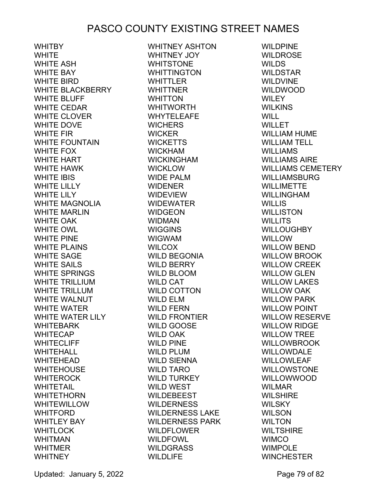WHITBY **WHITE** WHITE ASH<br>WHITE ASH WHITE BAY WHITE BIRD WHITE BLACKBERRY WHITE BLUFF WHITE CEDAR WHITE CLOVER WHITE DOVE WHITE FIR WHITE FOUNTAIN WHITE FOX WHITE HART WHITE HAWK WHITE IBIS WHITE LILLY WHITE LILY WHITE MAGNOLIA WHITE MARLIN WHITE OAK WHITE OWL WHITE PINE WHITE PLAINS WHITE SAGE WHITE SAILS WHITE SPRINGS WHITE TRILLIUM WHITE TRILLUM WHITE WALNUT WHITE WATER WHITE WATER LILY WHITEBARK WHITECAP WHITECLIFF WHITEHALL WHITEHEAD WHITEHOUSE WHITEROCK WHITETAIL WHITETHORN WHITEWILLOW **WHITFORD** WHITLEY BAY WHITLOCK WHITMAN WHITMER **WHITNEY** 

WHITNEY ASHTON WHITNEY JOY WHITSTONE WHITTINGTON WHITTLER WHITTNER WHITTON WHITWORTH WHYTELEAFE WICHERS WICKER WICKETTS WICKHAM WICKINGHAM WICKLOW WIDE PALM WIDENER WIDEVIEW WIDEWATER WIDGEON WIDMAN WIGGINS WIGWAM WILCOX WILD BEGONIA WILD BERRY WILD BLOOM WILD CAT WILD COTTON WILD ELM WILD FERN WILD FRONTIER WILD GOOSE WILD OAK WILD PINE WILD PLUM WILD SIENNA WILD TARO WILD TURKEY WILD WEST WILDEBEEST WILDERNESS WILDERNESS LAKE WILDERNESS PARK WILDFLOWER WILDFOWL WILDGRASS WILDLIFE

WILDPINE WILDROSE WILDIW<br>WILDS WILDSTAR WILDVINE WILDWOOD WILEY WILKINS WILL WILLET WILLIAM HUME WILLIAM TELL WILLIAMS WILLIAMS AIRE WILLIAMS<br>WILLIAMS<br>WILLIAMS CEMETERY<br>WILLIAMS CEMETERY WILLIAMSBURG WILLIMETTE WILLINGHAM WILLIS WILLISTON WILLITS WILLOUGHBY WILLOW WILLOW BEND WILLOW BROOK WILLOW CREEK WILLOW GLEN WILLOW LAKES WILLOW OAK WILLOW PARK WILLOW POINT WILLOW RESERVE WILLOW RIDGE WILLOW TREE WILLOWBROOK WILLOWDALE WILLOWLEAF WILLOWSTONE WILLOWWOOD WILMAR WILSHIRE WILSKY WILSKY<br>WILSON **WILTON** WILTSHIRE WIMCO WIMPOLE WINCHESTER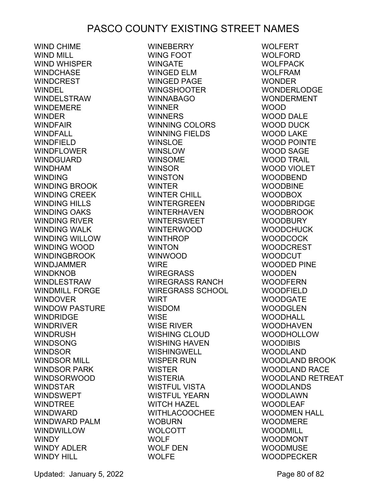WIND CHIME WIND MILL WIND WHISPER WINDCHASE WINDCREST WINDEL WINDELSTRAW WINDEMERE WINDER WINDFAIR WINDFALL WINDFIELD WINDFLOWER WINDGUARD WINDHAM WINDING WINDING BROOK WINDING CREEK WINDING HILLS WINDING OAKS WINDING RIVER WINDING WALK WINDING WILLOW WINDING WOOD WINDINGBROOK WINDJAMMER WINDKNOB WINDLESTRAW WINDMILL FORGE WINDOVER WINDOW PASTURE WINDRIDGE WINDRIVER WINDRUSH **WINDSONG** WINDSOR WINDSOR MILL WINDSOR PARK WINDSORWOOD WINDSTAR WINDSWEPT WINDTREE WINDWARD WINDWARD PALM **WINDWILLOW** WINDY WINDY ADLER WINDY HILL

WINEBERRY WING FOOT WINGATE WINGED ELM WINGED PAGE WINGSHOOTER WINNABAGO WINNER WINNERS WINNING COLORS WINNING FIELDS WINSLOE WINSLOW WINSOME WINSOR WINSTON WINTER WINTER CHILL WINTERGREEN WINTERHAVEN WINTERSWEET WINTERWOOD WINTHROP WINTON WINWOOD WIRE WIREGRASS WIREGRASS RANCH WIREGRASS SCHOOL WIRT WISDOM<br>WISE WISE WISE RIVER WISHING CLOUD WISHING HAVEN WISHINGWELL WISPER RUN WISTER WISTERIA WISTFUL VISTA WISTFUL YEARN WITCH HAZEL WITHLACOOCHEE WOBURN WOLCOTT WOLF WOLF DEN WOLFE

WOLFERT WOLFORD WOLFPACK WOLFRAM WONDER WONDERLODGE WONDERMENT WOOD WOOD DALE WOOD DUCK WOOD LAKE WOOD POINTE WOOD SAGE WOOD TRAIL WOOD VIOLET WOODBEND WOODBINE WOODBOX WOODBRIDGE WOODBROOK WOODBURY WOODCHUCK WOODCOCK WOODCREST WOODCUT WOODED PINE WOODEN WOODFERN WOODFIELD WOODGATE WOODGLEN WOODHALL WOODHAVEN WOODHOLLOW WOODIBIS SUDHAVE<br>WOODHOLL<br>WOODIBIS<br>WOODLAND<br>WOODLAND WOODLAND BROOK WOODLAND RACE WOODLAND RETREAT WOODLANDS WOODLAWN WOODLEAF WOODMEN HALL WOODMERE WOODMILL WOODMONT WOODMUSE WOODPECKER

Updated: January 5, 2022 **Page 80 of 82**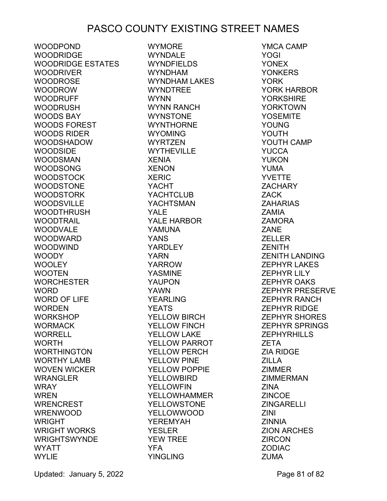WOODPOND WOODRIDGE WOODRIDGE ESTATES WOODRIVER WOODROSE WOODROW WOODRUFF WOODRUSH WOODS BAY WOODS FOREST WOODS RIDER WOODSHADOW WOODSIDE WOODSMAN WOODSONG WOODSTOCK WOODSTONE WOODSTORK WOODSVILLE WOODTHRUSH WOODTRAIL WOODVALE WOODWARD WOODWIND WOODY WOOLEY WOOTEN WORCHESTER WORD WORD OF LIFE WORDEN WORKSHOP WORMACK WORRELL WORTH WORTHINGTON WORTHY LAMB WOVEN WICKER WRANGLER WRAY WREN WRENCREST WRENWOOD **WRIGHT** WRIGHT WORKS WRIGHTSWYNDE WYATT WYLIF

WYMORE WYNDALE WYNDFIELDS WYNDHAM WYNDHAM LAKES WYNDTREE WYNN WYNN RANCH WYNSTONE WYNTHORNE WYOMING WYRTZEN WYTHEVILLE XENIA XENON XERIC YACHT YACHTCLUB YACHTSMAN YALE YALE HARBOR YAMUNA YANS YARDLEY YARN YARROW YASMINE YAUPON YAWN YEARLING YEATS YELLOW BIRCH YELLOW FINCH YELLOW LAKE YELLOW PARROT YELLOW PERCH YELLOW PINE YELLOW POPPIE YELLOWBIRD YELLOWFIN YELLOWHAMMER YELLOWSTONE YELLOWWOOD YEREMYAH YESLER YEW TREE YFA YINGLING

YMCA CAMP YOGI YONEX **YONKERS** YORK YORK HARBOR **YORKSHIRE** YORKTOWN YOSEMITE YOUNG YOUTH YOUTH CAMP **YUCCA** YUKON YUMA YVETTE ZACHARY ZACK ZAHARIAS ZAMIA ZAMORA **ZANE** ZELLER **ZENITH** ZENITH LANDING ZEPHYR LAKES ZEPHYR LILY ZEPHYR OAKS ZEPHYR PRESERVE ZEPHYR RANCH ZEPHYR RIDGE ZEPHYR SHORES ZEPHYR SPRINGS ZEPHYRHILLS ZETA ZIA RIDGE ZILLA ZIMMER ZIMMERMAN ZINA ZINCOE **ZINGARELLI** ZINI ZINNIA ZION ARCHES ZIRCON ZODIAC ZUMA

Updated: January 5, 2022 **Page 81 of 82**